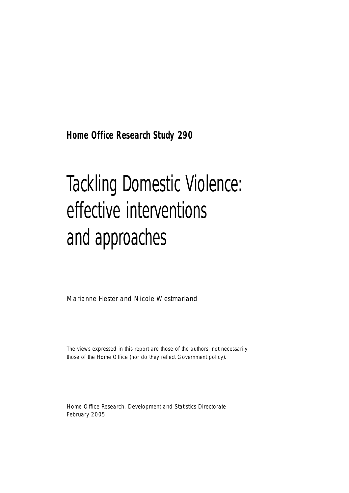**Home Office Research Study 290**

# Tackling Domestic Violence: effective interventions and approaches

Marianne Hester and Nicole Westmarland

The views expressed in this report are those of the authors, not necessarily those of the Home Office (nor do they reflect Government policy).

Home Office Research, Development and Statistics Directorate February 2005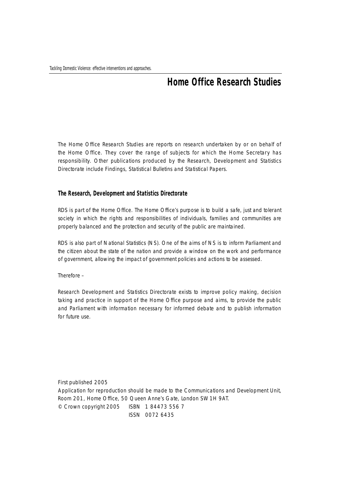## **Home Office Research Studies**

The Home Office Research Studies are reports on research undertaken by or on behalf of the Home Office. They cover the range of subjects for which the Home Secretary has responsibility. Other publications produced by the Research, Development and Statistics Directorate include Findings, Statistical Bulletins and Statistical Papers.

#### **The Research, Development and Statistics Directorate**

RDS is part of the Home Office. The Home Office's purpose is to build a safe, just and tolerant society in which the rights and responsibilities of individuals, families and communities are properly balanced and the protection and security of the public are maintained.

RDS is also part of National Statistics (NS). One of the aims of NS is to inform Parliament and the citizen about the state of the nation and provide a window on the work and performance of government, allowing the impact of government policies and actions to be assessed.

Therefore  $-$ 

Research Development and Statistics Directorate exists to improve policy making, decision taking and practice in support of the Home Office purpose and aims, to provide the public and Parliament with information necessary for informed debate and to publish information for future use.

First published 2005 Application for reproduction should be made to the Communications and Development Unit, Room 201, Home Office, 50 Queen Anne's Gate, London SW1H 9AT. © Crown copyright 2005 ISBN 1 84473 556 7 ISSN 0072 6435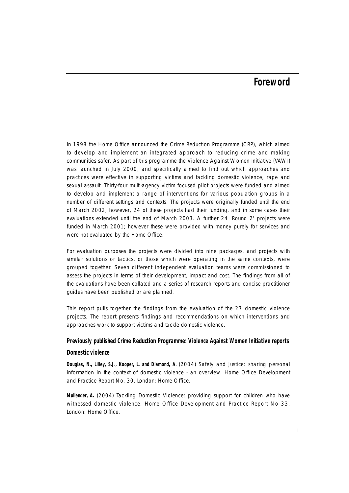## **Foreword**

In 1998 the Home Office announced the Crime Reduction Programme (CRP), which aimed to develop and implement an integrated approach to reducing crime and making communities safer. As part of this programme the Violence Against Women Initiative (VAWI) was launched in July 2000, and specifically aimed to find out which approaches and practices were effective in supporting victims and tackling domestic violence, rape and sexual assault. Thirty-four multi-agency victim focused pilot projects were funded and aimed to develop and implement a range of interventions for various population groups in a number of different settings and contexts. The projects were originally funded until the end of March 2002; however, 24 of these projects had their funding, and in some cases their evaluations extended until the end of March 2003. A further 24 'Round 2' projects were funded in March 2001; however these were provided with money purely for services and were not evaluated by the Home Office.

For evaluation purposes the projects were divided into nine packages, and projects with similar solutions or tactics, or those which were operating in the same contexts, were grouped together. Seven different independent evaluation teams were commissioned to assess the projects in terms of their development, impact and cost. The findings from all of the evaluations have been collated and a series of research reports and concise practitioner guides have been published or are planned.

This report pulls together the findings from the evaluation of the 27 domestic violence projects. The report presents findings and recommendations on which interventions and approaches work to support victims and tackle domestic violence.

### Previously published Crime Reduction Programme: Violence Against Women Initiative reports **Domestic violence**

**Douglas, N., Lilley, S.J., Kooper, L. and Diamond, A.** (2004) Safety and Justice: sharing personal information in the context of domestic violence - an overview. Home Office Development and Practice Report No. 30. London: Home Office.

**Mullender, A.** (2004) Tackling Domestic Violence: providing support for children who have witnessed domestic violence. Home Office Development and Practice Report No 33. London: Home Office.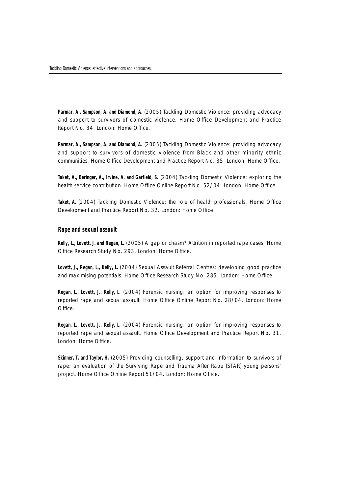Parmar, A., Sampson, A. and Diamond, A. (2005) Tackling Domestic Violence: providing advocacy and support to survivors of domestic violence. Home Office Development and Practice Report No. 34. London: Home Office.

**Parmar, A., Sampson, A. and Diamond, A.** (2005) Tackling Domestic Violence: providing advocacy and support to survivors of domestic violence from Black and other minority ethnic communities. Home Office Development and Practice Report No. 35. London: Home Office.

**Taket, A., Beringer, A., Irvine, A. and Garfield, S.** (2004) Tackling Domestic Violence: exploring the health service contribution. Home Office Online Report No. 52/04. London: Home Office.

Taket, A. (2004) Tackling Domestic Violence: the role of health professionals. Home Office Development and Practice Report No. 32. London: Home Office.

#### **Rape and sexual assault**

**Kelly, L., Lovett, J. and Regan, L.** (2005) A gap or chasm? Attrition in reported rape cases. Home Office Research Study No. 293. London: Home Office.

**Lovett, J., Regan, L., Kelly, L.** (2004) Sexual Assault Referral Centres: developing good practice and maximising potentials. Home Office Research Study No. 285. London: Home Office.

**Regan, L., Lovett, J., Kelly, L.** (2004) Forensic nursing: an option for improving responses to reported rape and sexual assault. Home Office Online Report No. 28/04. London: Home Office.

**Regan, L., Lovett, J., Kelly, L.** (2004) Forensic nursing: an option for improving responses to reported rape and sexual assault. Home Office Development and Practice Report No. 31. London: Home Office.

**Skinner, T. and Taylor, H.** (2005) Providing counselling, support and information to survivors of rape: an evaluation of the Surviving Rape and Trauma After Rape (STAR) young persons' project. Home Office Online Report 51/04. London: Home Office.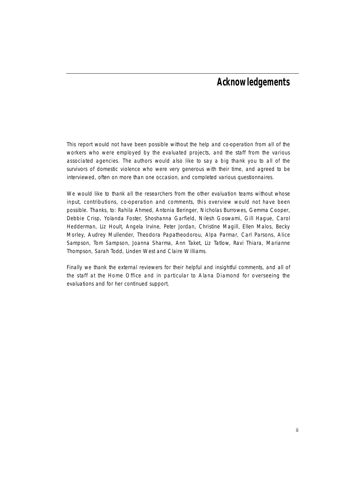## **Acknowledgements**

This report would not have been possible without the help and co-operation from all of the workers who were employed by the evaluated projects, and the staff from the various associated agencies. The authors would also like to say a big thank you to all of the survivors of domestic violence who were very generous with their time, and agreed to be interviewed, often on more than one occasion, and completed various questionnaires.

We would like to thank all the researchers from the other evaluation teams without whose input, contributions, co-operation and comments, this overview would not have been possible. Thanks, to: Rahila Ahmed, Antonia Beringer, Nicholas Burrowes, Gemma Cooper, Debbie Crisp, Yolanda Foster, Shoshanna Garfield, Nilesh Goswami, Gill Hague, Carol Hedderman, Liz Hoult, Angela Irvine, Peter Jordan, Christine Magill, Ellen Malos, Becky Morley, Audrey Mullender, Theodora Papatheodorou, Alpa Parmar, Carl Parsons, Alice Sampson, Tom Sampson, Joanna Sharma, Ann Taket, Liz Tatlow, Ravi Thiara, Marianne Thompson, Sarah Todd, Linden West and Claire Williams.

Finally we thank the external reviewers for their helpful and insightful comments, and all of the staff at the Home Office and in particular to Alana Diamond for overseeing the evaluations and for her continued support.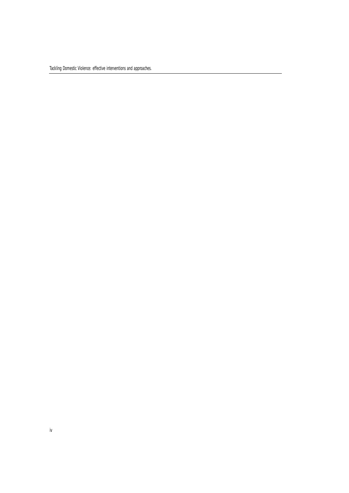Tackling Domestic Violence: effective interventions and approaches.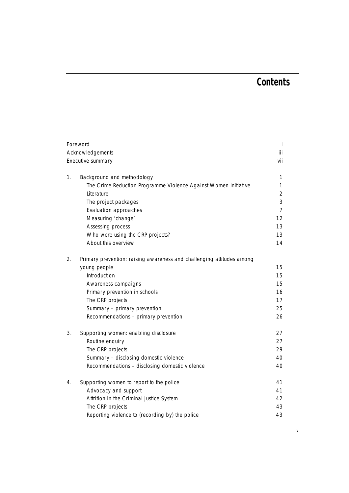# **Contents**

|                  | Foreword                                                              | j.             |
|------------------|-----------------------------------------------------------------------|----------------|
| Acknowledgements |                                                                       | iii            |
|                  | Executive summary                                                     | vii            |
| 1.               | Background and methodology                                            | 1              |
|                  | The Crime Reduction Programme Violence Against Women Initiative       | 1              |
|                  | Literature                                                            | $\overline{2}$ |
|                  | The project packages                                                  | 3              |
|                  | Evaluation approaches                                                 | $\overline{7}$ |
|                  | Measuring 'change'                                                    | 12             |
|                  | Assessing process                                                     | 13             |
|                  | Who were using the CRP projects?                                      | 13             |
|                  | About this overview                                                   | 14             |
| 2.               | Primary prevention: raising awareness and challenging attitudes among |                |
|                  | young people                                                          | 15             |
|                  | Introduction                                                          | 15             |
|                  | Awareness campaigns                                                   | 15             |
|                  | Primary prevention in schools                                         | 16             |
|                  | The CRP projects                                                      | 17             |
|                  | Summary - primary prevention                                          | 25             |
|                  | Recommendations - primary prevention                                  | 26             |
| 3.               | Supporting women: enabling disclosure                                 | 27             |
|                  | Routine enquiry                                                       | 27             |
|                  | The CRP projects                                                      | 29             |
|                  | Summary - disclosing domestic violence                                | 40             |
|                  | Recommendations - disclosing domestic violence                        | 40             |
| 4.               | Supporting women to report to the police                              | 41             |
|                  | Advocacy and support                                                  | 41             |
|                  | Attrition in the Criminal Justice System                              | 42             |
|                  | The CRP projects                                                      | 43             |
|                  | Reporting violence to (recording by) the police                       | 43             |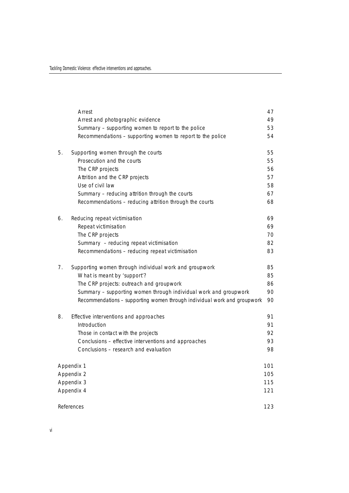|            | Arrest                                                                   | 47  |
|------------|--------------------------------------------------------------------------|-----|
|            | Arrest and photographic evidence                                         | 49  |
|            | Summary - supporting women to report to the police                       | 53  |
|            | Recommendations - supporting women to report to the police               | 54  |
| 5.         | Supporting women through the courts                                      | 55  |
|            | Prosecution and the courts                                               | 55  |
|            | The CRP projects                                                         | 56  |
|            | Attrition and the CRP projects                                           | 57  |
|            | Use of civil law                                                         | 58  |
|            | Summary - reducing attrition through the courts                          | 67  |
|            | Recommendations - reducing attrition through the courts                  | 68  |
| 6.         | Reducing repeat victimisation                                            | 69  |
|            | Repeat victimisation                                                     | 69  |
|            | The CRP projects                                                         | 70  |
|            | Summary - reducing repeat victimisation                                  | 82  |
|            | Recommendations - reducing repeat victimisation                          | 83  |
| 7.         | Supporting women through individual work and groupwork                   | 85  |
|            | What is meant by 'support'?                                              | 85  |
|            | The CRP projects: outreach and groupwork                                 | 86  |
|            | Summary - supporting women through individual work and groupwork         | 90  |
|            | Recommendations - supporting women through individual work and groupwork | 90  |
| 8.         | Effective interventions and approaches                                   | 91  |
|            | Introduction                                                             | 91  |
|            | Those in contact with the projects                                       | 92  |
|            | Conclusions - effective interventions and approaches                     | 93  |
|            | Conclusions - research and evaluation                                    | 98  |
|            | Appendix 1                                                               | 101 |
| Appendix 2 |                                                                          | 105 |
|            | Appendix 3                                                               | 115 |
|            | Appendix 4                                                               | 121 |
|            | References                                                               | 123 |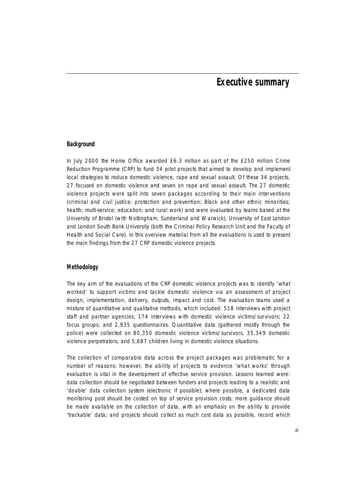## **Executive summary**

#### **Background**

In July 2000 the Home Office awarded £6.3 million as part of the £250 million Crime Reduction Programme (CRP) to fund 34 pilot projects that aimed to develop and implement local strategies to reduce domestic violence, rape and sexual assault. Of these 34 projects, 27 focused on domestic violence and seven on rape and sexual assault. The 27 domestic violence projects were split into seven packages according to their main interventions (criminal and civil justice; protection and prevention; Black and other ethnic minorities; health; multi-service; education; and rural work) and were evaluated by teams based at the University of Bristol (with Nottingham, Sunderland and Warwick), University of East London and London South Bank University (both the Criminal Policy Research Unit and the Faculty of Health and Social Care). In this overview material from all the evaluations is used to present the main findings from the 27 CRP domestic violence projects.

#### **Methodology**

The key aim of the evaluations of the CRP domestic violence projects was to identify 'what worked' to support victims and tackle domestic violence via an assessment of project design, implementation, delivery, outputs, impact and cost. The evaluation teams used a mixture of quantitative and qualitative methods, which included: 518 interviews with project staff and partner agencies; 174 interviews with domestic violence victims/survivors; 22 focus groups; and 2,935 questionnaires. Quantitative data (gathered mostly through the police) were collected on 80,350 domestic violence victims/survivors, 35,349 domestic violence perpetrators, and 5,687 children living in domestic violence situations.

The collection of comparable data across the project packages was problematic for a number of reasons; however, the ability of projects to evidence 'what works' through evaluation is vital in the development of effective service provision. Lessons learned were: data collection should be negotiated between funders and projects leading to a realistic and 'doable' data collection system (electronic if possible); where possible, a dedicated data monitoring post should be costed on top of service provision costs; more guidance should be made available on the collection of data, with an emphasis on the ability to provide 'trackable' data; and projects should collect as much cost data as possible, record which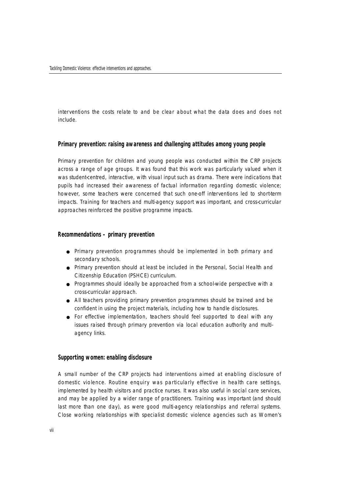interventions the costs relate to and be clear about what the data does and does not include.

#### **Primary prevention: raising awareness and challenging attitudes among young people**

Primary prevention for children and young people was conducted within the CRP projects across a range of age groups. It was found that this work was particularly valued when it was student-centred, interactive, with visual input such as drama. There were indications that pupils had increased their awareness of factual information regarding domestic violence; however, some teachers were concerned that such one-off interventions led to short-term impacts. Training for teachers and multi-agency support was important, and cross-curricular approaches reinforced the positive programme impacts.

#### **Recommendations – primary prevention**

- Primary prevention programmes should be implemented in both primary and secondary schools.
- Primary prevention should at least be included in the Personal, Social Health and Citizenship Education (PSHCE) curriculum.
- Programmes should ideally be approached from a school-wide perspective with a cross-curricular approach.
- All teachers providing primary prevention programmes should be trained and be confident in using the project materials, including how to handle disclosures.
- For effective implementation, teachers should feel supported to deal with any issues raised through primary prevention via local education authority and multiagency links.

#### **Supporting women: enabling disclosure**

A small number of the CRP projects had interventions aimed at enabling disclosure of domestic violence. Routine enquiry was particularly effective in health care settings, implemented by health visitors and practice nurses. It was also useful in social care services, and may be applied by a wider range of practitioners. Training was important (and should last more than one day), as were good multi-agency relationships and referral systems. Close working relationships with specialist domestic violence agencies such as Women's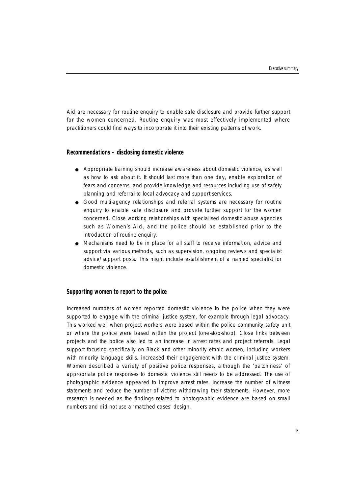Aid are necessary for routine enquiry to enable safe disclosure and provide further support for the women concerned. Routine enquiry was most effectively implemented where practitioners could find ways to incorporate it into their existing patterns of work.

#### **Recommendations – disclosing domestic violence**

- Appropriate training should increase awareness about domestic violence, as well as how to ask about it. It should last more than one day, enable exploration of fears and concerns, and provide knowledge and resources including use of safety planning and referral to local advocacy and support services.
- Good multi-agency relationships and referral systems are necessary for routine enquiry to enable safe disclosure and provide further support for the women concerned. Close working relationships with specialised domestic abuse agencies such as Women's Aid, and the police should be established prior to the introduction of routine enquiry.
- Mechanisms need to be in place for all staff to receive information, advice and support via various methods, such as supervision, ongoing reviews and specialist advice/support posts. This might include establishment of a named specialist for domestic violence.

#### **Supporting women to report to the police**

Increased numbers of women reported domestic violence to the police when they were supported to engage with the criminal justice system, for example through legal advocacy. This worked well when project workers were based within the police community safety unit or where the police were based within the project (one-stop-shop). Close links between projects and the police also led to an increase in arrest rates and project referrals. Legal support focusing specifically on Black and other minority ethnic women, including workers with minority language skills, increased their engagement with the criminal justice system. Women described a variety of positive police responses, although the 'patchiness' of appropriate police responses to domestic violence still needs to be addressed. The use of photographic evidence appeared to improve arrest rates, increase the number of witness statements and reduce the number of victims withdrawing their statements. However, more research is needed as the findings related to photographic evidence are based on small numbers and did not use a 'matched cases' design.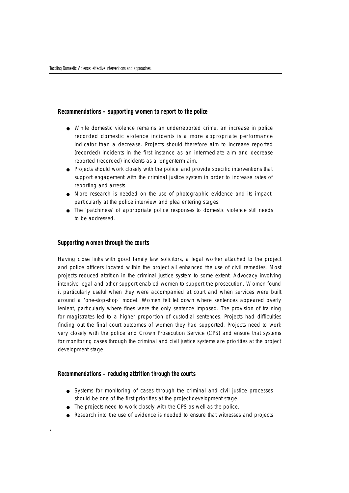#### **Recommendations – supporting women to report to the police**

- While domestic violence remains an underreported crime, an increase in police recorded domestic violence incidents is a more appropriate performance indicator than a decrease. Projects should therefore aim to increase reported (recorded) incidents in the first instance as an intermediate aim and decrease reported (recorded) incidents as a longer-term aim.
- Projects should work closely with the police and provide specific interventions that support engagement with the criminal justice system in order to increase rates of reporting and arrests.
- $\bullet$  More research is needed on the use of photographic evidence and its impact, particularly at the police interview and plea entering stages.
- The 'patchiness' of appropriate police responses to domestic violence still needs to be addressed.

#### **Supporting women through the courts**

Having close links with good family law solicitors, a legal worker attached to the project and police officers located within the project all enhanced the use of civil remedies. Most projects reduced attrition in the criminal justice system to some extent. Advocacy involving intensive legal and other support enabled women to support the prosecution. Women found it particularly useful when they were accompanied at court and when services were built a round a 'one-stop-shop' model. Women felt let down where sentences appeared overly lenient, particularly where fines were the only sentence imposed. The provision of training for magistrates led to a higher proportion of custodial sentences. Projects had difficulties finding out the final court outcomes of women they had supported. Projects need to work very closely with the police and Crown Prosecution Service (CPS) and ensure that systems for monitoring cases through the criminal and civil justice systems are priorities at the project development stage.

#### **Recommendations – reducing attrition through the courts**

- Systems for monitoring of cases through the criminal and civil justice processes should be one of the first priorities at the project development stage.
- The projects need to work closely with the CPS as well as the police.
- Research into the use of evidence is needed to ensure that witnesses and projects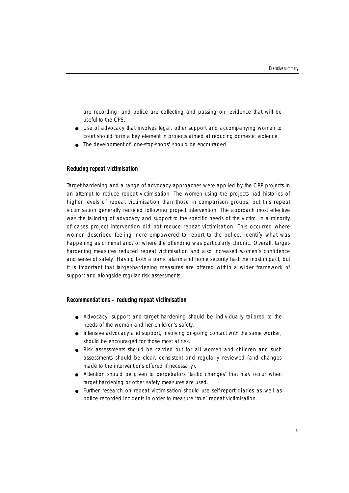are recording, and police are collecting and passing on, evidence that will be useful to the CPS.

- Use of advocacy that involves legal, other support and accompanying women to court should form a key element in projects aimed at reducing domestic violence.
- The development of 'one-stop-shops' should be encouraged.

#### **Reducing repeat victimisation**

Target hardening and a range of advocacy approaches were applied by the CRP projects in an attempt to reduce repeat victimisation. The women using the projects had histories of higher levels of repeat victimisation than those in comparison groups, but this repeat victimisation generally reduced following project intervention. The approach most effective was the tailoring of advocacy and support to the specific needs of the victim. In a minority of cases project intervention did not reduce repeat victimisation. This occurred where women described feeling more empowered to report to the police, identify what was happening as criminal and/or where the offending was particularly chronic. Overall, targethardening measures reduced repeat victimisation and also increased women's confidence and sense of safety. Having both a panic alarm and home security had the most impact, but it is important that target-hardening measures are offered within a wider framework of support and alongside regular risk assessments.

#### **Recommendations – reducing repeat victimisation**

- Advocacy, support and target hardening should be individually tailored to the needs of the woman and her children's safety.
- Intensive advocacy and support, involving on-going contact with the same worker, should be encouraged for those most at risk.
- Risk assessments should be carried out for all women and children and such assessments should be clear, consistent and regularly reviewed (and changes made to the interventions offered if necessary).
- Attention should be given to perpetrators 'tactic changes' that may occur when target hardening or other safety measures are used.
- Further research on repeat victimisation should use self-report diaries as well as police recorded incidents in order to measure 'true' repeat victimisation.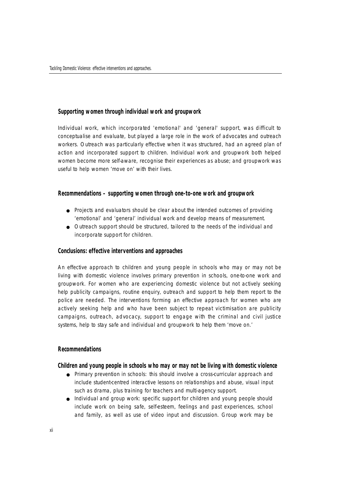#### **Supporting women through individual work and groupwork**

Individual work, which incorporated 'emotional' and 'general' support, was difficult to conceptualise and evaluate, but played a large role in the work of advocates and outreach workers. Outreach was particularly effective when it was structured, had an agreed plan of action and incorporated support to children. Individual work and groupwork both helped women become more self-aware, recognise their experiences as abuse; and groupwork was useful to help women 'move on' with their lives.

#### **Recommendations – supporting women through one-to-one work and groupwork**

- Projects and evaluators should be clear about the intended outcomes of providing 'emotional' and 'general' individual work and develop means of measurement.
- Outreach support should be structured, tailored to the needs of the individual and incorporate support for children.

#### **Conclusions: effective interventions and approaches**

An effective approach to children and young people in schools who may or may not be living with domestic violence involves primary prevention in schools, one-to-one work and groupwork. For women who are experiencing domestic violence but not actively seeking help publicity campaigns, routine enquiry, outreach and support to help them report to the police are needed. The interventions forming an effective approach for women who are actively seeking help and who have been subject to repeat victimisation are publicity campaigns, outreach, advocacy, support to engage with the criminal and civil justice systems, help to stay safe and individual and groupwork to help them 'move on.'

#### **Recommendations**

#### **Children and young people in schools who may or may not be living with domestic violence**

- Primary prevention in schools: this should involve a cross-curricular approach and include student-centred interactive lessons on relationships and abuse, visual input such as drama, plus training for teachers and multi-agency support.
- Individual and group work: specific support for children and young people should include work on being safe, self-esteem, feelings and past experiences, school and family, as well as use of video input and discussion. Group work may be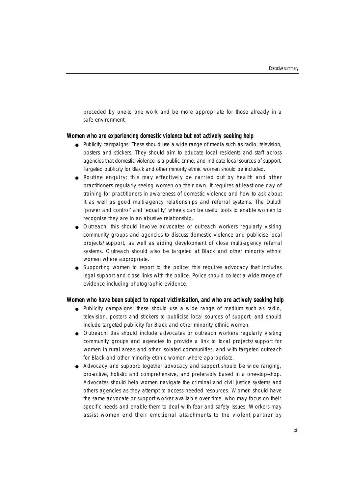preceded by one-to one work and be more appropriate for those already in a safe environment.

#### **Women who are experiencing domestic violence but not actively seeking help**

- Publicity campaigns: These should use a wide range of media such as radio, television, posters and stickers. They should aim to educate local residents and staff across agencies that domestic violence is a public crime, and indicate local sources of support . Targeted publicity for Black and other minority ethnic women should be included.
- Routine enquiry: this may effectively be carried out by health and other practitioners regularly seeing women on their own. It requires at least one day of training for practitioners in awareness of domestic violence and how to ask about it as well as good multi-agency relationships and referral systems. The Duluth 'power and control' and 'equality' wheels can be useful tools to enable women to recognise they are in an abusive relationship.
- Outreach: this should involve advocates or outreach workers regularly visiting community groups and agencies to discuss domestic violence and publicise local projects/support, as well as aiding development of close multi-agency referral systems. Outreach should also be targeted at Black and other minority ethnic women where appropriate.
- Supporting women to report to the police: this requires advocacy that includes legal support and close links with the police. Police should collect a wide range of evidence including photographic evidence.

#### **Women who have been subject to repeat victimisation, and who are actively seeking help**

- Publicity campaigns: these should use a wide range of medium such as radio, television, posters and stickers to publicise local sources of support, and should include targeted publicity for Black and other minority ethnic women.
- Outreach: this should include advocates or outreach workers regularly visiting community groups and agencies to provide a link to local projects/support for women in rural areas and other isolated communities, and with targeted outreach for Black and other minority ethnic women where appropriate.
- Advocacy and support: together advocacy and support should be wide ranging, pro-active, holistic and comprehensive, and preferably based in a one-stop-shop. Advocates should help women navigate the criminal and civil justice systems and others agencies as they attempt to access needed resources. Women should have the same advocate or support worker available over time, who may focus on their specific needs and enable them to deal with fear and safety issues. Workers may assist women end their emotional attachments to the violent partner by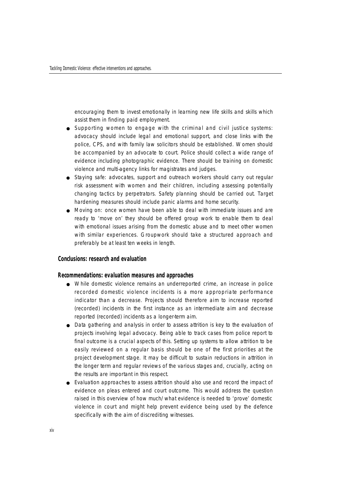encouraging them to invest emotionally in learning new life skills and skills which assist them in finding paid employment.

- Supporting women to engage with the criminal and civil justice systems: advocacy should include legal and emotional support, and close links with the police, CPS, and with family law solicitors should be established. Women should be accompanied by an advocate to court. Police should collect a wide range of evidence including photographic evidence. There should be training on domestic violence and multi-agency links for magistrates and judges.
- Staying safe: advocates, support and outreach workers should carry out regular risk assessment with women and their children, including assessing potentially changing tactics by perpetrators. Safety planning should be carried out. Target hardening measures should include panic alarms and home security.
- Moving on: once women have been able to deal with immediate issues and are ready to 'move on' they should be offered group work to enable them to deal with emotional issues arising from the domestic abuse and to meet other women with similar experiences. Groupwork should take a structured approach and preferably be at least ten weeks in length.

#### **Conclusions: research and evaluation**

#### **Recommendations: evaluation measures and approaches**

- While domestic violence remains an underreported crime, an increase in police recorded domestic violence incidents is a more appropriate performance indicator than a decrease. Projects should therefore aim to increase reported (recorded) incidents in the first instance as an intermediate aim and decrease reported (recorded) incidents as a longer-term aim.
- Data gathering and analysis in order to assess attrition is key to the evaluation of projects involving legal advocacy. Being able to track cases from police report to final outcome is a crucial aspects of this. Setting up systems to allow attrition to be easily reviewed on a regular basis should be one of the first priorities at the project development stage. It may be difficult to sustain reductions in attrition in the longer term and regular reviews of the various stages and, crucially, acting on the results are important in this respect.
- Evaluation approaches to assess attrition should also use and record the impact of evidence on pleas entered and court outcome. This would address the question raised in this overview of how much/what evidence is needed to 'prove' domestic violence in court and might help prevent evidence being used by the defence specifically with the aim of discrediting witnesses.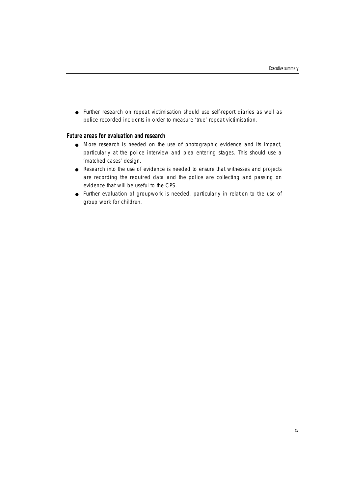● Further research on repeat victimisation should use self-report diaries as well as police recorded incidents in order to measure 'true' repeat victimisation.

#### **Future areas for evaluation and research**

- More research is needed on the use of photographic evidence and its impact, particularly at the police interview and plea entering stages. This should use a 'matched cases' design.
- Research into the use of evidence is needed to ensure that witnesses and projects are recording the required data and the police are collecting and passing on evidence that will be useful to the CPS.
- Further evaluation of groupwork is needed, particularly in relation to the use of group work for children.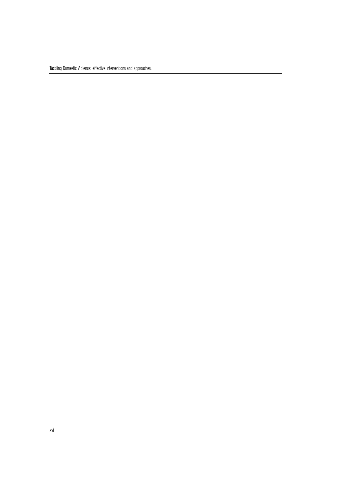Tackling Domestic Violence: effective interventions and approaches.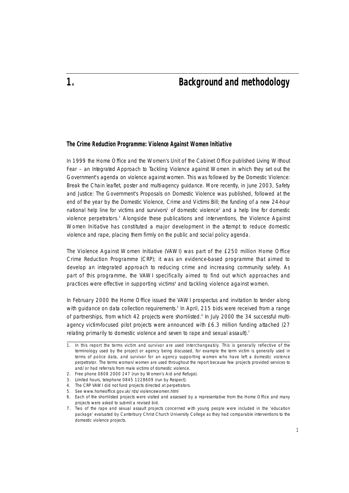## **1. Background and methodology**

#### **The Crime Reduction Programme: Violence Against Women Initiative**

In 1999 the Home Office and the Women's Unit of the Cabinet Office published Living Without Fear – an Integrated Approach to Tackling Violence against Women in which they set out the Government's agenda on violence against women. This was followed by the Domestic Violence: Break the Chain leaflet, poster and multi-agency guidance. More recently, in June 2003, Safety and Justice: The Government's Proposals on Domestic Violence was published, followed at the end of the year by the Domestic Violence, Crime and Victims Bill; the funding of a new 24-hour national help line for victims and survivors<sup>1</sup> of domestic violence<sup>2</sup> and a help line for domestic violence perpetrators.<sup>3</sup> Alongside these publications and interventions, the Violence Against Women Initiative has constituted a major development in the attempt to reduce domestic violence and rape, placing them firmly on the public and social policy agenda.

The Violence Against Women Initiative (VAWI) was part of the £250 million Home Office Crime Reduction Programme (CRP); it was an evidence-based programme that aimed to develop an integrated approach to reducing crime and increasing community safety. As part of this programme, the VAWI specifically aimed to find out which approaches and practices were effective in supporting victims<sup>4</sup> and tackling violence against women.

In February 2000 the Home Office issued the VAWI prospectus and invitation to tender along with guidance on data collection requirements.<sup>5</sup> In April, 215 bids were received from a range of partnerships, from which 42 projects were short-listed.<sup>6</sup> In July 2000 the 34 successful multiagency victim-focused pilot projects were announced with £6.3 million funding attached (27 relating primarily to domestic violence and seven to rape and sexual assault).<sup>7</sup>

<sup>1.</sup> In this report the terms victim and survivor are used interchangeably. This is generally reflective of the terminology used by the project or agency being discussed, for example the term victim is generally used in terms of police data, and survivor for an agency supporting women who have left a domestic violence perpetrator. The terms woman/women are used throughout the report because few projects provided services to and/or had referrals from male victims of domestic violence.

<sup>2.</sup> Free phone 0808 2000 247 (run by Women's Aid and Refuge).

<sup>3.</sup> Limited hours, telephone 0845 1228609 (run by Respect).

<sup>4.</sup> The CRP VAWI did not fund projects directed at perpetrators.

<sup>5.</sup> See www.homeoffice.gov.uk/rds/violencewomen.html

<sup>6.</sup> Each of the short-listed projects were visited and assessed by a representative from the Home Office and many projects were asked to submit a revised bid.

<sup>7.</sup> Two of the rape and sexual assault projects concerned with young people were included in the 'education package' evaluated by Canterbury Christ Church University College as they had comparable interventions to the domestic violence projects.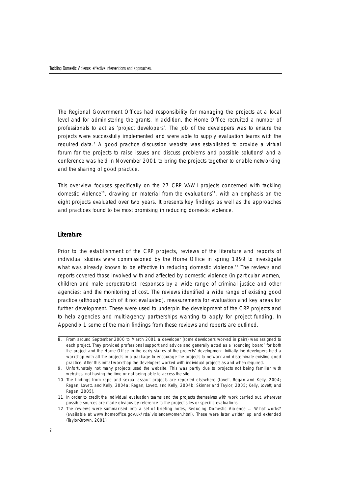The Regional Government Offices had responsibility for managing the projects at a local level and for administering the grants. In addition, the Home Office recruited a number of professionals to act as 'project developers'. The job of the developers was to ensure the projects were successfully implemented and were able to supply evaluation teams with the required data.<sup>8</sup> A good practice discussion website was established to provide a virtual forum for the projects to raise issues and discuss problems and possible solutions<sup>9</sup> and a conference was held in November 2001 to bring the projects together to enable networking and the sharing of good practice.

This overview focuses specifically on the 27 CRP VAWI projects concerned with tackling domestic violence<sup>10</sup>, drawing on material from the evaluations<sup>11</sup>, with an emphasis on the eight projects evaluated over two years. It presents key findings as well as the approaches and practices found to be most promising in reducing domestic violence.

#### **Literature**

Prior to the establishment of the CRP projects, reviews of the literature and reports of individual studies were commissioned by the Home Office in spring 1999 to investigate what was already known to be effective in reducing domestic violence.<sup>12</sup> The reviews and reports covered those involved with and affected by domestic violence (in particular women, children and male perpetrators); responses by a wide range of criminal justice and other agencies; and the monitoring of cost. The reviews identified a wide range of existing good practice (although much of it not evaluated), measurements for evaluation and key areas for further development. These were used to underpin the development of the CRP projects and to help agencies and multi-agency partnerships wanting to apply for project funding. In Appendix 1 some of the main findings from these reviews and reports are outlined.

<sup>8.</sup> From around September 2000 to March 2001 a developer (some developers worked in pairs) was assigned to each project. They provided professional support and advice and generally acted as a 'sounding board' for both the project and the Home Office in the early stages of the projects' development. Initially the developers held a workshop with all the projects in a package to encourage the projects to network and disseminate existing good practice. After this initial workshop the developers worked with individual projects as and when required.

<sup>9.</sup> Unfortunately not many projects used the website. This was partly due to projects not being familiar with websites, not having the time or not being able to access the site.

<sup>10.</sup> The findings from rape and sexual assault projects are reported elsewhere (Lovett, Regan and Kelly, 2004; Regan, Lovett, and Kelly, 2004a; Regan, Lovett, and Kelly, 2004b; Skinner and Taylor, 2005; Kelly, Lovett, and Regan, 2005).

<sup>11.</sup> In order to credit the individual evaluation teams and the projects themselves with work carried out, wherever possible sources are made obvious by reference to the project sites or specific evaluations.

<sup>12.</sup> The reviews were summarised into a set of briefing notes, Reducing Domestic Violence … What works? (available at www.homeoffice.gov.uk/rds/violencewomen.html). These were later written up and extended (Taylor-Brown, 2001).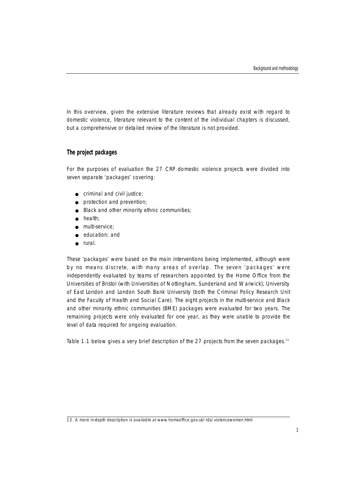In this overview, given the extensive literature reviews that already exist with regard to domestic violence, literature relevant to the content of the individual chapters is discussed, but a comprehensive or detailed review of the literature is not provided.

#### **The project packages**

For the purposes of evaluation the 27 CRP domestic violence projects were divided into seven separate 'packages' covering:

- criminal and civil justice;
- protection and prevention;
- Black and other minority ethnic communities;
- health;
- multi-service;
- education: and
- rural.

These 'packages' were based on the main interventions being implemented, although were by no means discrete, with many areas of overlap. The seven 'packages' were independently evaluated by teams of researchers appointed by the Home Office from the Universities of Bristol (with Universities of Nottingham, Sunderland and Warwick), University of East London and London South Bank University (both the Criminal Policy Research Unit and the Faculty of Health and Social Care). The eight projects in the multi-service and Black and other minority ethnic communities (BME) packages were evaluated for two years. The remaining projects were only evaluated for one year, as they were unable to provide the level of data required for ongoing evaluation.

Table 1.1 below gives a very brief description of the 27 projects from the seven packages.<sup>13</sup>

<sup>13.</sup> A more in-depth description is available at www.homeoffice.gov.uk/rds/violencewomen.html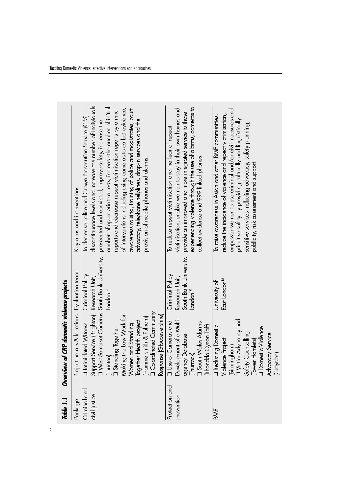| Table 1.1                     | of CRP domestic violence projects<br><b>Overview</b>                                                                                                                                                                                                                                                                                 |                                                                                     |                                                                                                                                                                                                                                                                                                                                                                                                                                                                                                                                                       |
|-------------------------------|--------------------------------------------------------------------------------------------------------------------------------------------------------------------------------------------------------------------------------------------------------------------------------------------------------------------------------------|-------------------------------------------------------------------------------------|-------------------------------------------------------------------------------------------------------------------------------------------------------------------------------------------------------------------------------------------------------------------------------------------------------------------------------------------------------------------------------------------------------------------------------------------------------------------------------------------------------------------------------------------------------|
| Package                       | Project names & locations Evaluation team                                                                                                                                                                                                                                                                                            |                                                                                     | Key aims and interventions                                                                                                                                                                                                                                                                                                                                                                                                                                                                                                                            |
| Criminal and<br>civil justice | Support Service [Brighton] Research Unit,<br>□ West Somerset Cameras South Bank University,<br><b>J</b> Co-ordinated Community<br>Making the Law Work for<br>Response (Gloucestershire)<br>(Hammersmith & Fulham)<br>Women and Standing<br>Together Health project<br><b>Untimidated Witness</b><br>(Taunton)<br>□ Standing Together | Criminal Policy<br>London <sup>14</sup>                                             | discontinuance levels and increase the number of individuals<br>number of appropriate arrests, increase the number of initial<br>of interventions including using cameras to collect evidence,<br>awareness raising, training of police and magistrates, court<br>reports and decrease repeat victimisation reports by a mix<br>To decrease police and Crown Prosecution Service (CPS)<br>advocacy, telephone helplines, drop-in services and the<br>prosecuted and convicted, improve safety, increase the<br>provision of mobile phones and alarms. |
| Protection and<br>prevention  | Development of a Multi-<br><b>Quick</b> of Cameras and<br>(Thurrock)<br>□ South Wales Alarms<br>(Rhondda Cynon Taff)<br>agency Database                                                                                                                                                                                              | South Bank University,<br>Criminal Policy<br>Research Unit,<br>London <sup>15</sup> | experiencing violence through the use of alarms, cameras to<br>victimisation, enable women to stay in their own homes and<br>provide an improved and more integrated service to those<br>To reduce repeat victimisation and the fear of repeat<br>collect evidence and 999-linked phones.                                                                                                                                                                                                                                                             |
| BME                           | □ Reducing Domestic<br>Violence Project<br>(Birmingham)<br>□ Victim Advocacy and<br>(Tower Hamlets)<br>□ Domestic Violence<br>Safety Counselling<br>Advocacy Service<br>$\overline{\epsilon}$<br>Croy                                                                                                                                | East London <sup>16</sup><br>University of                                          | empower women to use criminal and/or civil measures and<br>reduce the incidence of violence and repeat victimisation,<br>To raise awareness in Asian and other BME communities,<br>prioritise satety by providing culturally and linguistically<br>sensitive services including advocacy, safety planning,<br>publicity, risk assessment and support.                                                                                                                                                                                                 |

4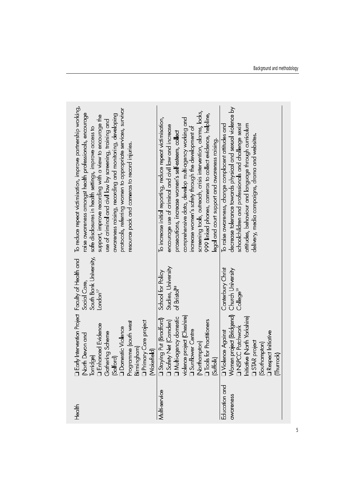| To reduce repeat victimisation, improve partnership working,<br>protocols, reterring women to appropriate services, survivor<br>raise awareness amongst health professionals, encourage<br>awareness raising, recording and monitoring, developing<br>support, improve recording with a view to encourage the<br>use of criminal and civil law by screening, training and<br>sate disclosures in health settings, improve access to<br>resource pack and cameras to record injuries. | screening tools, outreach, crisis intervention, alarms, locks,<br>999 linked phones, cameras to collect evidence, helpline,<br>To increase initial reporting, reduce repeat victimisation,<br>comprehensive data, develop multi-agency working and<br>encourage use of criminal and civil law and increase<br>increase women's safety through the development of<br>prosecutions, increase women's selt-esteem, collect<br>legal and court support and awareness raising. | decrease tolerance towards physical and sexual violence by<br>schoolchildren and professionals and challenge sexist<br>attitudes, behaviour and language through curriculum<br>To raise awareness, change complacent attitudes and<br>delivery, media campaigns, drama and websites. |
|--------------------------------------------------------------------------------------------------------------------------------------------------------------------------------------------------------------------------------------------------------------------------------------------------------------------------------------------------------------------------------------------------------------------------------------------------------------------------------------|---------------------------------------------------------------------------------------------------------------------------------------------------------------------------------------------------------------------------------------------------------------------------------------------------------------------------------------------------------------------------------------------------------------------------------------------------------------------------|--------------------------------------------------------------------------------------------------------------------------------------------------------------------------------------------------------------------------------------------------------------------------------------|
| South Bank University,<br>Social Care,<br>$L$ ondon $^{17}$                                                                                                                                                                                                                                                                                                                                                                                                                          | Studies, University<br>School for Policy<br>of Bristol <sup>18</sup>                                                                                                                                                                                                                                                                                                                                                                                                      | Canterbury Christ<br>Church University<br>College <sup>rs</sup>                                                                                                                                                                                                                      |
| <b>I</b> Early Intervention Project Faculty of Health and<br>Programme (south west<br>Birmingham)<br>□ Primary Care project<br>(Makefield)<br><b>I</b> Enhanced Evidence<br>Gathering Scheme<br>(Salford)<br>□ Domestic Violence<br>(North Devon and<br>Torridge)<br>ge)                                                                                                                                                                                                             | violence project (Cheshire)<br>□ Sunflower Centre<br>(Northampton)<br>□ Tools for Practitioners<br>(Suffolk)<br>3 Safety Net (Camden)<br>3 Multi-agency domestic<br><b>Distaying Put (Bradford)</b>                                                                                                                                                                                                                                                                       | Women project (Bridgend)<br>□ NSPCC Patchwork<br>Initiative (North Yorkshire)<br>Violence Against<br>□ STAR project<br>(Southampton)<br>□ Respect Initiative<br>$\overline{8}$<br>ے<br>E                                                                                             |
| Health                                                                                                                                                                                                                                                                                                                                                                                                                                                                               | Multi service                                                                                                                                                                                                                                                                                                                                                                                                                                                             | Education and<br>awareness                                                                                                                                                                                                                                                           |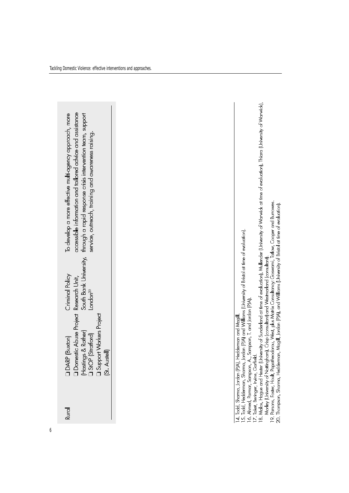| accessible information and tailored advice and assistance<br>To develop a more effective multi-agency approach, more<br>South Bank University, through a rapid response crisis intervention team, support<br>service, outreach, training and awareness raising. |
|-----------------------------------------------------------------------------------------------------------------------------------------------------------------------------------------------------------------------------------------------------------------|
| Criminal Policy<br>ondon <sup>20</sup>                                                                                                                                                                                                                          |
| stic Abuse Project Research Unit,<br><b>Srt Workers Project</b><br>Hastings & Rother)<br><b>コ</b> StOP (Stratford)<br>(Buxton)<br>Domes<br>D Suppo<br>(St Aust                                                                                                  |
| <b>Rural</b>                                                                                                                                                                                                                                                    |

14. Todd, Sharma, Jordan [PJA), Heddemma and Magill.<br>15. Todd, Heddemran, Shama. Jordan [PJA) and Williams (University of Bristol at time of evaluation).<br>16. Ahmed, Pamar, Sampson, A., Sampson, T. and Jordan [PJA).<br>17. Tak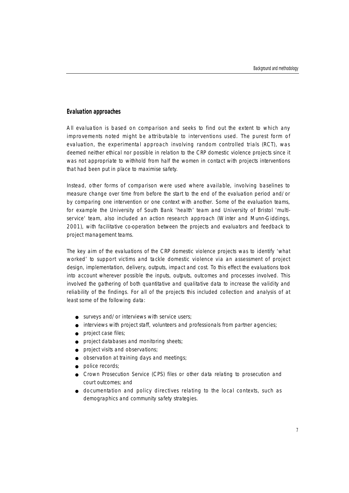#### **Evaluation approaches**

All evaluation is based on comparison and seeks to find out the extent to which any improvements noted might be attributable to interventions used. The purest form of evaluation, the experimental approach involving random controlled trials (RCT), was deemed neither ethical nor possible in relation to the CRP domestic violence projects since it was not appropriate to withhold from half the women in contact with projects interventions that had been put in place to maximise safety.

Instead, other forms of comparison were used where available, involving baselines to measure change over time from before the start to the end of the evaluation period and/or by comparing one intervention or one context with another. Some of the evaluation teams, for example the University of South Bank 'health' team and University of Bristol 'multiservice' team, also included an action research approach (Winter and Munn-Giddings, 2001), with facilitative co-operation between the projects and evaluators and feedback to project management teams.

The key aim of the evaluations of the CRP domestic violence projects was to identify 'what worked' to support victims and tackle domestic violence via an assessment of project design, implementation, delivery, outputs, impact and cost. To this effect the evaluations took into account wherever possible the inputs, outputs, outcomes and processes involved. This involved the gathering of both quantitative and qualitative data to increase the validity and reliability of the findings. For all of the projects this included collection and analysis of at least some of the following data:

- surveys and/or interviews with service users;
- interviews with project staff, volunteers and professionals from partner agencies;
- project case files;
- project databases and monitoring sheets;
- project visits and observations;
- observation at training days and meetings;
- police records;
- Crown Prosecution Service (CPS) files or other data relating to prosecution and court outcomes; and
- documentation and policy directives relating to the local contexts, such as demographics and community safety strategies.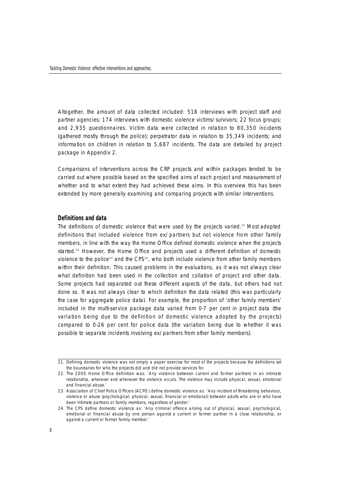Altogether, the amount of data collected included: 518 interviews with project staff and partner agencies; 174 interviews with domestic violence victims/survivors; 22 focus groups; and 2,935 questionnaires. Victim data were collected in relation to 80,350 incidents (gathered mostly through the police); perpetrator data in relation to 35,349 incidents; and information on children in relation to  $5,687$  incidents. The data are detailed by project package in Appendix 2.

Comparisons of interventions across the CRP projects and within packages tended to be carried out where possible based on the specified aims of each project and measurement of whether and to what extent they had achieved these aims. In this overview this has been extended by more generally examining and comparing projects with similar interventions.

#### **Definitions and data**

The definitions of domestic violence that were used by the projects varied.<sup>21</sup> Most adopted definitions that included violence from ex/partners but not violence from other family members, in line with the way the Home Office defined domestic violence when the projects started.<sup>22</sup> However, the Home Office and projects used a different definition of domestic violence to the police<sup>23</sup> and the CPS<sup>24</sup>, who both include violence from other family members within their definition. This caused problems in the evaluations, as it was not always clear what definition had been used in the collection and collation of project and other data. Some projects had separated out these different aspects of the data, but others had not done so. It was not always clear to which definition the data related (this was particularly the case for aggregate police data). For example, the proportion of 'other family members' included in the multi-service package data varied from 0-7 per cent in project data (the variation being due to the definition of domestic violence adopted by the projects) compared to 0-26 per cent for police data (the variation being due to whether it was possible to separate incidents involving ex/partners from other family members).

<sup>21.</sup> Defining domestic violence was not simply a paper exercise for most of the projects because the definitions set the boundaries for who the projects did and did not provide services for.

<sup>22.</sup> The 2000 Home Office definition was: 'Any violence between current and former partners in an intimate relationship, wherever and whenever the violence occurs. The violence may include physical, sexual, emotional and financial abuse.'

<sup>23.</sup> Association of Chief Police Officers (ACPO) define domestic violence as: 'Any incident of threatening behaviour, violence or abuse (psychological, physical, sexual, financial or emotional) between adults who are or who have been intimate partners or family members, regardless of gender.'

<sup>24.</sup> The CPS define domestic violence as: 'Any criminal offence arising out of physical, sexual, psychological, emotional or financial abuse by one person against a current or former partner in a close relationship, or against a current or former family member.'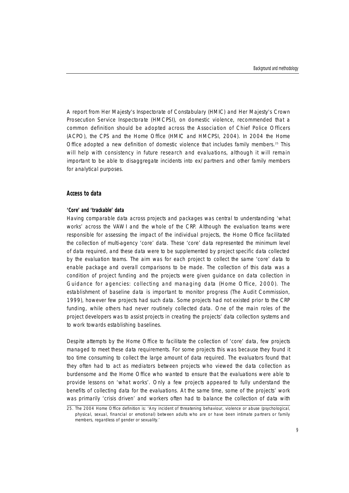A report from Her Majesty's Inspectorate of Constabulary (HMIC) and Her Majesty's Crown Prosecution Service Inspectorate (HMCPSI), on domestic violence, recommended that a common definition should be adopted across the Association of Chief Police Officers (ACPO), the CPS and the Home Office (HMIC and HMCPSI, 2004). In 2004 the Home Office adopted a new definition of domestic violence that includes family members.<sup>25</sup> This will help with consistency in future research and evaluations, although it will remain important to be able to disaggregate incidents into ex/partners and other family members for analytical purposes.

#### **Access to data**

#### **'Core' and 'trackable' data**

Having comparable data across projects and packages was central to understanding 'what works' across the VAWI and the whole of the CRP. Although the evaluation teams were responsible for assessing the impact of the individual projects, the Home Office facilitated the collection of multi-agency 'core' data. These 'core' data represented the minimum level of data required, and these data were to be supplemented by project specific data collected by the evaluation teams. The aim was for each project to collect the same 'core' data to enable package and overall comparisons to be made. The collection of this data was a condition of project funding and the projects were given guidance on data collection in Guidance for agencies: collecting and managing data (Home Office, 2000). The establishment of baseline data is important to monitor progress (The Audit Commission, 1999), however few projects had such data. Some projects had not existed prior to the CRP funding, while others had never routinely collected data. One of the main roles of the project developers was to assist projects in creating the projects' data collection systems and to work towards establishing baselines.

Despite attempts by the Home Office to facilitate the collection of 'core' data, few projects managed to meet these data requirements. For some projects this was because they found it too time consuming to collect the large amount of data required. The evaluators found that they often had to act as mediators between projects who viewed the data collection as burdensome and the Home Office who wanted to ensure that the evaluations were able to p rovide lessons on 'what works'. Only a few projects appeared to fully understand the benefits of collecting data for the evaluations. At the same time, some of the projects' work was primarily 'crisis driven' and workers often had to balance the collection of data with

<sup>25.</sup> The 2004 Home Office definition is: 'Any incident of threatening behaviour, violence or abuse (psychological, physical, sexual, financial or emotional) between adults who are or have been intimate partners or family members, regardless of gender or sexuality.'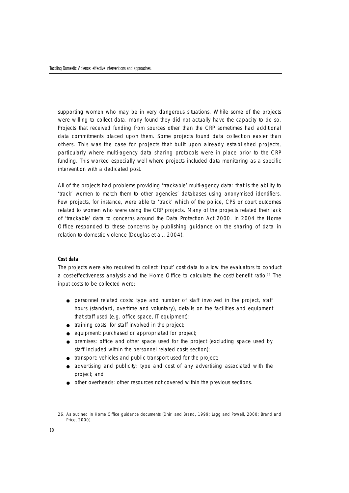supporting women who may be in very dangerous situations. While some of the projects were willing to collect data, many found they did not actually have the capacity to do so. Projects that received funding from sources other than the CRP sometimes had additional data commitments placed upon them. Some projects found data collection easier than others. This was the case for projects that built upon already established projects, particularly where multi-agency data sharing protocols were in place prior to the CRP funding. This worked especially well where projects included data monitoring as a specific intervention with a dedicated post.

All of the projects had problems providing 'trackable' multi-agency data: that is the ability to 'track' women to match them to other agencies' databases using anonymised identifiers. Few projects, for instance, were able to 'track' which of the police, CPS or court outcomes related to women who were using the CRP projects. Many of the projects related their lack of 'trackable' data to concerns around the Data Protection Act 2000. In 2004 the Home Office responded to these concerns by publishing guidance on the sharing of data in relation to domestic violence (Douglas et al., 2004).

#### **Cost data**

The projects were also required to collect 'input' cost data to allow the evaluators to conduct a cost-effectiveness analysis and the Home Office to calculate the cost/benefit ratio.<sup>26</sup> The input costs to be collected were:

- personnel related costs: type and number of staff involved in the project, staff hours (standard, overtime and voluntary), details on the facilities and equipment that staff used (e.g. office space, IT equipment);
- training costs: for staff involved in the project;
- equipment: purchased or appropriated for project;
- premises: office and other space used for the project (excluding space used by staff included within the personnel related costs section);
- transport: vehicles and public transport used for the project;
- advertising and publicity: type and cost of any advertising associated with the project; and
- other overheads: other resources not covered within the previous sections.

<sup>26.</sup> As outlined in Home Office guidance documents (Dhiri and Brand, 1999; Legg and Powell, 2000; Brand and Price, 2000).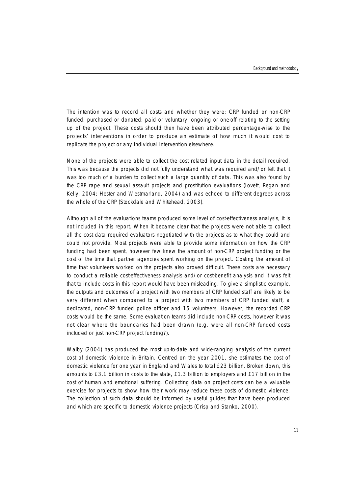The intention was to record all costs and whether they were: CRP funded or non-CRP funded; purchased or donated; paid or voluntary; ongoing or one-off relating to the setting up of the project. These costs should then have been attributed percentage-wise to the p rojects' interventions in order to produce an estimate of how much it would cost to replicate the project or any individual intervention elsewhere.

None of the projects were able to collect the cost related input data in the detail required. This was because the projects did not fully understand what was required and/or felt that it was too much of a burden to collect such a large quantity of data. This was also found by the CRP rape and sexual assault projects and prostitution evaluations (Lovett, Regan and Kelly, 2004; Hester and Westmarland, 2004) and was echoed to different degrees across the whole of the CRP (Stockdale and Whitehead, 2003).

Although all of the evaluations teams produced some level of cost-effectiveness analysis, it is not included in this report. When it became clear that the projects were not able to collect all the cost data required evaluators negotiated with the projects as to what they could and could not provide. Most projects were able to provide some information on how the CRP funding had been spent, however few knew the amount of non-CRP project funding or the cost of the time that partner agencies spent working on the project. Costing the amount of time that volunteers worked on the projects also proved difficult. These costs are necessary to conduct a reliable cost-effectiveness analysis and/or cost-benefit analysis and it was felt that to include costs in this report would have been misleading. To give a simplistic example, the outputs and outcomes of a project with two members of CRP funded staff are likely to be very different when compared to a project with two members of CRP funded staff, a dedicated, non-CRP funded police officer and 15 volunteers. However, the recorded CRP costs would be the same. Some evaluation teams did include non-CRP costs, however it was not clear where the boundaries had been drawn (e.g. were all non-CRP funded costs included or just non-CRP project funding?).

Walby (2004) has produced the most up-to-date and wide-ranging analysis of the current cost of domestic violence in Britain. Centred on the year 2001, she estimates the cost of domestic violence for one year in England and Wales to total £23 billion. Broken down, this amounts to £3.1 billion in costs to the state, £1.3 billion to employers and £17 billion in the cost of human and emotional suffering. Collecting data on project costs can be a valuable exercise for projects to show how their work may reduce these costs of domestic violence. The collection of such data should be informed by useful guides that have been produced and which are specific to domestic violence projects (Crisp and Stanko, 2000).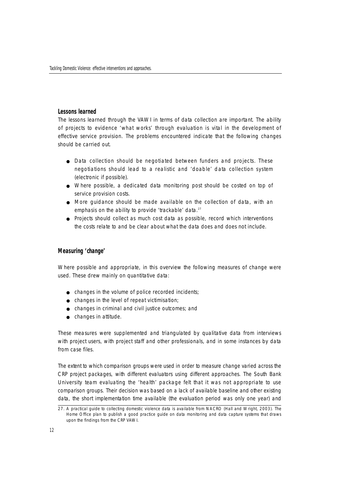#### **Lessons learned**

The lessons learned through the VAWI in terms of data collection are important. The ability of projects to evidence 'what works' through evaluation is vital in the development of effective service provision. The problems encountered indicate that the following changes should be carried out.

- Data collection should be negotiated between funders and projects. These negotiations should lead to a realistic and 'doable' data collection system (electronic if possible).
- Where possible, a dedicated data monitoring post should be costed on top of service provision costs.
- More quidance should be made available on the collection of data, with an emphasis on the ability to provide 'trackable' data.<sup>27</sup>
- Projects should collect as much cost data as possible, record which interventions the costs relate to and be clear about what the data does and does not include.

#### **Measuring 'change'**

Where possible and appropriate, in this overview the following measures of change were used. These drew mainly on quantitative data:

- changes in the volume of police recorded incidents;
- changes in the level of repeat victimisation;
- changes in criminal and civil justice outcomes; and
- changes in attitude.

These measures were supplemented and triangulated by qualitative data from interviews with project users, with project staff and other professionals, and in some instances by data from case files.

The extent to which comparison groups were used in order to measure change varied across the CRP project packages, with different evaluators using different approaches. The South Bank University team evaluating the 'health' package felt that it was not appropriate to use comparison groups. Their decision was based on a lack of available baseline and other existing data, the short implementation time available (the evaluation period was only one year) and

<sup>27.</sup> A practical guide to collecting domestic violence data is available from NACRO (Hall and Wright, 2003). The Home Office plan to publish a good practice guide on data monitoring and data capture systems that draws upon the findings from the CRP VAWI.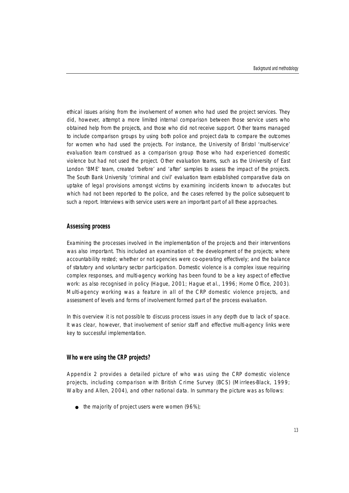ethical issues arising from the involvement of women who had used the project services. They did, however, attempt a more limited internal comparison between those service users who obtained help from the projects, and those who did not receive support. Other teams managed to include comparison groups by using both police and project data to compare the outcomes for women who had used the projects. For instance, the University of Bristol 'multi-service' evaluation team construed as a comparison group those who had experienced domestic violence but had not used the project. Other evaluation teams, such as the University of East London 'BME' team, created 'before' and 'after' samples to assess the impact of the projects. The South Bank University 'criminal and civil' evaluation team established comparative data on uptake of legal provisions amongst victims by examining incidents known to advocates but which had not been reported to the police, and the cases referred by the police subsequent to such a report. Interviews with service users were an important part of all these approaches.

#### **Assessing process**

Examining the processes involved in the implementation of the projects and their interventions was also important. This included an examination of: the development of the projects; where accountability rested; whether or not agencies were co-operating effectively; and the balance of statutory and voluntary sector participation. Domestic violence is a complex issue requiring complex responses, and multi-agency working has been found to be a key aspect of effective work: as also recognised in policy (Hague, 2001; Hague et al., 1996; Home Office, 2003). Multi-agency working was a feature in all of the CRP domestic violence projects, and assessment of levels and forms of involvement formed part of the process evaluation.

In this overview it is not possible to discuss process issues in any depth due to lack of space. It was clear, however, that involvement of senior staff and effective multi-agency links were key to successful implementation.

#### **Who were using the CRP projects?**

Appendix 2 provides a detailed picture of who was using the CRP domestic violence p rojects, including comparison with British Crime Survey (BCS) (Mirrlees-Black, 1999; Walby and Allen, 2004), and other national data. In summary the picture was as follows:

 $\bullet$  the majority of project users were women (96%);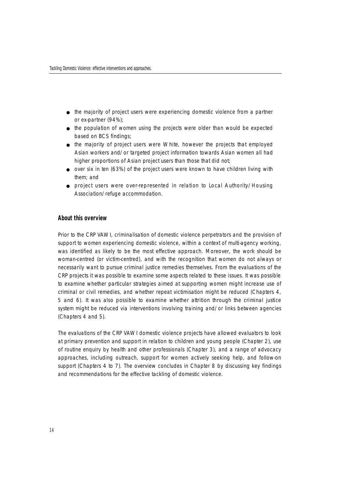- the majority of project users were experiencing domestic violence from a partner or ex-partner (94%);
- the population of women using the projects were older than would be expected based on BCS findings;
- the majority of project users were White, however the projects that employed Asian workers and/or targeted project information towards Asian women all had higher proportions of Asian project users than those that did not;
- over six in ten (63%) of the project users were known to have children living with them; and
- project users were over-represented in relation to Local Authority/Housing Association/refuge accommodation.

#### **About this overview**

Prior to the CRP VAWI, criminalisation of domestic violence perpetrators and the provision of support to women experiencing domestic violence, within a context of multi-agency working, was identified as likely to be the most effective approach. Moreover, the work should be woman-centred (or victim-centred), and with the recognition that women do not always or necessarily want to pursue criminal justice remedies themselves. From the evaluations of the CRP projects it was possible to examine some aspects related to these issues. It was possible to examine whether particular strategies aimed at supporting women might increase use of criminal or civil remedies, and whether repeat victimisation might be reduced (Chapters 4, 5 and 6). It was also possible to examine whether attrition through the criminal justice system might be reduced via interventions involving training and/or links between agencies (Chapters 4 and 5).

The evaluations of the CRP VAWI domestic violence projects have allowed evaluators to look at primary prevention and support in relation to children and young people (Chapter 2), use of routine enquiry by health and other professionals (Chapter 3), and a range of advocacy approaches, including outreach, support for women actively seeking help, and follow-on support (Chapters 4 to 7). The overview concludes in Chapter 8 by discussing key findings and recommendations for the effective tackling of domestic violence.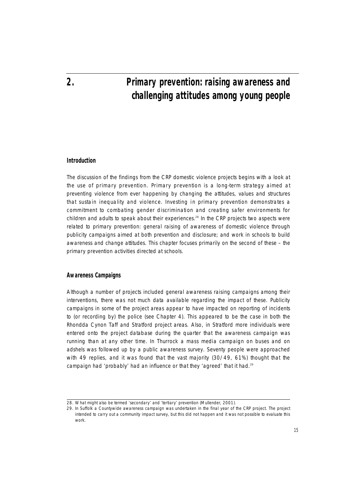# **2. Primary prevention: raising awareness and challenging attitudes among young people**

#### **Introduction**

The discussion of the findings from the CRP domestic violence projects begins with a look at the use of primary prevention. Primary prevention is a long-term strategy aimed at preventing violence from ever happening by changing the attitudes, values and structures that sustain inequality and violence. Investing in primary prevention demonstrates a commitment to combating gender discrimination and creating safer environments for children and adults to speak about their experiences.<sup>28</sup> In the CRP projects two aspects were related to primary prevention: general raising of awareness of domestic violence through publicity campaigns aimed at both prevention and disclosure; and work in schools to build awareness and change attitudes. This chapter focuses primarily on the second of these – the primary prevention activities directed at schools.

#### **Awareness Campaigns**

Although a number of projects included general awareness raising campaigns among their interventions, there was not much data available regarding the impact of these. Publicity campaigns in some of the project areas appear to have impacted on reporting of incidents to (or recording by) the police (see Chapter 4). This appeared to be the case in both the Rhondda Cynon Taff and Stratford project areas. Also, in Stratford more individuals were entered onto the project database during the quarter that the awareness campaign was running than at any other time. In Thurrock a mass media campaign on buses and on adshels was followed up by a public awareness survey. Seventy people were approached with 49 replies, and it was found that the vast majority (30/49, 61%) thought that the campaign had 'probably' had an influence or that they 'agreed' that it had.<sup>29</sup>

<sup>28.</sup> What might also be termed 'secondary' and 'tertiary' prevention (Mullender, 2001).

<sup>29.</sup> In Suffolk a Countywide awareness campaign was undertaken in the final year of the CRP project. The project intended to carry out a community impact survey, but this did not happen and it was not possible to evaluate this work.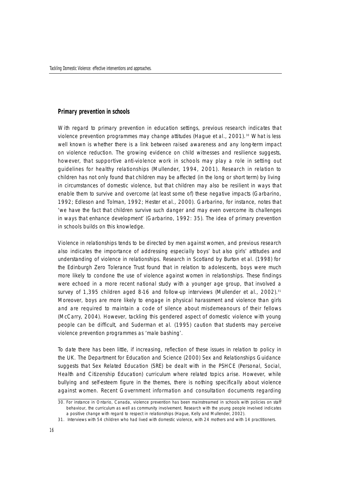#### **Primary prevention in schools**

With regard to primary prevention in education settings, previous research indicates that violence prevention programmes may change attitudes (Hague et al., 2001).<sup>30</sup> What is less well known is whether there is a link between raised awareness and any long-term impact on violence reduction. The growing evidence on child witnesses and resilience suggests, however, that supportive anti-violence work in schools may play a role in setting out guidelines for healthy relationships (Mullender, 1994, 2001). Research in relation to children has not only found that children may be affected (in the long or short term) by living in circumstances of domestic violence, but that children may also be resilient in ways that enable them to survive and overcome (at least some of) these negative impacts (Garbarino, 1992; Edleson and Tolman, 1992; Hester et al., 2000). Garbarino, for instance, notes that 'we have the fact that children survive such danger and may even overcome its challenges in ways that enhance development' (Garbarino, 1992: 35). The idea of primary prevention in schools builds on this knowledge.

Violence in relationships tends to be directed by men against women, and previous research also indicates the importance of addressing especially boys' but also girls' attitudes and understanding of violence in relationships. Research in Scotland by Burton et al. (1998) for the Edinburgh Zero Tolerance Trust found that in relation to adolescents, boys were much more likely to condone the use of violence against women in relationships. These findings were echoed in a more recent national study with a younger age group, that involved a survey of 1,395 children aged 8-16 and follow-up interviews (Mullender et al., 2002).<sup>31</sup> Moreover, boys are more likely to engage in physical harassment and violence than girls and are required to maintain a code of silence about misdemeanours of their fellows (McCarry, 2004). However, tackling this gendered aspect of domestic violence with young people can be difficult, and Suderman et al. (1995) caution that students may perceive violence prevention programmes as 'male bashing'.

To date there has been little, if increasing, reflection of these issues in relation to policy in the UK. The Department for Education and Science (2000) Sex and Relationships Guidance suggests that Sex Related Education (SRE) be dealt with in the PSHCE (Personal, Social, Health and Citizenship Education) curriculum where related topics arise. However, while bullying and self-esteem figure in the themes, there is nothing specifically about violence against women. Recent Government information and consultation documents regarding

<sup>30.</sup> For instance in Ontario, Canada, violence prevention has been mainstreamed in schools with policies on staff behaviour, the curriculum as well as community involvement. Research with the young people involved indicates a positive change with regard to respect in relationships (Hague, Kelly and Mullender, 2002).

<sup>31.</sup> Interviews with 54 children who had lived with domestic violence, with 24 mothers and with 14 practitioners.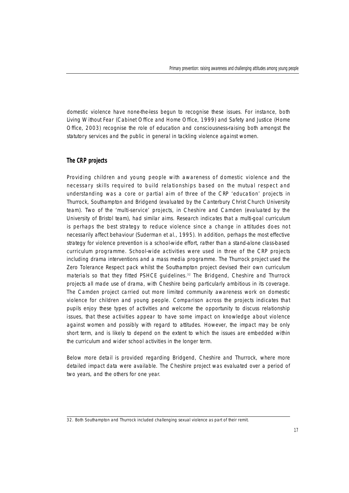domestic violence have none-the-less begun to recognise these issues. For instance, both Living Without Fear (Cabinet Office and Home Office, 1999) and Safety and Justice (Home Office, 2003) recognise the role of education and consciousness-raising both amongst the statutory services and the public in general in tackling violence against women.

#### **The CRP projects**

Providing children and young people with awareness of domestic violence and the necessary skills required to build relationships based on the mutual respect and understanding was a core or partial aim of three of the CRP 'education' projects in Thurrock, Southampton and Bridgend (evaluated by the Canterbury Christ Church University team). Two of the 'multi-service' projects, in Cheshire and Camden (evaluated by the University of Bristol team), had similar aims. Research indicates that a multi-goal curriculum is perhaps the best strategy to reduce violence since a change in attitudes does not necessarily affect behaviour (Suderman et al., 1995). In addition, perhaps the most effective strategy for violence prevention is a school-wide effort, rather than a stand-alone class-based curriculum programme. School-wide activities were used in three of the CRP projects including drama interventions and a mass media programme. The Thurrock project used the Zero Tolerance Respect pack whilst the Southampton project devised their own curriculum materials so that they fitted PSHCE quidelines. $32$  The Bridgend, Cheshire and Thurrock projects all made use of drama, with Cheshire being particularly ambitious in its coverage. The Camden project carried out more limited community awareness work on domestic violence for children and young people. Comparison across the projects indicates that pupils enjoy these types of activities and welcome the opportunity to discuss relationship issues, that these activities appear to have some impact on knowledge about violence against women and possibly with regard to attitudes. However, the impact may be only short term, and is likely to depend on the extent to which the issues are embedded within the curriculum and wider school activities in the longer term.

Below more detail is provided regarding Bridgend, Cheshire and Thurrock, where more detailed impact data were available. The Cheshire project was evaluated over a period of two years, and the others for one year.

<sup>32.</sup> Both Southampton and Thurrock included challenging sexual violence as part of their remit.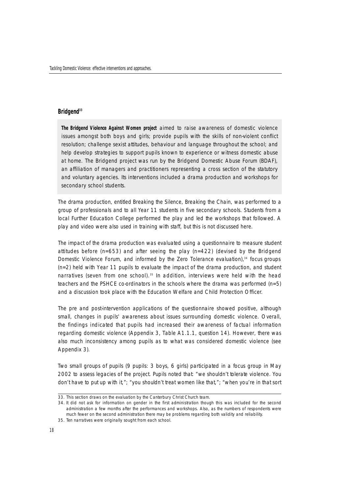#### **Bridgend<sup>33</sup>**

**The Bridgend Violence Against Women project** aimed to raise awareness of domestic violence issues amongst both boys and girls; provide pupils with the skills of non-violent conflict resolution; challenge sexist attitudes, behaviour and language throughout the school; and help develop strategies to support pupils known to experience or witness domestic abuse at home. The Bridgend project was run by the Bridgend Domestic Abuse Forum (BDAF), an affiliation of managers and practitioners representing a cross section of the statutory and voluntary agencies. Its interventions included a drama production and workshops for secondary school students.

The drama production, entitled Breaking the Silence, Breaking the Chain, was performed to a group of professionals and to all Year 11 students in five secondary schools. Students from a local Further Education College performed the play and led the workshops that followed. A play and video were also used in training with staff, but this is not discussed here.

The impact of the drama production was evaluated using a questionnaire to measure student attitudes before ( $n=653$ ) and after seeing the play ( $n=422$ ) (devised by the Bridgend Domestic Violence Forum, and informed by the Zero Tolerance evaluation),<sup>34</sup> focus groups (n=2) held with Year 11 pupils to evaluate the impact of the drama production, and student narratives (seven from one school).<sup>35</sup> In addition, interviews were held with the head teachers and the PSHCE co-ordinators in the schools where the drama was performed (n=5) and a discussion took place with the Education Welfare and Child Protection Officer.

The pre and post-intervention applications of the questionnaire showed positive, although small, changes in pupils' awareness about issues surrounding domestic violence. Overall, the findings indicated that pupils had increased their awareness of factual information regarding domestic violence (Appendix 3, Table A1.1.1, question 14). However, there was also much inconsistency among pupils as to what was considered domestic violence (see Appendix 3).

Two small groups of pupils (9 pupils: 3 boys, 6 girls) participated in a focus group in May 2002 to assess legacies of the project. Pupils noted that: "we shouldn't tolerate violence. You don't have to put up with it,"; "you shouldn't treat women like that,"; "when you're in that sort

<sup>33.</sup> This section draws on the evaluation by the Canterbury Christ Church team.

<sup>34.</sup> It did not ask for information on gender in the first administration though this was included for the second administration a few months after the performances and workshops. Also, as the numbers of respondents were much fewer on the second administration there may be problems regarding both validity and reliability.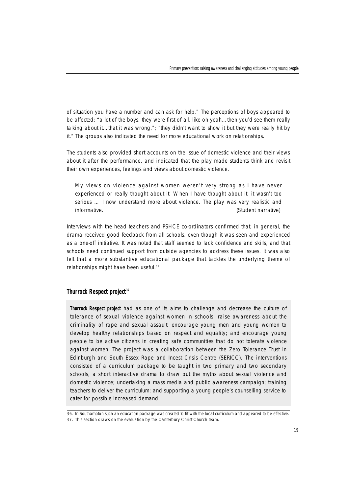of situation you have a number and can ask for help." The perceptions of boys appeared to be affected: "a lot of the boys, they were first of all, like oh yeah...then you'd see them really talking about it…that it was wrong,"; "they didn't want to show it but they were really hit by it." The groups also indicated the need for more educational work on relationships.

The students also provided short accounts on the issue of domestic violence and their views about it after the performance, and indicated that the play made students think and revisit their own experiences, feelings and views about domestic violence.

My views on violence against women weren't very strong as I have never experienced or really thought about it. When I have thought about it, it wasn't too serious … I now understand more about violence. The play was very realistic and informative. The contractive of the contractive of the contractive of the contractive of the contractive)

Interviews with the head teachers and PSHCE co-ordinators confirmed that, in general, the drama received good feedback from all schools, even though it was seen and experienced as a one-off initiative. It was noted that staff seemed to lack confidence and skills, and that schools need continued support from outside agencies to address these issues. It was also felt that a more substantive educational package that tackles the underlying theme of relationships might have been useful.<sup>36</sup>

# **Thurrock Respect project<sup>37</sup>**

Thurrock Respect project had as one of its aims to challenge and decrease the culture of tolerance of sexual violence against women in schools; raise awareness about the criminality of rape and sexual assault; encourage young men and young women to develop healthy relationships based on respect and equality; and encourage young people to be active citizens in creating safe communities that do not tolerate violence against women. The project was a collaboration between the Zero Tolerance Trust in Edinburgh and South Essex Rape and Incest Crisis Centre (SERICC). The interventions consisted of a curriculum package to be taught in two primary and two secondary schools, a short interactive drama to draw out the myths about sexual violence and domestic violence; undertaking a mass media and public awareness campaign; training teachers to deliver the curriculum; and supporting a young people's counselling service to cater for possible increased demand.

<sup>36.</sup> In Southampton such an education package was created to fit with the local curriculum and appeared to be effective.

<sup>37.</sup> This section draws on the evaluation by the Canterbury Christ Church team.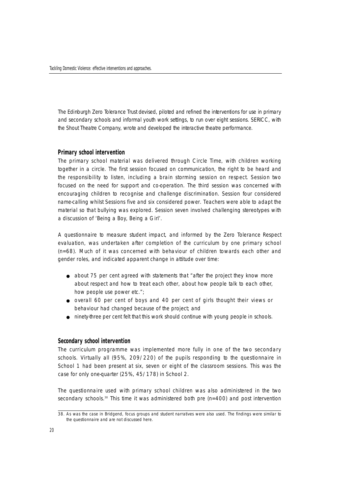The Edinburgh Zero Tolerance Trust devised, piloted and refined the interventions for use in primary and secondary schools and informal youth work settings, to run over eight sessions. SERICC, with the Shout Theatre Company, wrote and developed the interactive theatre performance.

#### **Primary school intervention**

The primary school material was delivered through Circle Time, with children working together in a circle. The first session focused on communication, the right to be heard and the responsibility to listen, including a brain storming session on respect. Session two focused on the need for support and co-operation. The third session was concerned with encouraging children to recognise and challenge discrimination. Session four considered name-calling whilst Sessions five and six considered power. Teachers were able to adapt the material so that bullying was explored. Session seven involved challenging stereotypes with a discussion of 'Being a Boy, Being a Girl'.

A questionnaire to measure student impact, and informed by the Zero Tolerance Respect evaluation, was undertaken after completion of the curriculum by one primary school (n=68). Much of it was concerned with behaviour of children towards each other and gender roles, and indicated apparent change in attitude over time:

- about 75 per cent agreed with statements that "after the project they know more about respect and how to treat each other, about how people talk to each other, how people use power etc.";
- overall 60 per cent of boys and 40 per cent of girls thought their views or behaviour had changed because of the project; and
- ninety-three per cent felt that this work should continue with young people in schools.

## **Secondary school intervention**

The curriculum programme was implemented more fully in one of the two secondary schools. Vi rtually all (95%, 209/220) of the pupils responding to the questionnaire in School 1 had been present at six, seven or eight of the classroom sessions. This was the case for only one-quarter (25%, 45/178) in School 2.

The questionnaire used with primary school children was also administered in the two secondary schools.<sup>38</sup> This time it was administered both pre (n=400) and post intervention

<sup>38.</sup> As was the case in Bridgend, focus groups and student narratives were also used. The findings were similar to the questionnaire and are not discussed here.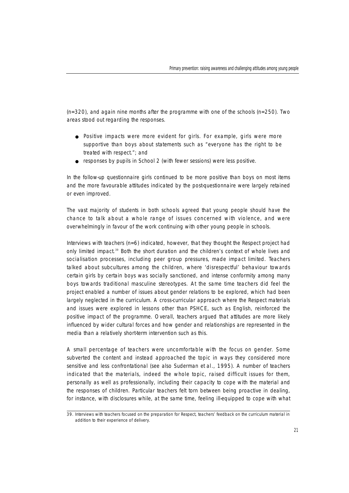(n=320), and again nine months after the programme with one of the schools (n=250). Two areas stood out regarding the responses.

- Positive impacts were more evident for girls. For example, girls were more supportive than boys about statements such as "everyone has the right to be treated with respect."; and
- responses by pupils in School 2 (with fewer sessions) were less positive.

In the follow-up questionnaire girls continued to be more positive than boys on most items and the more favourable attitudes indicated by the post-questionnaire were largely retained or even improved.

The vast majority of students in both schools agreed that young people should have the chance to talk about a whole range of issues concerned with violence, and were overwhelmingly in favour of the work continuing with other young people in schools.

Interviews with teachers (n=6) indicated, however, that they thought the Respect project had only limited impact.<sup>39</sup> Both the short duration and the children's context of whole lives and socialisation processes, including peer group pressures, made impact limited. Teachers talked about subcultures among the children, where 'disrespectful' behaviour towards certain girls by certain boys was socially sanctioned, and intense conformity among many boys towards traditional masculine stereotypes. At the same time teachers did feel the project enabled a number of issues about gender relations to be explored, which had been largely neglected in the curriculum. A cross-curricular approach where the Respect materials and issues were explored in lessons other than PSHCE, such as English, reinforced the positive impact of the programme. Overall, teachers argued that attitudes are more likely influenced by wider cultural forces and how gender and relationships are represented in the media than a relatively short-term intervention such as this.

A small percentage of teachers were uncomfortable with the focus on gender. Some subverted the content and instead approached the topic in ways they considered more sensitive and less confrontational (see also Suderman et al., 1995). A number of teachers indicated that the materials, indeed the whole topic, raised difficult issues for them, personally as well as professionally, including their capacity to cope with the material and the responses of children. Particular teachers felt torn between being proactive in dealing, for instance, with disclosures while, at the same time, feeling ill-equipped to cope with what

<sup>39.</sup> Interviews with teachers focused on the preparation for Respect, teachers' feedback on the curriculum material in addition to their experience of delivery.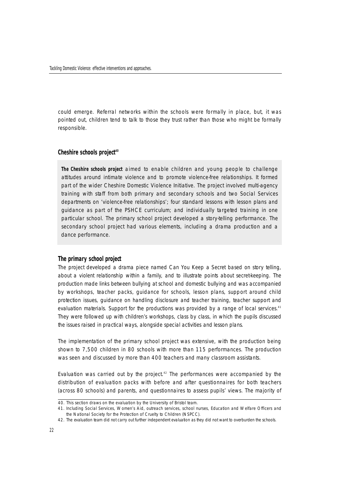could emerge. Referral networks within the schools were formally in place, but, it was pointed out, children tend to talk to those they trust rather than those who might be formally responsible.

# **Cheshire schools project<sup>40</sup>**

The Cheshire schools project aimed to enable children and young people to challenge attitudes around intimate violence and to promote violence-free relationships. It formed part of the wider Cheshire Domestic Violence Initiative. The project involved multi-agency training with staff from both primary and secondary schools and two Social Services departments on 'violence-free relationships'; four standard lessons with lesson plans and guidance as part of the PSHCE curriculum; and individually targeted training in one particular school. The primary school project developed a story-telling performance. The secondary school project had various elements, including a drama production and a dance performance.

## **The primary school project**

The project developed a drama piece named Can You Keep a Secret based on story telling, about a violent relationship within a family, and to illustrate points about secret-keeping. The p roduction made links between bullying at school and domestic bullying and was accompanied by workshops, teacher packs, guidance for schools, lesson plans, support around child p rotection issues, guidance on handling disclosure and teacher training, teacher support and evaluation materials. Support for the productions was provided by a range of local services.<sup>41</sup> They were followed up with children's workshops, class by class, in which the pupils discussed the issues raised in practical ways, alongside special activities and lesson plans.

The implementation of the primary school project was extensive, with the production being shown to 7,500 children in 80 schools with more than 115 performances. The production was seen and discussed by more than 400 teachers and many classroom assistants.

Evaluation was carried out by the project.<sup>42</sup> The performances were accompanied by the distribution of evaluation packs with before and after questionnaires for both teachers (across 80 schools) and parents, and questionnaires to assess pupils' views. The majority of

<sup>40.</sup> This section draws on the evaluation by the University of Bristol team.

<sup>41.</sup> Including Social Services, Women's Aid, outreach services, school nurses, Education and Welfare Officers and the National Society for the Protection of Cruelty to Children (NSPCC).

<sup>42.</sup> The evaluation team did not carry out further independent evaluation as they did not want to overburden the schools.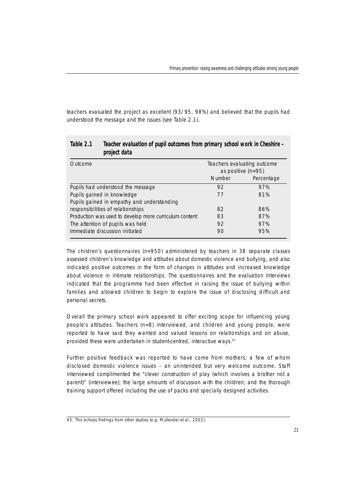teachers evaluated the project as excellent (93/95, 98%) and believed that the pupils had understood the message and the issues (see Table 2.1).

| project uutu                                           |                                                     |            |  |  |
|--------------------------------------------------------|-----------------------------------------------------|------------|--|--|
| <b>Outcome</b>                                         | Teachers evaluating outcome<br>as positive $(n=95)$ |            |  |  |
|                                                        | <b>Number</b>                                       | Percentage |  |  |
| Pupils had understood the message                      | 92                                                  | 97%        |  |  |
| Pupils gained in knowledge                             | 77                                                  | 81%        |  |  |
| Pupils gained in empathy and understanding             |                                                     |            |  |  |
| responsibilities of relationships                      | 82                                                  | 86%        |  |  |
| Production was used to develop more curriculum content | 83                                                  | 87%        |  |  |
| The attention of pupils was held                       | 92                                                  | 97%        |  |  |
| Immediate discussion initiated                         | 90                                                  | 95%        |  |  |

# **Table 2.1 Teacher evaluation of pupil outcomes from primary school work in Cheshire – project data**

The children's questionnaires ( $n=950$ ) administered by teachers in 38 separate classes assessed children's knowledge and attitudes about domestic violence and bullying, and also indicated positive outcomes in the form of changes in attitudes and increased knowledge about violence in intimate relationships. The questionnaires and the evaluation interviews indicated that the programme had been effective in raising the issue of bullying within families and allowed children to begin to explore the issue of disclosing difficult and personal secrets.

Overall the primary school work appeared to offer exciting scope for influencing young people's attitudes. Teachers  $(n=8)$  interviewed, and children and young people, were reported to have said they wanted and valued lessons on relationships and on abuse, provided these were undertaken in student-centred, interactive ways.<sup>43</sup>

Further positive feedback was reported to have come from mothers, a few of whom disclosed domestic violence issues – an unintended but very welcome outcome. Staff interviewed complimented the "clever construction of play (which involves a brother not a parent)" (interviewee); the large amounts of discussion with the children; and the thorough training support offered including the use of packs and specially designed activities.

43. This echoes findings from other studies (e.g. Mullender et al., 2002).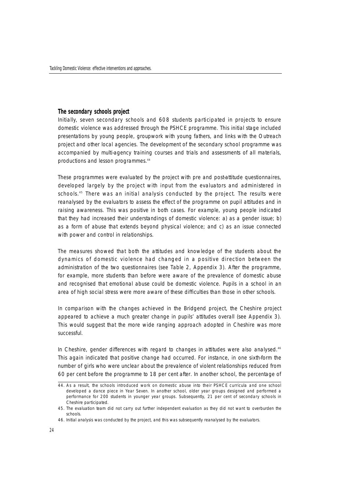# **The secondary schools project**

Initially, seven secondary schools and 608 students participated in projects to ensure domestic violence was addressed through the PSHCE programme. This initial stage included presentations by young people, groupwork with young fathers, and links with the Outreach project and other local agencies. The development of the secondary school programme was accompanied by multi-agency training courses and trials and assessments of all materials, productions and lesson programmes.<sup>44</sup>

These programmes were evaluated by the project with pre and post-attitude questionnaires, developed largely by the project with input from the evaluators and administered in schools.<sup>45</sup> There was an initial analysis conducted by the project. The results were reanalysed by the evaluators to assess the effect of the programme on pupil attitudes and in raising awareness. This was positive in both cases. For example, young people indicated that they had increased their understandings of domestic violence: a) as a gender issue; b) as a form of abuse that extends beyond physical violence; and c) as an issue connected with power and control in relationships.

The measures showed that both the attitudes and knowledge of the students about the dynamics of domestic violence had changed in a positive direction between the administration of the two questionnaires (see Table 2, Appendix 3). After the programme, for example, more students than before were aware of the prevalence of domestic abuse and recognised that emotional abuse could be domestic violence. Pupils in a school in an area of high social stress were more aware of these difficulties than those in other schools.

In comparison with the changes achieved in the Bridgend project, the Cheshire project appeared to achieve a much greater change in pupils' attitudes overall (see Appendix 3). This would suggest that the more wide ranging approach adopted in Cheshire was more successful.

In Cheshire, gender differences with regard to changes in attitudes were also analysed.<sup>46</sup> This again indicated that positive change had occurred. For instance, in one sixth-form the number of girls who were unclear about the prevalence of violent relationships reduced from 60 per cent before the programme to 18 per cent after. In another school, the percentage of

<sup>44.</sup> As a result, the schools introduced work on domestic abuse into their PSHCE curricula and one school developed a dance piece in Year Seven. In another school, older year groups designed and performed a performance for 200 students in younger year groups. Subsequently, 21 per cent of secondary schools in Cheshire participated.

<sup>45.</sup> The evaluation team did not carry out further independent evaluation as they did not want to overburden the schools.

<sup>46.</sup> Initial analysis was conducted by the project, and this was subsequently reanalysed by the evaluators.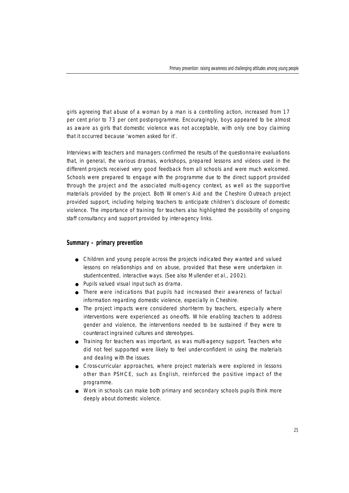girls agreeing that abuse of a woman by a man is a controlling action, increased from 17 per cent prior to 73 per cent post-programme. Encouragingly, boys appeared to be almost as aware as girls that domestic violence was not acceptable, with only one boy claiming that it occurred because 'women asked for it'.

Interviews with teachers and managers confirmed the results of the questionnaire evaluations that, in general, the various dramas, workshops, prepared lessons and videos used in the different projects received very good feedback from all schools and were much welcomed. Schools were prepared to engage with the programme due to the direct support provided through the project and the associated multi-agency context, as well as the supportive materials provided by the project. Both Women's Aid and the Cheshire Outreach project provided support, including helping teachers to anticipate children's disclosure of domestic violence. The importance of training for teachers also highlighted the possibility of ongoing staff consultancy and support provided by inter-agency links.

### **Summary – primary prevention**

- Children and young people across the projects indicated they wanted and valued lessons on relationships and on abuse, provided that these were undertaken in student-centred, interactive ways. (See also Mullender et al., 2002).
- Pupils valued visual input such as drama.
- There were indications that pupils had increased their awareness of factual information regarding domestic violence, especially in Cheshire.
- $\bullet$  The project impacts were considered short-term by teachers, especially where interventions were experienced as one-offs. While enabling teachers to address gender and violence, the interventions needed to be sustained if they were to counteract ingrained cultures and stereotypes.
- Training for teachers was important, as was multi-agency support. Teachers who did not feel supported were likely to feel under-confident in using the materials and dealing with the issues.
- Cross-curricular approaches, where project materials were explored in lessons other than PSHCE, such as English, reinforced the positive impact of the programme.
- Work in schools can make both primary and secondary schools pupils think more deeply about domestic violence.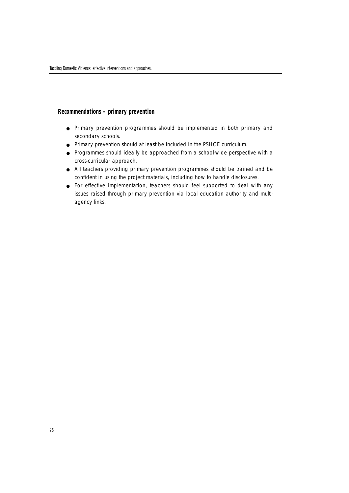# **Recommendations – primary prevention**

- Primary prevention programmes should be implemented in both primary and secondary schools.
- Primary prevention should at least be included in the PSHCE curriculum.
- Programmes should ideally be approached from a school-wide perspective with a cross-curricular approach.
- All teachers providing primary prevention programmes should be trained and be confident in using the project materials, including how to handle disclosures.
- For effective implementation, teachers should feel supported to deal with any issues raised through primary prevention via local education authority and multiagency links.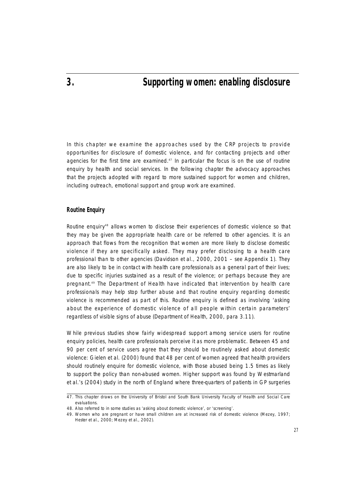In this chapter we examine the approaches used by the CRP projects to provide opportunities for disclosure of domestic violence, and for contacting projects and other agencies for the first time are examined. $47$  In particular the focus is on the use of routine enquiry by health and social services. In the following chapter the advocacy approaches that the projects adopted with regard to more sustained support for women and children, including outreach, emotional support and group work are examined.

# **Routine Enquiry**

Routine enquiry<sup>48</sup> allows women to disclose their experiences of domestic violence so that they may be given the appropriate health care or be referred to other agencies. It is an approach that flows from the recognition that women are more likely to disclose domestic violence if they are specifically asked. They may prefer disclosing to a health care professional than to other agencies (Davidson et al., 2000, 2001 – see Appendix 1). They are also likely to be in contact with health care professionals as a general part of their lives; due to specific injuries sustained as a result of the violence; or perhaps because they are pregnant.<sup>49</sup> The Department of Health have indicated that intervention by health care professionals may help stop further abuse and that routine enquiry regarding domestic violence is recommended as part of this. Routine enquiry is defined as involving 'asking about the experience of domestic violence of all people within certain parameters' regardless of visible signs of abuse (Department of Health, 2000, para 3.11).

While previous studies show fairly widespread support among service users for routine enquiry policies, health care professionals perceive it as more problematic. Between 45 and 90 per cent of service users agree that they should be routinely asked about domestic violence: Gielen et al. (2000) found that 48 per cent of women agreed that health providers should routinely enquire for domestic violence, with those abused being 1.5 times as likely to support the policy than non-abused women. Higher support was found by Westmarland et al.'s (2004) study in the north of England where three-quarters of patients in GP surgeries

<sup>47.</sup> This chapter draws on the University of Bristol and South Bank University Faculty of Health and Social Care evaluations.

<sup>48.</sup> Also referred to in some studies as 'asking about domestic violence', or 'screening'.

<sup>49.</sup> Women who are pregnant or have small children are at increased risk of domestic violence (Mezey, 1997; Hester et al., 2000; Mezey et al., 2002).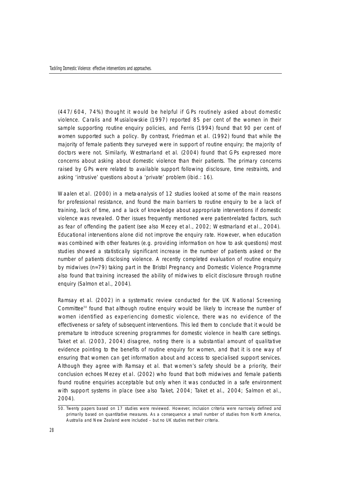(447/604, 74%) thought it would be helpful if GPs routinely asked about domestic violence. Caralis and Musialowskie (1997) reported 85 per cent of the women in their sample supporting routine enquiry policies, and Ferris (1994) found that 90 per cent of women supported such a policy. By contrast, Friedman et al. (1992) found that while the majority of female patients they surveyed were in support of routine enquiry; the majority of doctors were not. Similarly, Westmarland et al. (2004) found that GPs expressed more concerns about asking about domestic violence than their patients. The primary concerns raised by GPs were related to available support following disclosure, time restraints, and asking 'intrusive' questions about a 'private' problem (ibid.: 16).

Waalen et al. (2000) in a meta-analysis of 12 studies looked at some of the main reasons for professional resistance, and found the main barriers to routine enquiry to be a lack of training, lack of time, and a lack of knowledge about appropriate interventions if domestic violence was revealed. Other issues frequently mentioned were patient-related factors, such as fear of offending the patient (see also Mezey et al., 2002; Westmarland et al., 2004). Educational interventions alone did not improve the enquiry rate. However, when education was combined with other features (e.g. providing information on how to ask questions) most studies showed a statistically significant increase in the number of patients asked or the number of patients disclosing violence. A recently completed evaluation of routine enquiry by midwives (n=79) taking part in the Bristol Pregnancy and Domestic Violence Programme also found that training increased the ability of midwives to elicit disclosure through routine enquiry (Salmon et al., 2004).

Ramsay et al. (2002) in a systematic review conducted for the UK National Screening Committee<sup>50</sup> found that although routine enquiry would be likely to increase the number of women identified as experiencing domestic violence, there was no evidence of the effectiveness or safety of subsequent interventions. This led them to conclude that it would be premature to introduce screening programmes for domestic violence in health care settings. Taket et al. (2003, 2004) disagree, noting there is a substantial amount of qualitative evidence pointing to the benefits of routine enquiry for women, and that it is one way of ensuring that women can get information about and access to specialised support services. Although they agree with Ramsay et al. that women's safety should be a priority, their conclusion echoes Mezey et al. (2002) who found that both midwives and female patients found routine enquiries acceptable but only when it was conducted in a safe environment with support systems in place (see also Taket, 2004; Taket et al., 2004; Salmon et al., 2004).

<sup>50.</sup> Twenty papers based on 17 studies were reviewed. However, inclusion criteria were narrowly defined and primarily based on quantitative measures. As a consequence a small number of studies from North America, Australia and New Zealand were included – but no UK studies met their criteria.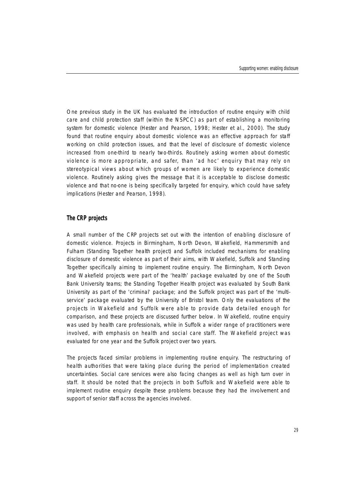One previous study in the UK has evaluated the introduction of routine enquiry with child care and child protection staff (within the NSPCC) as part of establishing a monitoring system for domestic violence (Hester and Pearson, 1998; Hester et al., 2000). The study found that routine enquiry about domestic violence was an effective approach for staff working on child protection issues, and that the level of disclosure of domestic violence increased from one-third to nearly two-thirds. Routinely asking women about domestic violence is more appropriate, and safer, than 'ad hoc' enquiry that may rely on stereotypical views about which groups of women are likely to experience domestic violence. Routinely asking gives the message that it is acceptable to disclose domestic violence and that no-one is being specifically targeted for enquiry, which could have safety implications (Hester and Pearson, 1998).

### **The CRP projects**

A small number of the CRP projects set out with the intention of enabling disclosure of domestic violence. Projects in Birmingham, North Devon, Wakefield, Hammersmith and Fulham (Standing Together health project) and Suffolk included mechanisms for enabling disclosure of domestic violence as part of their aims, with Wakefield, Suffolk and Standing Together specifically aiming to implement routine enquiry. The Birmingham, North Devon and Wakefield projects were part of the 'health' package evaluated by one of the South Bank University teams; the Standing Together Health project was evaluated by South Bank University as part of the 'criminal' package; and the Suffolk project was part of the 'multiservice' package evaluated by the University of Bristol team. Only the evaluations of the p rojects in Wakefield and Suffolk were able to provide data detailed enough for comparison, and these projects are discussed further below. In Wakefield, routine enquiry was used by health care professionals, while in Suffolk a wider range of practitioners were involved, with emphasis on health and social care staff. The Wakefield project was evaluated for one year and the Suffolk project over two years.

The projects faced similar problems in implementing routine enguiry. The restructuring of health authorities that were taking place during the period of implementation created uncertainties. Social care services were also facing changes as well as high turn over in staff. It should be noted that the projects in both Suffolk and Wakefield were able to implement routine enquiry despite these problems because they had the involvement and support of senior staff across the agencies involved.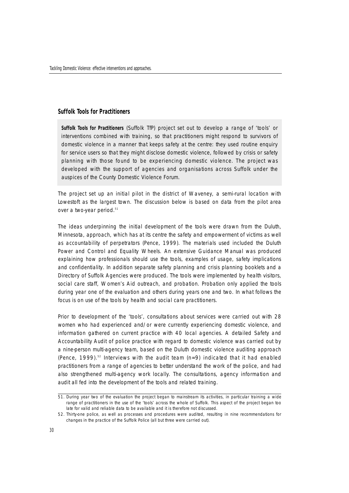## **Suffolk Tools for Practitioners**

**Suffolk Tools for Practitioners** (Suffolk TfP) project set out to develop a range of 'tools' or interventions combined with training, so that practitioners might respond to survivors of domestic violence in a manner that keeps safety at the centre: they used routine enquiry for service users so that they might disclose domestic violence, followed by crisis or safety planning with those found to be experiencing domestic violence. The project was developed with the support of agencies and organisations across Suffolk under the auspices of the County Domestic Violence Forum.

The project set up an initial pilot in the district of Waveney, a semi-rural location with Lowestoft as the largest town. The discussion below is based on data from the pilot area over a two-year period.<sup>51</sup>

The ideas underpinning the initial development of the tools were drawn from the Duluth, Minnesota, approach, which has at its centre the safety and empowerment of victims as well as accountability of perpetrators (Pence, 1999). The materials used included the Duluth Power and Control and Equality Wheels. An extensive Guidance Manual was produced explaining how professionals should use the tools, examples of usage, safety implications and confidentiality. In addition separate safety planning and crisis planning booklets and a Directory of Suffolk Agencies were produced. The tools were implemented by health visitors, social care staff, Women's Aid outreach, and probation. Probation only applied the tools during year one of the evaluation and others during years one and two. In what follows the focus is on use of the tools by health and social care practitioners.

Prior to development of the 'tools', consultations about services were carried out with 28 women who had experienced and/or were currently experiencing domestic violence, and information gathered on current practice with 40 local agencies. A detailed Safety and Accountability Audit of police practice with regard to domestic violence was carried out by a nine-person multi-agency team, based on the Duluth domestic violence auditing approach (Pence, 1999).<sup>52</sup> Interviews with the audit team  $(n=9)$  indicated that it had enabled practitioners from a range of agencies to better understand the work of the police, and had also strengthened multi-agency work locally. The consultations, agency information and audit all fed into the development of the tools and related training.

<sup>51.</sup> During year two of the evaluation the project began to mainstream its activities, in particular training a wide range of practitioners in the use of the 'tools' across the whole of Suffolk. This aspect of the project began too late for valid and reliable data to be available and it is therefore not discussed.

<sup>52.</sup> Thirty-one police, as well as processes and procedures were audited, resulting in nine recommendations for changes in the practice of the Suffolk Police (all but three were carried out).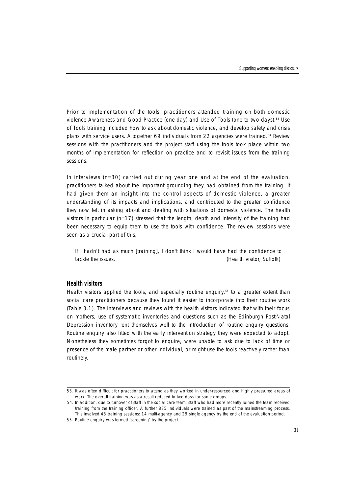Prior to implementation of the tools, practitioners attended training on both domestic violence Awareness and Good Practice (one day) and Use of Tools (one to two days).<sup>53</sup> Use of Tools training included how to ask about domestic violence, and develop safety and crisis plans with service users. Altogether 69 individuals from 22 agencies were trained.<sup>54</sup> Review sessions with the practitioners and the project staff using the tools took place within two months of implementation for reflection on practice and to revisit issues from the training sessions.

In interviews  $(n=30)$  carried out during year one and at the end of the evaluation, practitioners talked about the important grounding they had obtained from the training. It had given them an insight into the control aspects of domestic violence, a greater understanding of its impacts and implications, and contributed to the greater confidence they now felt in asking about and dealing with situations of domestic violence. The health visitors in particular ( $n=17$ ) stressed that the length, depth and intensity of the training had been necessary to equip them to use the tools with confidence. The review sessions were seen as a crucial part of this.

If I hadn't had as much [training], I don't think I would have had the confidence to tackle the issues. (Health visitor, Suffolk)

## **Health visitors**

Health visitors applied the tools, and especially routine enquiry,<sup>55</sup> to a greater extent than social care practitioners because they found it easier to incorporate into their routine work (Table 3.1). The interviews and reviews with the health visitors indicated that with their focus on mothers, use of systematic inventories and questions such as the Edinburgh Post-Natal Depression inventory lent themselves well to the introduction of routine enquiry questions. Routine enquiry also fitted with the early intervention strategy they were expected to adopt. Nonetheless they sometimes forgot to enquire, were unable to ask due to lack of time or presence of the male partner or other individual, or might use the tools reactively rather than routinely.

<sup>53.</sup> It was often difficult for practitioners to attend as they worked in under-resourced and highly pressured areas of work. The overall training was as a result reduced to two days for some groups.

<sup>54.</sup> In addition, due to turnover of staff in the social care team, staff who had more recently joined the team received training from the training officer. A further 885 individuals were trained as part of the mainstreaming process. This involved 43 training sessions: 14 multi-agency and 29 single agency by the end of the evaluation period.

<sup>55.</sup> Routine enquiry was termed 'screening' by the project.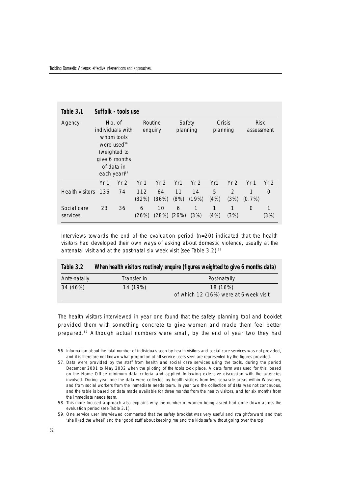| Table 3.1               |                 | Suffolk - tools use                                                                                                                            |              |                    |                  |                    |           |                       |                           |                 |
|-------------------------|-----------------|------------------------------------------------------------------------------------------------------------------------------------------------|--------------|--------------------|------------------|--------------------|-----------|-----------------------|---------------------------|-----------------|
| Agency                  |                 | No. of<br>individuals with<br>whom tools<br>were used <sup>56</sup><br>(weighted to<br>give 6 months<br>of data in<br>each year) <sup>57</sup> |              | Routine<br>enquiry |                  | Safety<br>planning |           | Crisis<br>planning    | <b>Risk</b><br>assessment |                 |
|                         | Yr <sub>1</sub> | Yr <sub>2</sub>                                                                                                                                | Yr 1         | Yr <sub>2</sub>    | Yr1              | Yr <sub>2</sub>    | Yr1       | Yr <sub>2</sub>       | Yr <sub>1</sub>           | Yr <sub>2</sub> |
| Health visitors         | 136             | 74                                                                                                                                             | 112<br>(82%) | 64<br>(86%)        | 11<br>(8%)       | 14<br>(19%)        | 5<br>(4%) | $\mathcal{P}$<br>(3%) | 1<br>$(0.7\%)$            | $\Omega$        |
| Social care<br>services | 23              | 36                                                                                                                                             | 6<br>(26%)   | 10                 | 6<br>(28%) (26%) | 1<br>(3%)          | 1<br>(4%) | 1<br>(3%)             | $\Omega$                  | 1<br>(3%)       |

Interviews towards the end of the evaluation period  $(n=20)$  indicated that the health visitors had developed their own ways of asking about domestic violence, usually at the antenatal visit and at the post-natal six week visit (see Table 3.2).<sup>58</sup>

| Table 3.2    |             | When health visitors routinely enquire (figures weighted to give 6 months data) |
|--------------|-------------|---------------------------------------------------------------------------------|
| Ante-natally | Transfer in | Post-natally                                                                    |
| 34 (46%)     | 14 (19%)    | 18 (16%)                                                                        |
|              |             | of which 12 (16%) were at 6-week visit                                          |

The health visitors interviewed in year one found that the safety planning tool and booklet p rovided them with something concrete to give women and made them feel better prepared.<sup>59</sup> Although actual numbers were small, by the end of year two they had

<sup>56.</sup> Information about the total number of individuals seen by health visitors and social care services was not provided, and it is therefore not known what proportion of all service users seen are represented by the figures provided.

<sup>57.</sup> Data were provided by the staff from health and social care services using the tools, during the period December 2001 to May 2002 when the piloting of the tools took place. A data form was used for this, based on the Home Office minimum data criteria and applied following extensive discussion with the agencies involved. During year one the data were collected by health visitors from two separate areas within Waveney, and from social workers from the immediate needs team. In year two the collection of data was not continuous, and the table is based on data made available for three months from the health visitors, and for six months from the immediate needs team.

<sup>58.</sup> This more focused approach also explains why the number of women being asked had gone down across the evaluation period (see Table 3.1).

<sup>59.</sup> One service user interviewed commented that the safety brooklet was very useful and straightforward and that 'she liked the wheel' and the 'good stuff about keeping me and the kids safe without going over the top'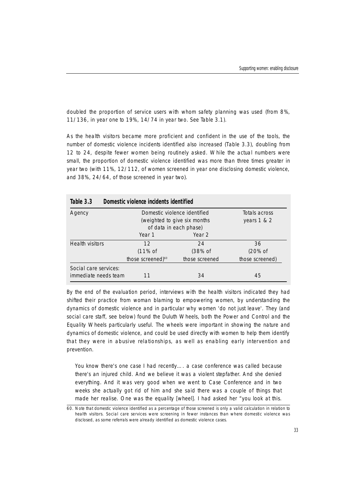doubled the proportion of service users with whom safety planning was used (from 8%, 11/136, in year one to 19%, 14/74 in year two. See Table 3.1).

As the health visitors became more proficient and confident in the use of the tools, the number of domestic violence incidents identified also increased (Table 3.3), doubling from 12 to 24, despite fewer women being routinely asked. While the actual numbers were small, the proportion of domestic violence identified was more than three times greater in year two (with 11%, 12/112, of women screened in year one disclosing domestic violence, and 38%, 24/64, of those screened in year two).

| Table 3.3             |  | Domestic violence incidents identified                                                 |                                |                 |
|-----------------------|--|----------------------------------------------------------------------------------------|--------------------------------|-----------------|
| Agency                |  | Domestic violence identified<br>(weighted to give six months<br>of data in each phase) | Totals across<br>years $1 & 2$ |                 |
|                       |  | Year 1                                                                                 | Year 2                         |                 |
| Health visitors       |  | 12<br>$(11\% \text{ of }$                                                              | 24<br>(38% of                  | 36<br>(20% of   |
| Social care services: |  | those screened) <sup>60</sup>                                                          | those screened                 | those screened) |
| immediate needs team  |  |                                                                                        | 34                             | 45              |

By the end of the evaluation period, interviews with the health visitors indicated they had shifted their practice from woman blaming to empowering women, by understanding the dynamics of domestic violence and in particular why women 'do not just leave'. They (and social care staff, see below) found the Duluth Wheels, both the Power and Control and the Equality Wheels particularly useful. The wheels were important in showing the nature and dynamics of domestic violence, and could be used directly with women to help them identify that they were in abusive relationships, as well as enabling early intervention and prevention.

You know there's one case I had recently.... a case conference was called because there's an injured child. And we believe it was a violent stepfather. And she denied everything. And it was very good when we went to Case Conference and in two weeks she actually got rid of him and she said there was a couple of things that made her realise. One was the equality [wheel]. I had asked her "you look at this.

<sup>60.</sup> Note that domestic violence identified as a percentage of those screened is only a valid calculation in relation to health visitors. Social care services were screening in fewer instances than where domestic violence was disclosed, as some referrals were already identified as domestic violence cases.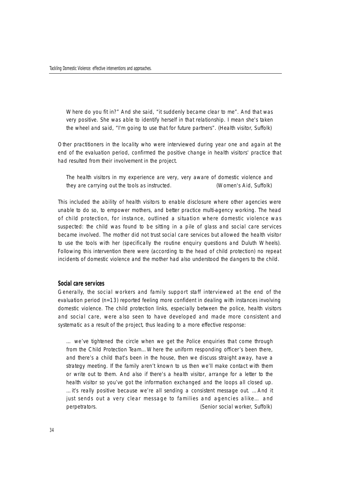Where do you fit in?" And she said, "it suddenly became clear to me". And that was very positive. She was able to identify herself in that relationship. I mean she's taken the wheel and said, "I'm going to use that for future partners". (Health visitor, Suffolk)

Other practitioners in the locality who were interviewed during year one and again at the end of the evaluation period, confirmed the positive change in health visitors' practice that had resulted from their involvement in the project.

The health visitors in my experience are very, very aware of domestic violence and they are carrying out the tools as instructed. (Women's Aid, Suffolk)

This included the ability of health visitors to enable disclosure where other agencies were unable to do so, to empower mothers, and better practice multi-agency working. The head of child protection, for instance, outlined a situation where domestic violence was suspected: the child was found to be sitting in a pile of glass and social care services became involved. The mother did not trust social care services but allowed the health visitor to use the tools with her (specifically the routine enquiry questions and Duluth Wheels). Following this intervention there were (according to the head of child protection) no repeat incidents of domestic violence and the mother had also understood the dangers to the child.

## **Social care services**

Generally, the social workers and family support staff interviewed at the end of the evaluation period (n=13) reported feeling more confident in dealing with instances involving domestic violence. The child protection links, especially between the police, health visitors and social care, were also seen to have developed and made more consistent and systematic as a result of the project, thus leading to a more effective response:

… we've tightened the circle when we get the Police enquiries that come through from the Child Protection Team... Where the uniform responding officer's been there, and there's a child that's been in the house, then we discuss straight away, have a strategy meeting. If the family aren't known to us then we'll make contact with them or write out to them. And also if there's a health visitor, arrange for a letter to the health visitor so you've got the information exchanged and the loops all closed up. …it's really positive because we're all sending a consistent message out. …And it just sends out a very clear message to families and agencies alike… and perpetrators. (Senior social worker, Suffolk)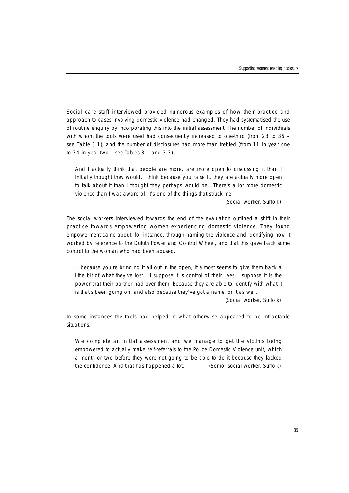Social care staff interviewed provided numerous examples of how their practice and approach to cases involving domestic violence had changed. They had systematised the use of routine enquiry by incorporating this into the initial assessment. The number of individuals with whom the tools were used had consequently increased to one-third (from 23 to 36 – see Table 3.1), and the number of disclosures had more than trebled (from 11 in year one to 34 in year two – see Tables 3.1 and 3.3).

And I actually think that people are more, are more open to discussing it than I initially thought they would. I think because you raise it, they are actually more open to talk about it than I thought they perhaps would be…There's a lot more domestic violence than I was aware of. It's one of the things that struck me.

(Social worker, Suffolk)

The social workers interviewed towards the end of the evaluation outlined a shift in their practice towards empowering women experiencing domestic violence. They found empowerment came about, for instance, through naming the violence and identifying how it worked by reference to the Duluth Power and Control Wheel, and that this gave back some control to the woman who had been abused.

…because you're bringing it all out in the open, it almost seems to give them back a little bit of what they've lost... I suppose it is control of their lives. I suppose it is the power that their partner had over them. Because they are able to identify with what it is that's been going on, and also because they've got a name for it as well.

(Social worker, Suffolk)

In some instances the tools had helped in what otherwise appeared to be intractable situations.

We complete an initial assessment and we manage to get the victims being empowered to actually make self-referrals to the Police Domestic Violence unit, which a month or two before they were not going to be able to do it because they lacked the confidence. And that has happened a lot. (Senior social worker, Suffolk)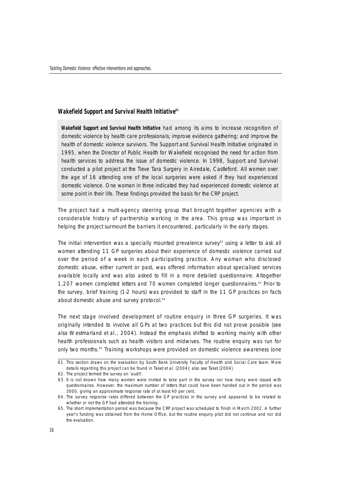### **Wakefield Support and Survival Health Initiative<sup>61</sup>**

**Wakefield Support and Survival Health Initiative** had among its aims to increase recognition of domestic violence by health care professionals; improve evidence gathering; and improve the health of domestic violence survivors. The Support and Survival Health Initiative originated in 1995, when the Director of Public Health for Wakefield recognised the need for action from health services to address the issue of domestic violence. In 1998, Support and Survival conducted a pilot project at the Tieve Tara Surgery in Airedale, Castleford. All women over the age of 16 attending one of the local surgeries were asked if they had experienced domestic violence. One woman in three indicated they had experienced domestic violence at some point in their life. These findings provided the basis for the CRP project.

The project had a multi-agency steering group that brought together agencies with a considerable history of partnership working in the area. This group was important in helping the project surmount the barriers it encountered, particularly in the early stages.

The initial intervention was a specially mounted prevalence survey<sup>62</sup> using a letter to ask all women attending 11 GP surgeries about their experience of domestic violence carried out over the period of a week in each participating practice. Any woman who disclosed domestic abuse, either current or past, was offered information about specialised services available locally and was also asked to fill in a more detailed questionnaire. Altogether 1,207 women completed letters and 70 women completed longer questionnaires.<sup>63</sup> Prior to the survey, brief training (1-2 hours) was provided to staff in the 11 GP practices on facts about domestic abuse and survey protocol.<sup>64</sup>

The next stage involved development of routine enquiry in three GP surgeries. It was originally intended to involve all GPs at two practices but this did not prove possible (see also Westmarland et al., 2004). Instead the emphasis shifted to working mainly with other health professionals such as health visitors and midwives. The routine enquiry was run for only two months.<sup>65</sup> Training workshops were provided on domestic violence awareness (one

<sup>61.</sup> This section draws on the evaluation by South Bank University Faculty of Health and Social Care team. More details regarding this project can be found in Taket et al. (2004); also see Taket (2004).

<sup>62.</sup> The project termed the survey an 'audit'.

<sup>63.</sup> It is not known how many women were invited to take part in the survey nor how many were issued with questionnaires. However, the maximum number of letters that could have been handed out in the period was 3000, giving an approximate response rate of at least 40 per cent.

<sup>64.</sup> The survey response rates differed between the GP practices in the survey and appeared to be related to whether or not the GP had attended the training.

<sup>65.</sup> The short implementation period was because the CRP project was scheduled to finish in March 2002. A further year's funding was obtained from the Home Office, but the routine enquiry pilot did not continue and nor did the evaluation.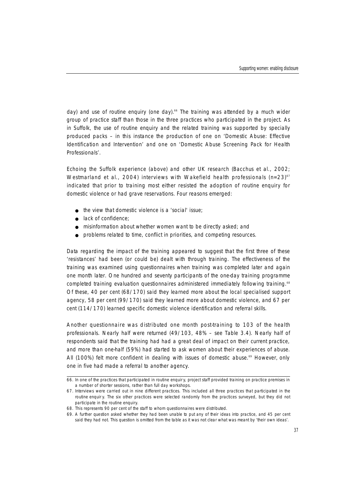day) and use of routine enquiry (one day).<sup>66</sup> The training was attended by a much wider group of practice staff than those in the three practices who participated in the project. As in Suffolk, the use of routine enquiry and the related training was supported by specially produced packs – in this instance the production of one on 'Domestic Abuse: Effective Identification and Intervention' and one on 'Domestic Abuse Screening Pack for Health Professionals'.

Echoing the Suffolk experience (above) and other UK research (Bacchus et al.,  $2002$ ; Westmarland et al., 2004) interviews with Wakefield health professionals ( $n=23$ )<sup>67</sup> indicated that prior to training most either resisted the adoption of routine enquiry for domestic violence or had grave reservations. Four reasons emerged:

- the view that domestic violence is a 'social' issue:
- lack of confidence:
- misinformation about whether women want to be directly asked; and
- problems related to time, conflict in priorities, and competing resources.

Data regarding the impact of the training appeared to suggest that the first three of these ' resistances' had been (or could be) dealt with through training. The effectiveness of the training was examined using questionnaires when training was completed later and again one month later. One hundred and seventy participants of the one-day training programme completed training evaluation questionnaires administered immediately following training.<sup>68</sup> Of these, 40 per cent (68/170) said they learned more about the local specialised support agency, 58 per cent (99/170) said they learned more about domestic violence, and 67 per cent (114/170) learned specific domestic violence identification and referral skills.

Another questionnaire was distributed one month post-training to 103 of the health professionals. Nearly half were returned (49/103, 48% – see Table 3.4). Nearly half of respondents said that the training had had a great deal of impact on their current practice, and more than one-half (59%) had started to ask women about their experiences of abuse. All (100%) felt more confident in dealing with issues of domestic abuse.<sup>69</sup> However, only one in five had made a referral to another agency.

<sup>66.</sup> In one of the practices that participated in routine enquir y, project staff provided training on practice premises in a number of shorter sessions, rather than full day workshops.

<sup>67.</sup> Interviews were carried out in nine different practices. This included all three practices that participated in the routine enquir y. The six other practices were selected randomly from the practices surveyed, but they did not participate in the routine enquiry.

<sup>68.</sup> This represents 90 per cent of the staff to whom questionnaires were distributed.

<sup>69.</sup> A further question asked whether they had been unable to put any of their ideas into practice, and 45 per cent said they had not. This question is omitted from the table as it was not clear what was meant by 'their own ideas'.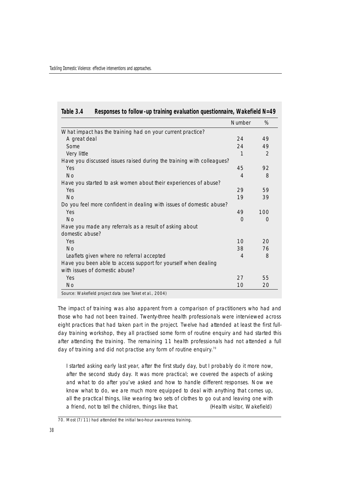|                                                                       | <b>Number</b>  | %             |
|-----------------------------------------------------------------------|----------------|---------------|
| What impact has the training had on your current practice?            |                |               |
| A great deal                                                          | 24             | 49            |
| Some                                                                  | 24             | 49            |
| Very little                                                           | 1              | $\mathcal{P}$ |
| Have you discussed issues raised during the training with colleagues? |                |               |
| Yes                                                                   | 45             | 92            |
| <b>No</b>                                                             | $\overline{4}$ | 8             |
| Have you started to ask women about their experiences of abuse?       |                |               |
| Yes                                                                   | 29             | 59            |
| <b>No</b>                                                             | 19             | 39            |
| Do you feel more confident in dealing with issues of domestic abuse?  |                |               |
| Yes                                                                   | 49             | 100           |
| No.                                                                   | $\Omega$       | $\Omega$      |
| Have you made any referrals as a result of asking about               |                |               |
| domestic abuse?                                                       |                |               |
| Yes                                                                   | 10             | 20            |
| No                                                                    | 38             | 76            |
| Leaflets given where no referral accepted                             | 4              | 8             |
| Have you been able to access support for yourself when dealing        |                |               |
| with issues of domestic abuse?                                        |                |               |
| Yes                                                                   | 27             | 55            |
| No.                                                                   | 10             | 20            |

# **Table 3.4 Responses to follow-up training evaluation questionnaire, Wakefield N=49**

The impact of training was also apparent from a comparison of practitioners who had and those who had not been trained. Twenty-three health professionals were interviewed across eight practices that had taken part in the project. Twelve had attended at least the first fullday training workshop, they all practised some form of routine enquiry and had started this after attending the training. The remaining 11 health professionals had not attended a full day of training and did not practise any form of routine enquiry.<sup>70</sup>

I started asking early last year, after the first study day, but I probably do it more now, after the second study day. It was more practical; we covered the aspects of asking and what to do after you've asked and how to handle different responses. Now we know what to do, we are much more equipped to deal with anything that comes up, all the practical things, like wearing two sets of clothes to go out and leaving one with a friend, not to tell the children, things like that. (Health visitor, Wake field)

<sup>70.</sup> Most (7/11) had attended the initial two-hour awareness training.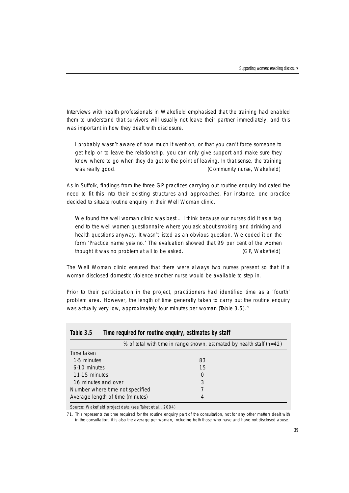Interviews with health professionals in Wakefield emphasised that the training had enabled them to understand that survivors will usually not leave their partner immediately, and this was important in how they dealt with disclosure.

I probably wasn't aware of how much it went on, or that you can't force someone to get help or to leave the relationship, you can only give support and make sure they know where to go when they do get to the point of leaving. In that sense, the training was really good. The community nurse, Wakefield) was really good.

As in Suffolk, findings from the three GP practices carrying out routine enquiry indicated the need to fit this into their existing structures and approaches. For instance, one practice decided to situate routine enquiry in their Well Woman clinic.

We found the well woman clinic was best... I think because our nurses did it as a tag end to the well women questionnaire where you ask about smoking and drinking and health questions anyway. It wasn't listed as an obvious question. We coded it on the form 'Practice name yes/no.' The evaluation showed that 99 per cent of the women thought it was no problem at all to be asked. (GP, Wakefield)

The Well Woman clinic ensured that there were always two nurses present so that if a woman disclosed domestic violence another nurse would be available to step in.

Prior to their participation in the project, practitioners had identified time as a 'fourth' problem area. However, the length of time generally taken to carry out the routine enquiry was actually very low, approximately four minutes per woman (Table 3.5).<sup>71</sup>

| % of total with time in range shown, estimated by health staff ( $n=42$ )<br>Time taken<br>1-5 minutes<br>83<br>15<br>6-10 minutes<br>11-15 minutes<br>O<br>16 minutes and over<br>3<br>Number where time not specified | Table 3.5 |  | Time required for routine enquiry, estimates by staff |  |  |
|-------------------------------------------------------------------------------------------------------------------------------------------------------------------------------------------------------------------------|-----------|--|-------------------------------------------------------|--|--|
|                                                                                                                                                                                                                         |           |  |                                                       |  |  |
|                                                                                                                                                                                                                         |           |  |                                                       |  |  |
|                                                                                                                                                                                                                         |           |  |                                                       |  |  |
|                                                                                                                                                                                                                         |           |  |                                                       |  |  |
|                                                                                                                                                                                                                         |           |  |                                                       |  |  |
|                                                                                                                                                                                                                         |           |  |                                                       |  |  |
|                                                                                                                                                                                                                         |           |  |                                                       |  |  |
| Average length of time (minutes)                                                                                                                                                                                        |           |  | 4                                                     |  |  |

| Table 3.5 | Time required for routine enguiry, estimates by sta |  |  |
|-----------|-----------------------------------------------------|--|--|
|           |                                                     |  |  |

Source: Wakefield project data (see Taket et al., 2004)

 $\overline{71}$ . This represents the time required for the routine enquiry part of the consultation, not for any other matters dealt with in the consultation; it is also the average per woman, including both those who have and have not disclosed abuse.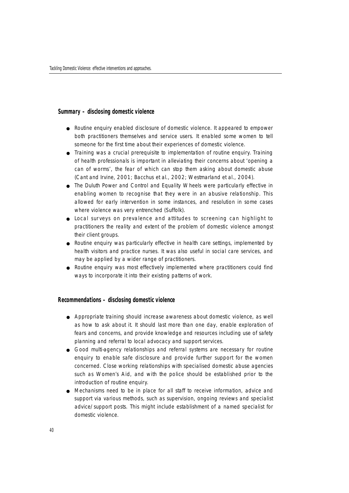## **Summary – disclosing domestic violence**

- Routine enquiry enabled disclosure of domestic violence. It appeared to empower both practitioners themselves and service users. It enabled some women to tell someone for the first time about their experiences of domestic violence.
- Training was a crucial prerequisite to implementation of routine enquiry. Training of health professionals is important in alleviating their concerns about 'opening a can of worms', the fear of which can stop them asking about domestic abuse (Cant and Irvine, 2001; Bacchus et al., 2002; Westmarland et al., 2004).
- The Duluth Power and Control and Equality Wheels were particularly effective in enabling women to recognise that they were in an abusive relationship. This allowed for early intervention in some instances, and resolution in some cases where violence was very entrenched (Suffolk).
- Local surveys on prevalence and attitudes to screening can highlight to practitioners the reality and extent of the problem of domestic violence amongst their client groups.
- Routine enquiry was particularly effective in health care settings, implemented by health visitors and practice nurses. It was also useful in social care services, and may be applied by a wider range of practitioners.
- Routine enquiry was most effectively implemented where practitioners could find ways to incorporate it into their existing patterns of work.

## **Recommendations – disclosing domestic violence**

- Appropriate training should increase awareness about domestic violence, as well as how to ask about it. It should last more than one day, enable exploration of fears and concerns, and provide knowledge and resources including use of safety planning and referral to local advocacy and support services.
- Good multi-agency relationships and referral systems are necessary for routine enquiry to enable safe disclosure and provide further support for the women concerned. Close working relationships with specialised domestic abuse agencies such as Women's Aid, and with the police should be established prior to the introduction of routine enquiry.
- Mechanisms need to be in place for all staff to receive information, advice and support via various methods, such as supervision, ongoing reviews and specialist advice/support posts. This might include establishment of a named specialist for domestic violence.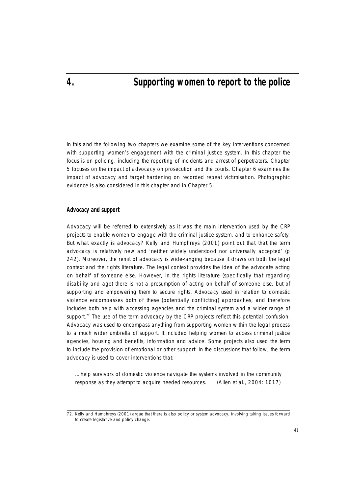In this and the following two chapters we examine some of the key interventions concerned with supporting women's engagement with the criminal justice system. In this chapter the focus is on policing, including the reporting of incidents and arrest of perpetrators. Chapter 5 focuses on the impact of advocacy on prosecution and the courts. Chapter 6 examines the impact of advocacy and target hardening on recorded repeat victimisation. Photographic evidence is also considered in this chapter and in Chapter 5.

# **Advocacy and support**

Advocacy will be referred to extensively as it was the main intervention used by the CRP projects to enable women to engage with the criminal justice system, and to enhance safety. But what exactly is advocacy? Kelly and Humphreys (2001) point out that that the term advocacy is relatively new and 'neither widely understood nor universally accepted' (p 242). Moreover, the remit of advocacy is wide-ranging because it draws on both the legal context and the rights literature. The legal context provides the idea of the advocate acting on behalf of someone else. However, in the rights literature (specifically that regarding disability and age) there is not a presumption of acting on behalf of someone else, but of supporting and empowering them to secure rights. Advocacy used in relation to domestic violence encompasses both of these (potentially conflicting) approaches, and therefore includes both help with accessing agencies and the criminal system and a wider range of support.<sup>72</sup> The use of the term advocacy by the CRP projects reflect this potential confusion. Advocacy was used to encompass anything from supporting women within the legal process to a much wider umbrella of support. It included helping women to access criminal justice agencies, housing and benefits, information and advice. Some projects also used the term to include the provision of emotional or other support. In the discussions that follow, the term advocacy is used to cover interventions that:

…help survivors of domestic violence navigate the systems involved in the community response as they attempt to acquire needed resources. (Allen et al., 2004: 1017)

<sup>72.</sup> Kelly and Humphreys (2001) argue that there is also policy or system advocacy, involving taking issues forward to create legislative and policy change.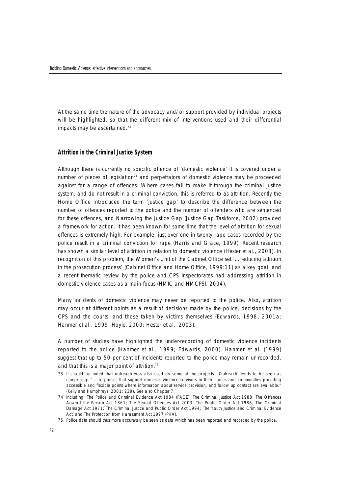At the same time the nature of the advocacy and/or support provided by individual projects will be highlighted, so that the different mix of interventions used and their differential impacts may be ascertained.<sup>73</sup>

#### **Attrition in the Criminal Justice System**

Although there is currently no specific offence of 'domestic violence' it is covered under a number of pieces of legislation<sup>74</sup> and perpetrators of domestic violence may be proceeded against for a range of offences. Where cases fail to make it through the criminal justice system, and do not result in a criminal conviction, this is referred to as attrition. Recently the Home Office introduced the term 'justice gap' to describe the difference between the number of offences reported to the police and the number of offenders who are sentenced for these offences, and Narrowing the Justice Gap (Justice Gap Taskforce, 2002) provided a framework for action. It has been known for some time that the level of attrition for sexual offences is extremely high. For example, just over one in twenty rape cases recorded by the police result in a criminal conviction for rape (Harris and Grace, 1999). Recent research has shown a similar level of attrition in relation to domestic violence (Hester et al., 2003). In recognition of this problem, the Women's Unit of the Cabinet Office set '…reducing attrition in the prosecution process' (Cabinet Office and Home Office, 1999:11) as a key goal, and a recent thematic review by the police and CPS Inspectorates had addressing attrition in domestic violence cases as a main focus (HMIC and HMCPSI, 2004).

Many incidents of domestic violence may never be reported to the police. Also, attrition may occur at different points as a result of decisions made by the police, decisions by the CPS and the courts, and those taken by victims themselves (Edwards, 1998, 2001a; Hanmer et al., 1999; Hoyle, 2000; Hester et al., 2003).

A number of studies have highlighted the under-recording of domestic violence incidents reported to the police (Hanmer et al., 1999; Edwards, 2000). Hanmer et al. (1999) suggest that up to 50 per cent of incidents reported to the police may remain un-recorded, and that this is a major point of attrition.<sup>75</sup>

<sup>73.</sup> It should be noted that outreach was also used by some of the projects. 'Outreach' tends to be seen as comprising: "… responses that support domestic violence survivors in their homes and communities providing accessible and flexible points where information about service provision, and follow up contact are available." (Kelly and Humphreys, 2001: 239). See also Chapter 7.

<sup>74.</sup> Including: The Police and Criminal Evidence Act 1984 (PACE); The Criminal Justice Act 1988; The Offences Against the Person Act 1861; The Sexual Offences Act 2003; The Public Order Act 1986; The Criminal Damage Act 1971; The Criminal Justice and Public Order Act 1994; The Youth Justice and Criminal Evidence Act: and The Protection from Harassment Act 1997 (PHA).

<sup>75.</sup> Police data should thus more accurately be seen as data which has been reported and recorded by the police.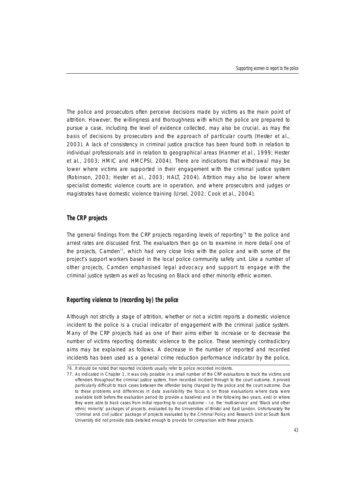The police and prosecutors often perceive decisions made by victims as the main point of attrition. However, the willingness and thoroughness with which the police are prepared to pursue a case, including the level of evidence collected, may also be crucial, as may the basis of decisions by prosecutors and the approach of particular courts (Hester et al. , 2003). A lack of consistency in criminal justice practice has been found both in relation to individual professionals and in relation to geographical areas (Hanmer et al., 1999; Hester et al., 2003; HMIC and HMCPSI, 2004). There are indications that withdrawal may be lower where victims are supported in their engagement with the criminal justice system (Robinson, 2003; Hester et al., 2003; HALT, 2004). Attrition may also be lower where specialist domestic violence courts are in operation, and where prosecutors and judges or magistrates have domestic violence training (Ursel, 2002; Cook et al., 2004).

### **The CRP projects**

The general findings from the CRP projects regarding levels of reporting<sup>76</sup> to the police and arrest rates are discussed first. The evaluators then go on to examine in more detail one of the projects, Camden<sup>77</sup>, which had very close links with the police and with some of the project's support workers based in the local police community safety unit. Like a number of other projects, Camden emphasised legal advocacy and support to engage with the criminal justice system as well as focusing on Black and other minority ethnic women.

### **Reporting violence to (recording by) the police**

Although not strictly a stage of attrition, whether or not a victim reports a domestic violence incident to the police is a crucial indicator of engagement with the criminal justice system. Many of the CRP projects had as one of their aims either to increase or to decrease the number of victims reporting domestic violence to the police. These seemingly contradictory aims may be explained as follows. A decrease in the number of reported and recorded incidents has been used as a general crime reduction performance indicator by the police,

<sup>76.</sup> It should be noted that reported incidents usually refer to police recorded incidents.

<sup>77.</sup> As indicated in Chapter 1, it was only possible in a small number of the CRP evaluations to track the victims and offenders throughout the criminal justice system, from recorded incident through to the court outcome. It proved particularly difficult to track cases between the offender being charged by the police and the court outcome. Due to these problems and differences in data availability the focus is on those evaluations where data were available both before the evaluation period (to provide a baseline) and in the following two years, and/or where they were able to track cases from initial reporting to court outcome – i.e. the 'multi-service' and 'Black and other ethnic minority' packages of projects, evaluated by the Universities of Bristol and East London. Unfortunately the 'criminal and civil justice' package of projects evaluated by the Criminal Policy and Research Unit at South Bank University did not provide data detailed enough to provide for comparison with these projects.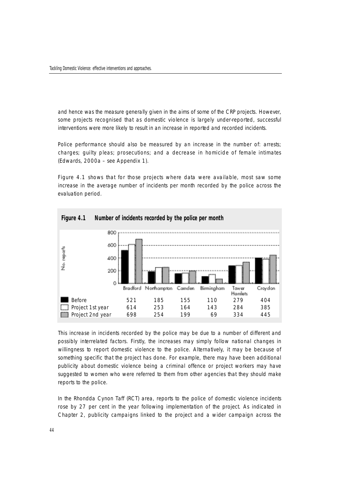and hence was the measure generally given in the aims of some of the CRP projects. However, some projects recognised that as domestic violence is largely under-reported, successful interventions were more likely to result in an increase in reported and recorded incidents.

Police performance should also be measured by an increase in the number of: arrests; charges; guilty pleas; prosecutions; and a decrease in homicide of female intimates (Edwards, 2000a – see Appendix 1).

Figure 4.1 shows that for those projects where data were available, most saw some increase in the average number of incidents per month recorded by the police across the evaluation period.



**Figure 4.1 Number of incidents recorded by the police per month**

This increase in incidents recorded by the police may be due to a number of different and possibly interrelated factors. Firstly, the increases may simply follow national changes in willingness to report domestic violence to the police. Alternatively, it may be because of something specific that the project has done. For example, there may have been additional publicity about domestic violence being a criminal offence or project workers may have suggested to women who were referred to them from other agencies that they should make reports to the police.

In the Rhondda Cynon Taff (RCT) area, reports to the police of domestic violence incidents rose by 27 per cent in the year following implementation of the project. As indicated in Chapter 2, publicity campaigns linked to the project and a wider campaign across the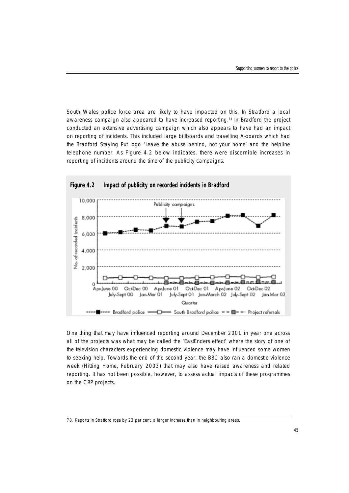South Wales police force area are likely to have impacted on this. In Stratford a local awareness campaign also appeared to have increased reporting.<sup>78</sup> In Bradford the project conducted an extensive advertising campaign which also appears to have had an impact on reporting of incidents. This included large billboards and travelling A-boards which had the Bradford Staying Put logo 'Leave the abuse behind, not your home' and the helpline telephone number. As Figure 4.2 below indicates, there were discernible increases in reporting of incidents around the time of the publicity campaigns.



One thing that may have influenced reporting around December 2001 in year one across all of the projects was what may be called the 'EastEnders effect' where the story of one of the television characters experiencing domestic violence may have influenced some women to seeking help. Towards the end of the second year, the BBC also ran a domestic violence week (Hitting Home, February 2003) that may also have raised awareness and related reporting. It has not been possible, however, to assess actual impacts of these programmes on the CRP projects.

<sup>78.</sup> Reports in Stratford rose by 23 per cent, a larger increase than in neighbouring areas.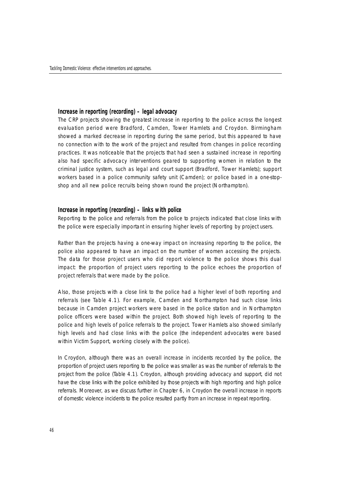## **Increase in reporting (recording) – legal advocacy**

The CRP projects showing the greatest increase in reporting to the police across the longest evaluation period were Bradford, Camden, Tower Hamlets and Croydon, Birmingham showed a marked decrease in reporting during the same period, but this appeared to have no connection with to the work of the project and resulted from changes in police recording practices. It was noticeable that the projects that had seen a sustained increase in reporting also had specific advocacy interventions geared to supporting women in relation to the criminal justice system, such as legal and court support (Bradford, Tower Hamlets); support workers based in a police community safety unit (Camden); or police based in a one-stopshop and all new police recruits being shown round the project (Northampton).

#### **Increase in reporting (recording) – links with police**

Reporting to the police and referrals from the police to projects indicated that close links with the police were especially important in ensuring higher levels of reporting by project users.

Rather than the projects having a one-way impact on increasing reporting to the police, the police also appeared to have an impact on the number of women accessing the projects. The data for those project users who did report violence to the police shows this dual impact: the proportion of project users reporting to the police echoes the proportion of project referrals that were made by the police.

Also, those projects with a close link to the police had a higher level of both reporting and referrals (see Table 4.1). For example, Camden and Northampton had such close links because in Camden project workers were based in the police station and in Northampton police officers were based within the project. Both showed high levels of reporting to the police and high levels of police referrals to the project. Tower Hamlets also showed similarly high levels and had close links with the police (the independent advocates were based within Victim Support, working closely with the police).

In Croydon, although there was an overall increase in incidents recorded by the police, the proportion of project users reporting to the police was smaller as was the number of referrals to the project from the police (Table 4.1). Croydon, although providing advocacy and support, did not have the close links with the police exhibited by those projects with high reporting and high police referrals. Moreover, as we discuss further in Chapter 6, in Croydon the overall increase in reports of domestic violence incidents to the police resulted partly from an increase in repeat reporting.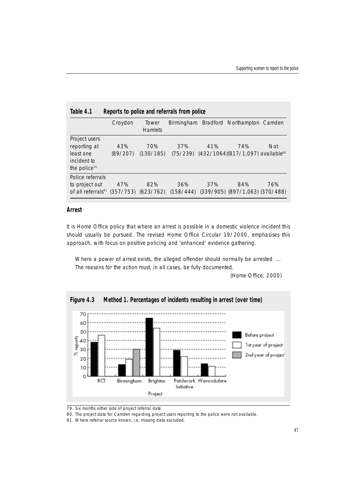| Table 4.1                                                                             | Reports to police and referrals from police |                  |                  |     |                                                      |     |
|---------------------------------------------------------------------------------------|---------------------------------------------|------------------|------------------|-----|------------------------------------------------------|-----|
|                                                                                       | Croydon                                     | Tower<br>Hamlets |                  |     | Birmingham Bradford Northampton Camden               |     |
| Project users<br>reporting at<br>least one<br>incident to<br>the police <sup>79</sup> | 43%<br>(89/207)                             | 70%<br>(130/185) | 37%<br>(75/239)  | 41% | 74%<br>(432/1064)(817/1,097) available <sup>80</sup> | Not |
| Police referrals<br>to project out<br>of all referrals <sup>81</sup>                  | 47%<br>(357/753)                            | 82%<br>(623/762) | 36%<br>(158/444) | 37% | 84%<br>$(339/905)$ $(897/1,063)$ $(370/488)$         | 76% |

# **Arrest**

It is Home Office policy that where an arrest is possible in a domestic violence incident this should usually be pursued. The revised Home Office Circular 19/2000, emphasises this approach, with focus on positive policing and 'enhanced' evidence gathering.

Where a power of arrest exists, the alleged offender should normally be arrested. … The reasons for the action must, in all cases, be fully documented.

(Home Office, 2000)



79. Six months either side of project referral date.

80. The project data for Camden regarding project users reporting to the police were not available.

81. Where referral source known, i.e. missing data excluded.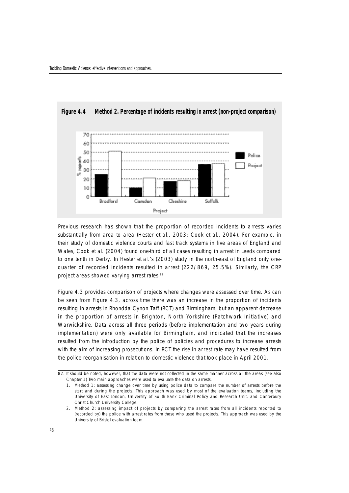

**Figure 4.4 Method 2. Percentage of incidents resulting in arrest (non-project comparison)**

Previous research has shown that the proportion of recorded incidents to arrests varies substantially from area to area (Hester et al., 2003; Cook et al., 2004). For example, in their study of domestic violence courts and fast track systems in five areas of England and Wales, Cook et al. (2004) found one-third of all cases resulting in arrest in Leeds compared to one tenth in Derby. In Hester et al.'s (2003) study in the north-east of England only onequarter of recorded incidents resulted in arrest (222/869, 25.5%). Similarly, the CRP project areas showed varying arrest rates.<sup>82</sup>

Figure 4.3 provides comparison of projects where changes were assessed over time. As can be seen from Figure 4.3, across time there was an increase in the proportion of incidents resulting in arrests in Rhondda Cynon Taff (RCT) and Birmingham, but an apparent decrease in the proportion of arrests in Brighton, North Yorkshire (Patchwork Initiative) and Warwickshire. Data across all three periods (before implementation and two years during implementation) were only available for Birmingham, and indicated that the increases resulted from the introduction by the police of policies and procedures to increase arrests with the aim of increasing prosecutions. In RCT the rise in arrest rate may have resulted from the police reorganisation in relation to domestic violence that took place in April 2001.

<sup>82.</sup> It should be noted, however, that the data were not collected in the same manner across all the areas (see also Chapter 1) Two main approaches were used to evaluate the data on arrests.

<sup>1.</sup> Method 1: assessing change over time by using police data to compare the number of arrests before the start and during the projects. This approach was used by most of the evaluation teams, including the University of East London, University of South Bank Criminal Policy and Research Unit, and Canterbury Christ Church University College.

<sup>2.</sup> Method 2: assessing impact of projects by comparing the arrest rates from all incidents reported to (recorded by) the police with arrest rates from those who used the projects. This approach was used by the University of Bristol evaluation team.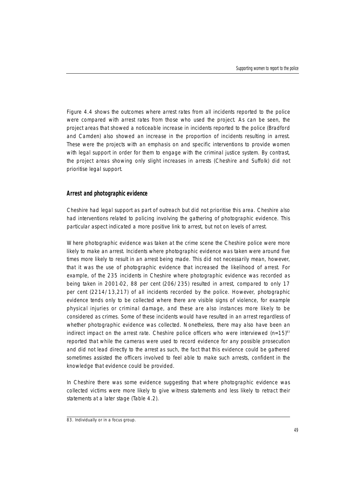Figure 4.4 shows the outcomes where arrest rates from all incidents reported to the police were compared with arrest rates from those who used the project. As can be seen, the project areas that showed a noticeable increase in incidents reported to the police (Bradford and Camden) also showed an increase in the proportion of incidents resulting in arrest. These were the projects with an emphasis on and specific interventions to provide women with legal support in order for them to engage with the criminal justice system. By contrast, the project areas showing only slight increases in arrests (Cheshire and Suffolk) did not prioritise legal support.

#### **Arrest and photographic evidence**

Cheshire had legal support as part of outreach but did not prioritise this area. Cheshire also had interventions related to policing involving the gathering of photographic evidence. This particular aspect indicated a more positive link to arrest, but not on levels of arrest.

Where photographic evidence was taken at the crime scene the Cheshire police were more likely to make an arrest. Incidents where photographic evidence was taken were around five times more likely to result in an arrest being made. This did not necessarily mean, however, that it was the use of photographic evidence that increased the likelihood of arrest. For example, of the 235 incidents in Cheshire where photographic evidence was recorded as being taken in 2001-02, 88 per cent (206/235) resulted in arrest, compared to only 17 per cent  $(2214/13,217)$  of all incidents recorded by the police. However, photographic evidence tends only to be collected where there are visible signs of violence, for example physical injuries or criminal damage, and these are also instances more likely to be considered as crimes. Some of these incidents would have resulted in an arrest regardless of whether photographic evidence was collected. Nonetheless, there may also have been an indirect impact on the arrest rate. Cheshire police officers who were interviewed  $(n=15)^{83}$ reported that while the cameras were used to record evidence for any possible prosecution and did not lead directly to the arrest as such, the fact that this evidence could be gathered sometimes assisted the officers involved to feel able to make such arrests, confident in the knowledge that evidence could be provided.

In Cheshire there was some evidence suggesting that where photographic evidence was collected victims were more likely to give witness statements and less likely to retract their statements at a later stage (Table 4.2).

<sup>83.</sup> Individually or in a focus group.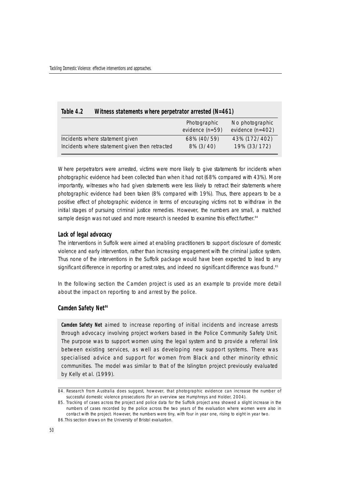|                                                                                   | Photographic<br>evidence $(n=59)$ | No photographic<br>evidence $(n=402)$ |  |  |  |  |
|-----------------------------------------------------------------------------------|-----------------------------------|---------------------------------------|--|--|--|--|
| Incidents where statement given<br>Incidents where statement given then retracted | 68% (40/59)<br>8% (3/40)          | 43% (172/402)<br>19% (33/172)         |  |  |  |  |

**Table 4.2 Witness statements where perpetrator arrested (N=461)**

Where perpetrators were arrested, victims were more likely to give statements for incidents when photographic evidence had been collected than when it had not (68% compared with 43%). More importantly, witnesses who had given statements were less likely to retract their statements where photographic evidence had been taken (8% compared with 19%). Thus, there appears to be a positive effect of photographic evidence in terms of encouraging victims not to withdraw in the initial stages of pursuing criminal justice remedies. However, the numbers are small, a matched sample design was not used and more research is needed to examine this effect further.<sup>84</sup>

## **Lack of legal advocacy**

The interventions in Suffolk were aimed at enabling practitioners to support disclosure of domestic violence and early intervention, rather than increasing engagement with the criminal justice system. Thus none of the interventions in the Suffolk package would have been expected to lead to any significant difference in reporting or arrest rates, and indeed no significant difference was found.<sup>85</sup>

In the following section the Camden project is used as an example to provide more detail about the impact on reporting to and arrest by the police.

# **Camden Safety Net<sup>86</sup>**

**Camden Safety Net** aimed to increase reporting of initial incidents and increase arrests through advocacy involving project workers based in the Police Community Safety Unit. The purpose was to support women using the legal system and to provide a referral link between existing services, as well as developing new support systems. There was specialised advice and support for women from Black and other minority ethnic communities. The model was similar to that of the Islington project previously evaluated by Kelly et al. (1999).

<sup>84.</sup> Research from Australia does suggest, however, that photographic evidence can increase the number of successful domestic violence prosecutions (for an overview see Humphreys and Holder, 2004).

<sup>85.</sup> Tracking of cases across the project and police data for the Suffolk project area showed a slight increase in the numbers of cases recorded by the police across the two years of the evaluation where women were also in contact with the project. However, the numbers were tiny, with four in year one, rising to eight in year two. 86.This section draws on the University of Bristol evaluation.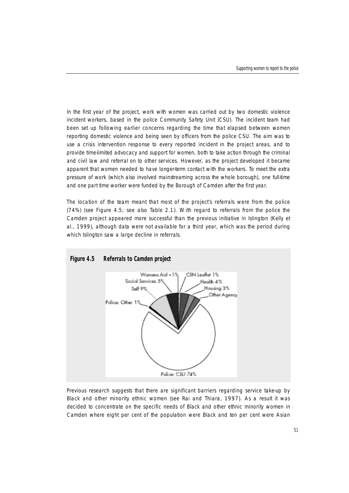In the first year of the project, work with women was carried out by two domestic violence incident workers, based in the police Community Safety Unit (CSU). The incident team had been set up following earlier concerns regarding the time that elapsed between women reporting domestic violence and being seen by officers from the police CSU. The aim was to use a crisis intervention response to every reported incident in the project areas, and to p rovide time-limited advocacy and support for women, both to take action through the criminal and civil law and referral on to other services. However, as the project developed it became apparent that women needed to have longer-term contact with the workers. To meet the extra pressure of work (which also involved mainstreaming across the whole borough), one full-time and one part time worker were funded by the Borough of Camden after the first year.

The location of the team meant that most of the project's referrals were from the police  $(74%)$  (see Figure 4.5; see also Table 2.1). With regard to referrals from the police the Camden project appeared more successful than the previous initiative in Islington (Kelly et al., 1999), although data were not available for a third year, which was the period during which Islington saw a large decline in referrals.



Previous research suggests that there are significant barriers regarding service take-up by Black and other minority ethnic women (see Rai and Thiara, 1997). As a result it was decided to concentrate on the specific needs of Black and other ethnic minority women in Camden where eight per cent of the population were Black and ten per cent were Asian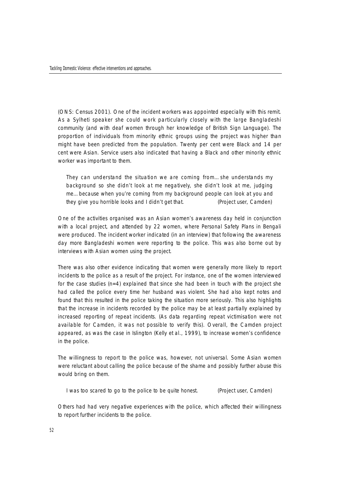(ONS: Census 2001). One of the incident workers was appointed especially with this remit. As a Sylheti speaker she could work particularly closely with the large Bangladeshi community (and with deaf women through her knowledge of British Sign Language). The proportion of individuals from minority ethnic groups using the project was higher than might have been predicted from the population. Twenty per cent were Black and 14 per cent were Asian. Service users also indicated that having a Black and other minority ethnic worker was important to them.

They can understand the situation we are coming from…she understands my background so she didn't look at me negatively, she didn't look at me, judging me…because when you're coming from my background people can look at you and they give you horrible looks and I didn't get that. (Project user, Camden)

One of the activities organised was an Asian women's awareness day held in conjunction with a local project, and attended by 22 women, where Personal Safety Plans in Bengali were produced. The incident worker indicated (in an interview) that following the awareness day more Bangladeshi women were reporting to the police. This was also borne out by interviews with Asian women using the project.

There was also other evidence indicating that women were generally more likely to report incidents to the police as a result of the project. For instance, one of the women interviewed for the case studies  $(n=4)$  explained that since she had been in touch with the project she had called the police every time her husband was violent. She had also kept notes and found that this resulted in the police taking the situation more seriously. This also highlights that the increase in incidents recorded by the police may be at least partially explained by increased reporting of repeat incidents. (As data regarding repeat victimisation were not available for Camden, it was not possible to verify this). Overall, the Camden project appeared, as was the case in Islington (Kelly et al., 1999), to increase women's confidence in the police.

The willingness to report to the police was, however, not universal. Some Asian women were reluctant about calling the police because of the shame and possibly further abuse this would bring on them.

I was too scared to go to the police to be quite honest. (Project user, Camden)

Others had had very negative experiences with the police, which affected their willingness to report further incidents to the police.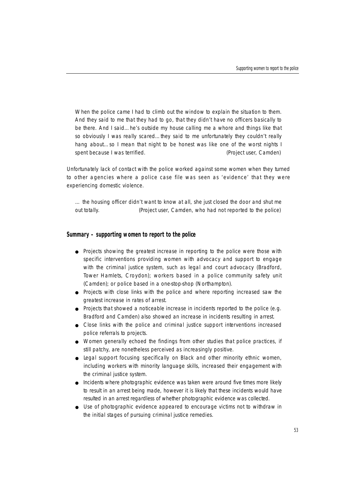When the police came I had to climb out the window to explain the situation to them. And they said to me that they had to go, that they didn't have no officers basically to be there. And I said…he's outside my house calling me a whore and things like that so obviously I was really scared…they said to me unfortunately they couldn't really hang about...so I mean that night to be honest was like one of the worst nights I spent because I was terrified. (Project user, Camden)

Unfortunately lack of contact with the police worked against some women when they turned to other agencies where a police case file was seen as 'evidence' that they were experiencing domestic violence.

… the housing officer didn't want to know at all, she just closed the door and shut me out totally. (Project user, Camden, who had not reported to the police)

# **Summary – supporting women to report to the police**

- Projects showing the greatest increase in reporting to the police were those with specific interventions providing women with advocacy and support to engage with the criminal justice system, such as legal and court advocacy (Bradford, Tower Hamlets, Croydon); workers based in a police community safety unit (Camden); or police based in a one-stop-shop (Northampton).
- Projects with close links with the police and where reporting increased saw the greatest increase in rates of arrest.
- Projects that showed a noticeable increase in incidents reported to the police (e.g. Bradford and Camden) also showed an increase in incidents resulting in arrest.
- Close links with the police and criminal justice support interventions increased police referrals to projects.
- Women generally echoed the findings from other studies that police practices, if still patchy, are nonetheless perceived as increasingly positive.
- Legal support focusing specifically on Black and other minority ethnic women, including workers with minority language skills, increased their engagement with the criminal justice system.
- Incidents where photographic evidence was taken were around five times more likely to result in an arrest being made, however it is likely that these incidents would have resulted in an arrest regardless of whether photographic evidence was collected.
- Use of photographic evidence appeared to encourage victims not to withdraw in the initial stages of pursuing criminal justice remedies.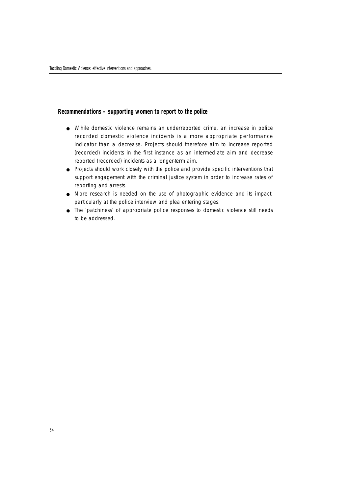# **Recommendations – supporting women to report to the police**

- While domestic violence remains an underreported crime, an increase in police recorded domestic violence incidents is a more appropriate performance indicator than a decrease. Projects should therefore aim to increase reported (recorded) incidents in the first instance as an intermediate aim and decrease reported (recorded) incidents as a longer-term aim.
- Projects should work closely with the police and provide specific interventions that support engagement with the criminal justice system in order to increase rates of reporting and arrests.
- More research is needed on the use of photographic evidence and its impact, particularly at the police interview and plea entering stages.
- The 'patchiness' of appropriate police responses to domestic violence still needs to be addressed.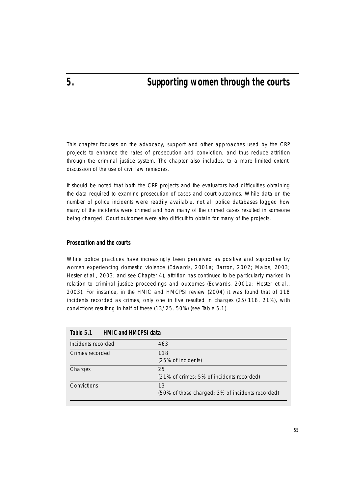This chapter focuses on the advocacy, support and other approaches used by the CRP p rojects to enhance the rates of prosecution and conviction, and thus reduce attrition through the criminal justice system. The chapter also includes, to a more limited extent, discussion of the use of civil law remedies.

It should be noted that both the CRP projects and the evaluators had difficulties obtaining the data required to examine prosecution of cases and court outcomes. While data on the number of police incidents were readily available, not all police databases logged how many of the incidents were crimed and how many of the crimed cases resulted in someone being charged. Court outcomes were also difficult to obtain for many of the projects.

# **Prosecution and the courts**

While police practices have increasingly been perceived as positive and supportive by women experiencing domestic violence (Edwards, 2001a; Barron, 2002; Malos, 2003; Hester et al., 2003; and see Chapter 4), attrition has continued to be particularly marked in relation to criminal justice proceedings and outcomes (Edwards, 2001a; Hester et al., 2003). For instance, in the HMIC and HMCPSI review (2004) it was found that of 118 incidents recorded as crimes, only one in five resulted in charges (25/118, 21%), with convictions resulting in half of these (13/25, 50%) (see Table 5.1).

| Table 5.1          | <b>HMIC and HMCPSI data</b> |                                                        |
|--------------------|-----------------------------|--------------------------------------------------------|
| Incidents recorded |                             | 463                                                    |
| Crimes recorded    |                             | 118<br>(25% of incidents)                              |
| Charges            |                             | 25<br>(21% of crimes; 5% of incidents recorded)        |
| Convictions        |                             | 13<br>(50% of those charged; 3% of incidents recorded) |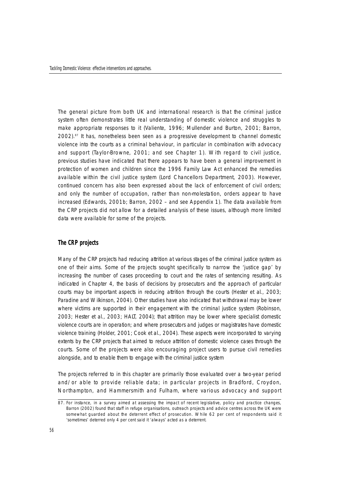The general picture from both UK and international research is that the criminal justice system often demonstrates little real understanding of domestic violence and struggles to make appropriate responses to it (Valiente, 1996; Mullender and Burton, 2001; Barron,  $2002$ ).<sup>87</sup> It has, nonetheless been seen as a progressive development to channel domestic violence into the courts as a criminal behaviour, in particular in combination with advocacy and support (Taylor-Browne, 2001; and see Chapter 1). With regard to civil justice, previous studies have indicated that there appears to have been a general improvement in protection of women and children since the 1996 Family Law Act enhanced the remedies available within the civil justice system (Lord Chancellors Department, 2003). However, continued concern has also been expressed about the lack of enforcement of civil orders; and only the number of occupation, rather than non-molestation, orders appear to have increased (Edwards, 2001b; Barron, 2002 – and see Appendix 1). The data available from the CRP projects did not allow for a detailed analysis of these issues, although more limited data were available for some of the projects.

# **The CRP projects**

Many of the CRP projects had reducing attrition at various stages of the criminal justice system as one of their aims. Some of the projects sought specifically to narrow the 'justice gap' by increasing the number of cases proceeding to court and the rates of sentencing resulting. As indicated in Chapter 4, the basis of decisions by prosecutors and the approach of particular courts may be important aspects in reducing attrition through the courts (Hester et al., 2003; Paradine and Wilkinson, 2004). Other studies have also indicated that withdrawal may be lower where victims are supported in their engagement with the criminal justice system (Robinson, 2003; Hester et al., 2003; HALT, 2004); that attrition may be lower where specialist domestic violence courts are in operation; and where prosecutors and judges or magistrates have domestic violence training (Holder, 2001; Cook et al., 2004). These aspects were incorporated to varying extents by the CRP projects that aimed to reduce attrition of domestic violence cases through the courts. Some of the projects were also encouraging project users to pursue civil remedies alongside, and to enable them to engage with the criminal justice system

The projects referred to in this chapter are primarily those evaluated over a two-year period and/or able to provide reliable data; in particular projects in Bradford, Croydon, Northampton, and Hammersmith and Fulham, where various advocacy and support

<sup>87.</sup> For instance, in a survey aimed at assessing the impact of recent legislative, policy and practice changes, Barron (2002) found that staff in refuge organisations, outreach projects and advice centres across the UK were somewhat guarded about the deterrent effect of prosecution. While 62 per cent of respondents said it 'sometimes' deterred only 4 per cent said it 'always' acted as a deterrent.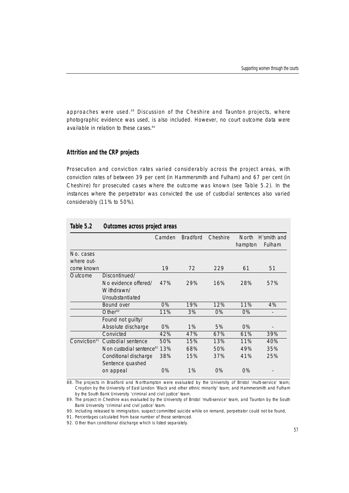approaches were used.88 Discussion of the Cheshire and Taunton projects, where photographic evidence was used, is also included. However, no court outcome data were available in relation to these cases.<sup>89</sup>

# **Attrition and the CRP projects**

Prosecution and conviction rates varied considerably across the project areas, with conviction rates of between 39 per cent (in Hammersmith and Fulham) and 67 per cent (in Cheshire) for prosecuted cases where the outcome was known (see Table 5.2). In the instances where the perpetrator was convicted the use of custodial sentences also varied considerably (11% to 50%).

| Table 5.2                | Outcomes across project areas        |        |                 |          |                         |                       |
|--------------------------|--------------------------------------|--------|-----------------|----------|-------------------------|-----------------------|
|                          |                                      | Camden | <b>Bradford</b> | Cheshire | <b>North</b><br>hampton | H'smith and<br>Fulham |
| No. cases<br>where out-  |                                      |        |                 |          |                         |                       |
| come known               |                                      | 19     | 72              | 229      | 61                      | 51                    |
| Outcome                  | Discontinued/                        |        |                 |          |                         |                       |
|                          | No evidence offered/                 | 47%    | 29%             | 16%      | 28%                     | 57%                   |
|                          | Withdrawn/                           |        |                 |          |                         |                       |
|                          | Unsubstantiated                      |        |                 |          |                         |                       |
|                          | Bound over                           | 0%     | 19%             | 12%      | 11%                     | 4%                    |
|                          | Other <sup>90</sup>                  | 11%    | 3%              | 0%       | 0%                      |                       |
|                          | Found not guilty/                    |        |                 |          |                         |                       |
|                          | Absolute discharge                   | 0%     | 1%              | 5%       | $0\%$                   |                       |
|                          | Convicted                            | 42%    | 47%             | 67%      | 61%                     | 39%                   |
| Conviction <sup>91</sup> | Custodial sentence                   | 50%    | 15%             | 13%      | 11%                     | 40%                   |
|                          | Non custodial sentence <sup>92</sup> | 13%    | 68%             | 50%      | 49%                     | 35%                   |
|                          | Conditional discharge                | 38%    | 15%             | 37%      | 41%                     | 25%                   |
|                          | Sentence quashed                     |        |                 |          |                         |                       |
|                          | on appeal                            | 0%     | 1%              | 0%       | 0%                      |                       |

88. The projects in Bradford and Northampton were evaluated by the University of Bristol 'multi-service' team; Croydon by the University of East London 'Black and other ethnic minority' team; and Hammersmith and Fulham by the South Bank University 'criminal and civil justice' team.

89. The project in Cheshire was evaluated by the University of Bristol 'multi-service' team, and Taunton by the South Bank University 'criminal and civil justice' team.

90. Including released to immigration, suspect committed suicide while on remand, perpetrator could not be found,

91. Percentages calculated from base number of those sentenced.

92. Other than conditional discharge which is listed separately.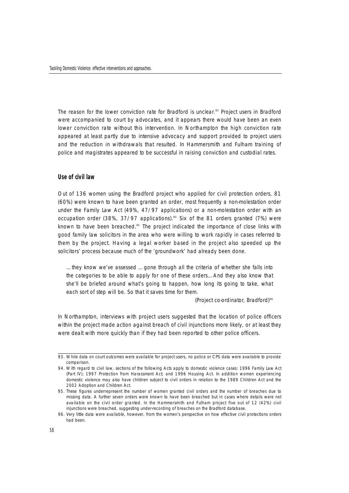The reason for the lower conviction rate for Bradford is unclear.<sup>93</sup> Project users in Bradford were accompanied to court by advocates, and it appears there would have been an even lower conviction rate without this intervention. In Northampton the high conviction rate appeared at least partly due to intensive advocacy and support provided to project users and the reduction in withdrawals that resulted. In Hammersmith and Fulham training of police and magistrates appeared to be successful in raising conviction and custodial rates.

# **Use of civil law**

Out of 136 women using the Bradford project who applied for civil protection orders, 81 (60%) were known to have been granted an order, most frequently a non-molestation order under the Family Law Act (49%, 47/97 applications) or a non-molestation order with an occupation order (38%, 37/97 applications).<sup>94</sup> Six of the 81 orders granted (7%) were known to have been breached.<sup>95</sup> The project indicated the importance of close links with good family law solicitors in the area who were willing to work rapidly in cases referred to them by the project. Having a legal worker based in the project also speeded up the solicitors' process because much of the 'groundwork' had already been done.

…they know we've assessed …gone through all the criteria of whether she falls into the categories to be able to apply for one of these orders…And they also know that she'll be briefed around what's going to happen, how long its going to take, what each sort of step will be. So that it saves time for them.

(Project co-ordinator, Bradford)<sup>%</sup>

In Northampton, interviews with project users suggested that the location of police officers within the project made action against breach of civil injunctions more likely, or at least they were dealt with more quickly than if they had been reported to other police officers.

<sup>93.</sup> While data on court outcomes were available for project users, no police or CPS data were available to provide comparison.

<sup>94.</sup> With regard to civil law, sections of the following Acts apply to domestic violence cases: 1996 Family Law Act (Part IV); 1997 Protection from Harassment Act; and 1996 Housing Act. In addition women experiencing domestic violence may also have children subject to civil orders in relation to the 1989 Children Act and the 2002 Adoption and Children Act.

<sup>95.</sup> These figures underrepresent the number of women granted civil orders and the number of breaches due to missing data. A further seven orders were known to have been breached but in cases where details were not available on the civil order granted. In the Hammersmith and Fulham project five out of 12 (42%) civil injunctions were breached, suggesting under-recording of breaches on the Bradford database.

<sup>96.</sup> Very little data were available, however, from the women's perspective on how effective civil protections orders had been.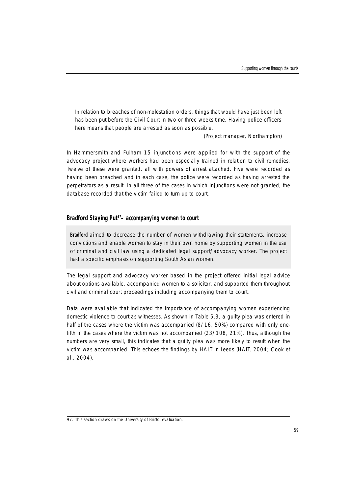In relation to breaches of non-molestation orders, things that would have just been left has been put before the Civil Court in two or three weeks time. Having police officers here means that people are arrested as soon as possible.

(Project manager, Northampton)

In Hammersmith and Fulham 15 injunctions were applied for with the support of the advocacy project where workers had been especially trained in relation to civil remedies. Twelve of these were granted, all with powers of arrest attached. Five were recorded as having been breached and in each case, the police were recorded as having arrested the perpetrators as a result. In all three of the cases in which injunctions were not granted, the database recorded that the victim failed to turn up to court.

# **Bradford Staying Put<sup>97</sup>– accompanying women to court**

**Bradford** aimed to decrease the number of women withdrawing their statements, increase convictions and enable women to stay in their own home by supporting women in the use of criminal and civil law using a dedicated legal support/advocacy worker. The project had a specific emphasis on supporting South Asian women.

The legal support and advocacy worker based in the project offered initial legal advice about options available, accompanied women to a solicitor, and supported them throughout civil and criminal court proceedings including accompanying them to court.

Data were available that indicated the importance of accompanying women experiencing domestic violence to court as witnesses. As shown in Table 5.3, a guilty plea was entered in half of the cases where the victim was accompanied (8/16, 50%) compared with only onefifth in the cases where the victim was not accompanied (23/108, 21%). Thus, although the numbers are very small, this indicates that a guilty plea was more likely to result when the victim was accompanied. This echoes the findings by HALT in Leeds (HALT, 2004; Cook et al., 2004).

<sup>97.</sup> This section draws on the University of Bristol evaluation.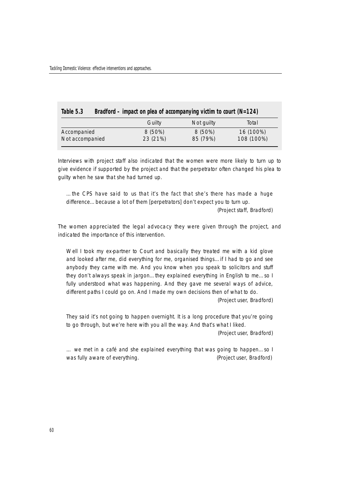| Bradford – impact on plea of accompanying victim to court $(N=124)$<br>Table 5.3 |
|----------------------------------------------------------------------------------|
|----------------------------------------------------------------------------------|

|                 | Guilty   | Not guilty | Total      |
|-----------------|----------|------------|------------|
| Accompanied     | 8 (50%)  | 8 (50%)    | 16 (100%)  |
| Not accompanied | 23 (21%) | 85 (79%)   | 108 (100%) |

Interviews with project staff also indicated that the women were more likely to turn up to give evidence if supported by the project and that the perpetrator often changed his plea to guilty when he saw that she had turned up.

…the CPS have said to us that it's the fact that she's there has made a huge difference…because a lot of them [perpetrators] don't expect you to turn up.

(Project staff, Bradford)

The women appreciated the legal advocacy they were given through the project, and indicated the importance of this intervention.

Well I took my ex-partner to Court and basically they treated me with a kid glove and looked after me, did everything for me, organised things…if I had to go and see anybody they came with me. And you know when you speak to solicitors and stuff they don't always speak in jargon…they explained everything in English to me…so I fully understood what was happening. And they gave me several ways of advice, different paths I could go on. And I made my own decisions then of what to do.

(Project user, Bradford)

They said it's not going to happen overnight. It is a long procedure that you're going to go through, but we're here with you all the way. And that's what I liked.

(Project user, Bradford)

… we met in a café and she explained everything that was going to happen…so I was fully aware of everything. The state of the control of the control (Project user, Bradford)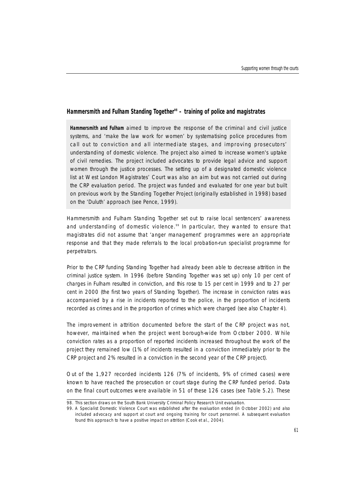#### **Hammersmith and Fulham Standing Together<sup>98</sup> – training of police and magistrates**

**Hammersmith and Fulham** aimed to improve the response of the criminal and civil justice systems, and 'make the law work for women' by systematising police procedures from call out to conviction and all intermediate stages, and improving prosecutors' understanding of domestic violence. The project also aimed to increase women's uptake of civil remedies. The project included advocates to provide legal advice and support women through the justice processes. The setting up of a designated domestic violence list at West London Magistrates' Court was also an aim but was not carried out during the CRP evaluation period. The project was funded and evaluated for one year but built on previous work by the Standing Together Project (originally established in 1998) based on the 'Duluth' approach (see Pence, 1999).

Hammersmith and Fulham Standing Together set out to raise local sentencers' awareness and understanding of domestic violence.<sup>99</sup> In particular, they wanted to ensure that magistrates did not assume that 'anger management' programmes were an appropriate response and that they made referrals to the local probation-run specialist programme for perpetrators.

Prior to the CRP funding Standing Together had already been able to decrease attrition in the criminal justice system. In 1996 (before Standing Together was set up) only 10 per cent of charges in Fulham resulted in conviction, and this rose to 15 per cent in 1999 and to 27 per cent in 2000 (the first two years of Standing Together). The increase in conviction rates was accompanied by a rise in incidents reported to the police, in the proportion of incidents recorded as crimes and in the proportion of crimes which were charged (see also Chapter 4).

The improvement in attrition documented before the start of the CRP project was not, however, maintained when the project went borough-wide from October 2000. While conviction rates as a proportion of reported incidents increased throughout the work of the project they remained low (1% of incidents resulted in a conviction immediately prior to the CRP project and 2% resulted in a conviction in the second year of the CRP project).

Out of the 1,927 recorded incidents 126 (7% of incidents, 9% of crimed cases) were known to have reached the prosecution or court stage during the CRP funded period. Data on the final court outcomes were available in 51 of these 126 cases (see Table 5.2). These

<sup>98.</sup> This section draws on the South Bank University Criminal Policy Research Unit evaluation.

<sup>99.</sup> A Specialist Domestic Violence Court was established after the evaluation ended (in October 2002) and also included advocacy and support at court and ongoing training for court personnel. A subsequent evaluation found this approach to have a positive impact on attrition (Cook et al., 2004).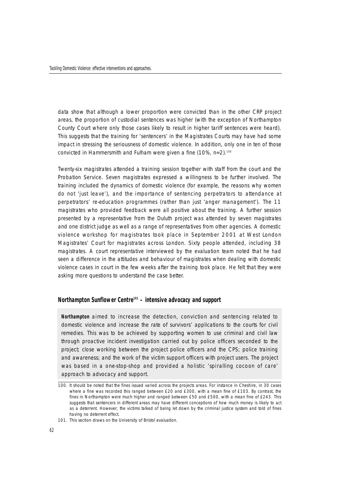data show that although a lower proportion were convicted than in the other CRP project areas, the proportion of custodial sentences was higher (with the exception of Northampton County Court where only those cases likely to result in higher tariff sentences were heard). This suggests that the training for 'sentencers' in the Magistrates Courts may have had some impact in stressing the seriousness of domestic violence. In addition, only one in ten of those convicted in Hammersmith and Fulham were given a fine  $(10\% \, n=2)$ .<sup>100</sup>

Twenty-six magistrates attended a training session together with staff from the court and the Probation Service. Seven magistrates expressed a willingness to be further involved. The training included the dynamics of domestic violence (for example, the reasons why women do not 'just leave'), and the importance of sentencing perpetrators to attendance at perpetrators' re-education programmes (rather than just 'anger management'). The 11 magistrates who provided feedback were all positive about the training. A further session presented by a representative from the Duluth project was attended by seven magistrates and one district judge as well as a range of representatives from other agencies. A domestic violence workshop for magistrates took place in September 2001 at West London Magistrates' Court for magistrates across London. Sixty people attended, including 38 magistrates. A court representative interviewed by the evaluation team noted that he had seen a difference in the attitudes and behaviour of magistrates when dealing with domestic violence cases in court in the few weeks after the training took place. He felt that they were asking more questions to understand the case better.

# **Northampton Sunflower Centre<sup>101</sup> – intensive advocacy and support**

Northampton aimed to increase the detection, conviction and sentencing related to domestic violence and increase the rate of survivors' applications to the courts for civil remedies. This was to be achieved by supporting women to use criminal and civil law through proactive incident investigation carried out by police officers seconded to the project; close working between the project police officers and the CPS; police training and awareness; and the work of the victim support officers with project users. The project was based in a one-stop-shop and provided a holistic 'spiralling cocoon of care' approach to advocacy and support.

<sup>100.</sup> It should be noted that the fines issued varied across the projects areas. For instance in Cheshire, in 30 cases where a fine was recorded this ranged between £20 and £300, with a mean fine of £103. By contrast, the fines in Northampton were much higher and ranged between £50 and £500, with a mean fine of £243. This suggests that sentencers in different areas may have different conceptions of how much money is likely to act as a deterrent. However, the victims talked of being let down by the criminal justice system and told of fines having no deterrent effect.

<sup>101.</sup> This section draws on the University of Bristol evaluation.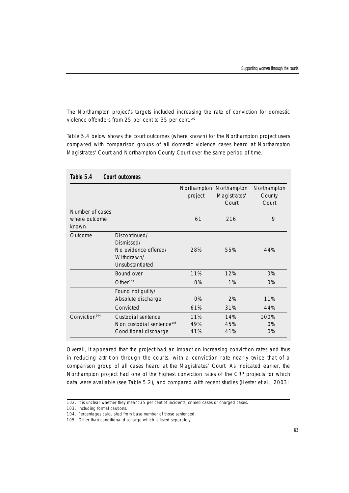The Northampton project's targets included increasing the rate of conviction for domestic violence offenders from 25 per cent to 35 per cent.<sup>102</sup>

Table 5.4 below shows the court outcomes (where known) for the Northampton project users compared with comparison groups of all domestic violence cases heard at Northampton Magistrates' Court and Northampton County Court over the same period of time.

| Table 5.4                                 | <b>Court outcomes</b>                                                                |                        |                                      |                                |
|-------------------------------------------|--------------------------------------------------------------------------------------|------------------------|--------------------------------------|--------------------------------|
|                                           |                                                                                      | Northampton<br>project | Northampton<br>Magistrates'<br>Court | Northampton<br>County<br>Court |
| Number of cases<br>where outcome<br>known |                                                                                      | 61                     | 216                                  | 9                              |
| Outcome                                   | Discontinued/<br>Dismissed/<br>No evidence offered/<br>Withdrawn/<br>Unsubstantiated | 28%                    | 55%                                  | 44%                            |
|                                           | Bound over                                                                           | 11%                    | 12%                                  | 0%                             |
|                                           | Other $103$                                                                          | $0\%$                  | 1%                                   | 0%                             |
|                                           | Found not guilty/<br>Absolute discharge                                              | 0%                     | 2%                                   | 11%                            |
|                                           | Convicted                                                                            | 61%                    | 31%                                  | 44%                            |
| Conviction <sup>104</sup>                 | Custodial sentence<br>Non custodial sentence <sup>105</sup><br>Conditional discharge | 11%<br>49%<br>41%      | 14%<br>45%<br>41%                    | 100%<br>0%<br>0%               |

Overall, it appeared that the project had an impact on increasing conviction rates and thus in reducing attrition through the courts, with a conviction rate nearly twice that of a comparison group of all cases heard at the Magistrates' Court. As indicated earlier, the Northampton project had one of the highest conviction rates of the CRP projects for which data were available (see Table 5.2), and compared with recent studies (Hester et al., 2003;

<sup>102.</sup> It is unclear whether they meant 35 per cent of incidents, crimed cases or charged cases.

<sup>103.</sup> Including formal cautions.

<sup>104.</sup> Percentages calculated from base number of those sentenced.

<sup>105.</sup> Other than conditional discharge which is listed separately.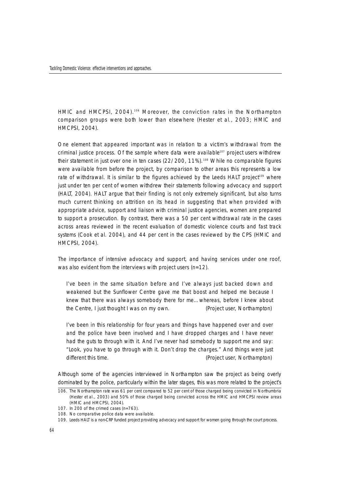HMIC and HMCPSI, 2004).<sup>106</sup> Moreover, the conviction rates in the Northampton comparison groups were both lower than elsewhere (Hester et al., 2003; HMIC and HMCPSI, 2004).

One element that appeared important was in relation to a victim's withdrawal from the criminal justice process. Of the sample where data were available<sup>107</sup> project users withdrew their statement in just over one in ten cases  $(22/200, 11\%)$ .<sup>108</sup> While no comparable figures were available from before the project, by comparison to other areas this represents a low rate of withdrawal. It is similar to the figures achieved by the Leeds HALT project<sup>109</sup> where just under ten per cent of women withdrew their statements following advocacy and support (HALT, 2004). HALT argue that their finding is not only extremely significant, but also turns much current thinking on attrition on its head in suggesting that when provided with appropriate advice, support and liaison with criminal justice agencies, women are prepared to support a prosecution. By contrast, there was a 50 per cent withdrawal rate in the cases across areas reviewed in the recent evaluation of domestic violence courts and fast track systems (Cook et al. 2004), and 44 per cent in the cases reviewed by the CPS (HMIC and HMCPSI, 2004).

The importance of intensive advocacy and support, and having services under one roof, was also evident from the interviews with project users (n=12).

I've been in the same situation before and I've always just backed down and weakened but the Sunflower Centre gave me that boost and helped me because I knew that there was always somebody there for me…whereas, before I knew about the Centre, I just thought I was on my own. (Project user, Northampton)

I've been in this relationship for four years and things have happened over and over and the police have been involved and I have dropped charges and I have never had the guts to through with it. And I've never had somebody to support me and say: "Look, you have to go through with it. Don't drop the charges." And things were just different this time.  $(Project user, Northampton)$ 

Although some of the agencies interviewed in Northampton saw the project as being overly dominated by the police, particularly within the later stages, this was more related to the project's

<sup>106.</sup> The Northampton rate was 61 per cent compared to 52 per cent of those charged being convicted in Northumbria (Hester et al., 2003) and 50% of those charged being convicted across the HMIC and HMCPSI review areas (HMIC and HMCPSI, 2004).

<sup>107.</sup> In 200 of the crimed cases (n=763).

<sup>108.</sup> No comparative police data were available.

<sup>109.</sup> Leeds HALT is a non-CRP funded project providing advocacy and support for women going through the court process.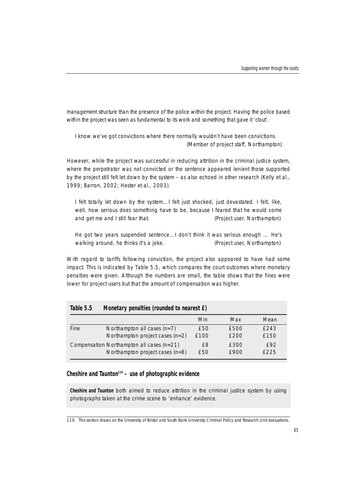management structure than the presence of the police within the project. Having the police based within the project was seen as fundamental to its work and something that gave it 'clout'.

I know we've got convictions where there normally wouldn't have been convictions. (Member of project staff, Northampton)

However, while the project was successful in reducing attrition in the criminal justice system, where the perpetrator was not convicted or the sentence appeared lenient those supported by the project still felt let down by the system – as also echoed in other research (Kelly et al., 1999; Barron, 2002; Hester et al., 2003).

I felt totally let down by the system…I felt just shocked, just devastated. I felt, like, well, how serious does something have to be, because I feared that he would come and get me and I still fear that. (Project user, Northampton)

He got two years suspended sentence…I don't think it was serious enough … He's walking around, he thinks it's a joke. (Project user, Northampton)

With regard to tariffs following conviction, the project also appeared to have had some impact. This is indicated by Table 5.5, which compares the court outcomes where monetary penalties were given. Although the numbers are small, the table shows that the fines were lower for project users but that the amount of compensation was higher.

| Table 5.5 | Monetary penalties (rounded to nearest £) |      |      |      |
|-----------|-------------------------------------------|------|------|------|
|           |                                           | Min  | Max  | Mean |
| Fine      | Northampton all cases $(n=7)$             | £50  | £500 | f243 |
|           | Northampton project cases $(n=2)$         | £100 | £200 | £150 |
|           | Compensation Northampton all cases (n=21) | £8   | £300 | F92  |
|           | Northampton project cases (n=8)           | £50  | £900 | £225 |

# **Cheshire and Taunton<sup>110</sup> – use of photographic evidence**

**Cheshire and Taunton** both aimed to reduce attrition in the criminal justice system by using photographs taken at the crime scene to 'enhance' evidence.

<sup>110.</sup> This section draws on the University of Bristol and South Bank University Criminal Policy and Research Unit evaluations.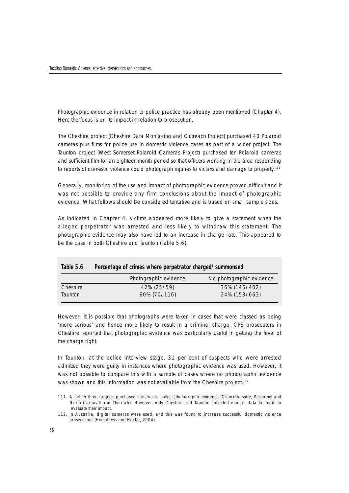Photographic evidence in relation to police practice has already been mentioned (Chapter 4). Here the focus is on its impact in relation to prosecution.

The Cheshire project (Cheshire Data Monitoring and Outreach Project) purchased 40 Polaroid cameras plus films for police use in domestic violence cases as part of a wider project. The Taunton project (West Somerset Polaroid Cameras Project) purchased ten Polaroid cameras and sufficient film for an eighteen-month period so that officers working in the area responding to reports of domestic violence could photograph injuries to victims and damage to property.<sup>111</sup>

Generally, monitoring of the use and impact of photographic evidence proved difficult and it was not possible to provide any firm conclusions about the impact of photographic evidence. What follows should be considered tentative and is based on small sample sizes.

As indicated in Chapter 4, victims appeared more likely to give a statement when the alleged perpetrator was arrested and less likely to withdraw this statement. The photographic evidence may also have led to an increase in charge rate. This appeared to be the case in both Cheshire and Taunton (Table 5.6).

|          | 그 사람들은 그 사람들은 그 사람들은 그 사람들을 하고 있다. 그는 그 사람들은 사람들은 그 사람들은 그 사람들을 지금 못했다. 그는 그 사람들은 그 사람들은 그 사람들은 그 사람들을 지금 모르고 있다. |                          |
|----------|-------------------------------------------------------------------------------------------------------------------|--------------------------|
|          | Photographic evidence                                                                                             | No photographic evidence |
| Cheshire | 42% (25/59)                                                                                                       | 36% (146/402)            |
| Taunton  | 60% (70/116)                                                                                                      | 24% (158/663)            |

# **Table 5.6 Percentage of crimes where perpetrator charged/summonsed**

However, it is possible that photographs were taken in cases that were classed as being ' more serious' and hence more likely to result in a criminal charge. CPS prosecutors in Cheshire reported that photographic evidence was particularly useful in getting the level of the charge right.

In Taunton, at the police interview stage, 31 per cent of suspects who were arrested admitted they were guilty in instances where photographic evidence was used. However, it was not possible to compare this with a sample of cases where no photographic evidence was shown and this information was not available from the Cheshire project.<sup>112</sup>

<sup>111.</sup> A further three projects purchased cameras to collect photographic evidence (Gloucestershire, Restormel and North Cornwall and Thurrock). However, only Cheshire and Taunton collected enough data to begin to evaluate their impact.

<sup>112.</sup> In Australia, digital cameras were used, and this was found to increase successful domestic violence prosecutions (Humphreys and Holder, 2004).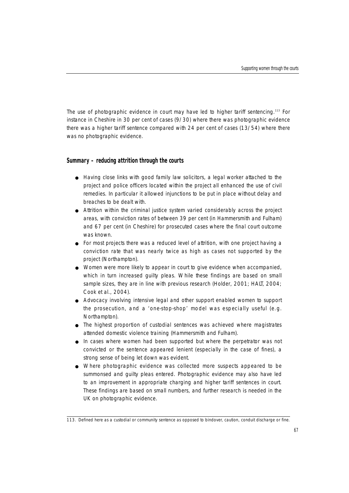The use of photographic evidence in court may have led to higher tariff sentencing.<sup>113</sup> For instance in Cheshire in 30 per cent of cases (9/30) where there was photographic evidence there was a higher tariff sentence compared with 24 per cent of cases (13/54) where there was no photographic evidence.

#### **Summary – reducing attrition through the courts**

- Having close links with good family law solicitors, a legal worker attached to the project and police officers located within the project all enhanced the use of civil remedies. In particular it allowed injunctions to be put in place without delay and breaches to be dealt with.
- Attrition within the criminal justice system varied considerably across the project areas, with conviction rates of between 39 per cent (in Hammersmith and Fulham) and 67 per cent (in Cheshire) for prosecuted cases where the final court outcome was known.
- For most projects there was a reduced level of attrition, with one project having a conviction rate that was nearly twice as high as cases not supported by the project (Northampton).
- Women were more likely to appear in court to give evidence when accompanied, which in turn increased guilty pleas. While these findings are based on small sample sizes, they are in line with previous research (Holder, 2001; HALT, 2004; Cook et al., 2004).
- Advocacy involving intensive legal and other support enabled women to support the prosecution, and a 'one-stop-shop' model was especially useful (e.g. Northampton).
- The highest proportion of custodial sentences was achieved where magistrates attended domestic violence training (Hammersmith and Fulham).
- In cases where women had been supported but where the perpetrator was not convicted or the sentence appeared lenient (especially in the case of fines), a strong sense of being let down was evident.
- Where photographic evidence was collected more suspects appeared to be summonsed and guilty pleas entered. Photographic evidence may also have led to an improvement in appropriate charging and higher tariff sentences in court. These findings are based on small numbers, and further research is needed in the UK on photographic evidence.

<sup>113.</sup> Defined here as a custodial or community sentence as opposed to bindover, caution, conduit discharge or fine.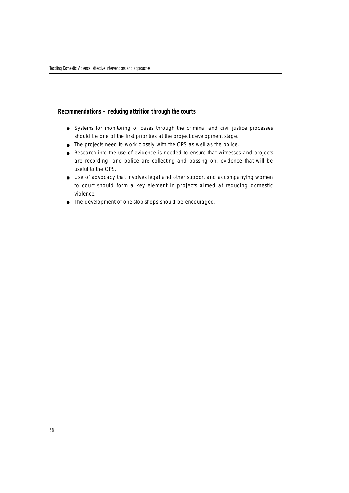# **Recommendations – reducing attrition through the courts**

- Systems for monitoring of cases through the criminal and civil justice processes should be one of the first priorities at the project development stage.
- The projects need to work closely with the CPS as well as the police.
- Research into the use of evidence is needed to ensure that witnesses and projects are recording, and police are collecting and passing on, evidence that will be useful to the CPS.
- Use of advocacy that involves legal and other support and accompanying women to court should form a key element in projects aimed at reducing domestic violence.
- The development of one-stop-shops should be encouraged.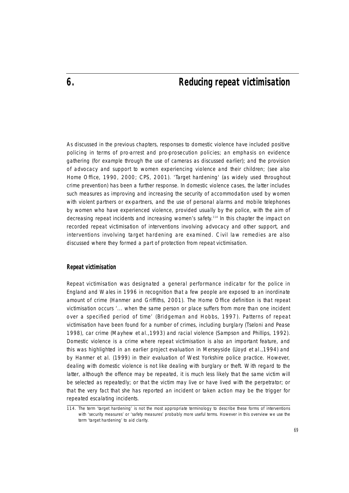As discussed in the previous chapters, responses to domestic violence have included positive policing in terms of pro-arrest and pro-prosecution policies; an emphasis on evidence gathering (for example through the use of cameras as discussed earlier); and the provision of advocacy and support to women experiencing violence and their children; (see also Home Office, 1990, 2000; CPS, 2001). 'Target hardening' (as widely used throughout crime prevention) has been a further response. In domestic violence cases, the latter includes such measures as improving and increasing the security of accommodation used by women with violent partners or ex-partners, and the use of personal alarms and mobile telephones by women who have experienced violence, provided usually by the police, with the aim of decreasing repeat incidents and increasing women's safety.<sup>114</sup> In this chapter the impact on recorded repeat victimisation of interventions involving advocacy and other support, and interventions involving target hardening are examined. Civil law remedies are also discussed where they formed a part of protection from repeat victimisation.

# **Repeat victimisation**

Repeat victimisation was designated a general performance indicator for the police in England and Wales in 1996 in recognition that a few people are exposed to an inordinate amount of crime (Hanmer and Griffiths, 2001). The Home Office definition is that repeat victimisation occurs '... when the same person or place suffers from more than one incident over a specified period of time' (Bridgeman and Hobbs, 1997). Patterns of repeat victimisation have been found for a number of crimes, including burglary (Tseloni and Pease 1998), car crime (Mayhew et al.,1993) and racial violence (Sampson and Phillips, 1992). Domestic violence is a crime where repeat victimisation is also an important feature, and this was highlighted in an earlier project evaluation in Merseyside (Lloyd et al.,1994) and by Hanmer et al. (1999) in their evaluation of West Yorkshire police practice. However, dealing with domestic violence is not like dealing with burglary or theft. With regard to the latter, although the offence may be repeated, it is much less likely that the same victim will be selected as repeatedly; or that the victim may live or have lived with the perpetrator; or that the very fact that she has reported an incident or taken action may be the trigger for repeated escalating incidents.

<sup>114.</sup> The term 'target hardening' is not the most appropriate terminology to describe these forms of interventions with 'security measures' or 'safety measures' probably more useful terms. However in this overview we use the term 'target hardening' to aid clarity.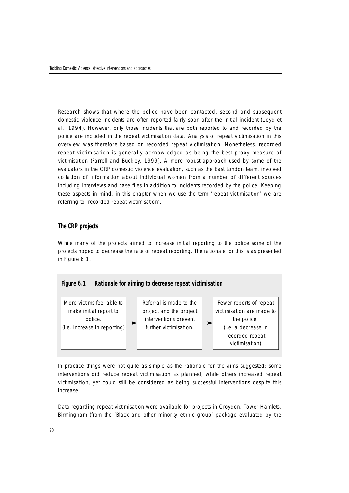Research shows that where the police have been contacted, second and subsequent domestic violence incidents are often reported fairly soon after the initial incident (Lloyd et al., 1994). However, only those incidents that are both reported to and recorded by the police are included in the repeat victimisation data. Analysis of repeat victimisation in this overview was therefore based on recorded repeat victimisation. Nonetheless, recorded repeat victimisation is generally acknowledged as being the best proxy measure of victimisation (Farrell and Buckley, 1999). A more robust approach used by some of the evaluators in the CRP domestic violence evaluation, such as the East London team, involved collation of information about individual women from a number of different sources including interviews and case files in addition to incidents recorded by the police. Keeping these aspects in mind, in this chapter when we use the term 'repeat victimisation' we are referring to 'recorded repeat victimisation'.

# **The CRP projects**

While many of the projects aimed to increase initial reporting to the police some of the projects hoped to decrease the rate of repeat reporting. The rationale for this is as presented in Figure 6.1.

# **Figure 6.1 Rationale for aiming to decrease repeat victimisation**

More victims feel able to make initial report to police. (i.e. increase in reporting)

Referral is made to the project and the project interventions prevent further victimisation.

Fewer reports of repeat victimisation are made to the police. (i.e. a decrease in recorded repeat victimisation)

In practice things were not quite as simple as the rationale for the aims suggested: some interventions did reduce repeat victimisation as planned, while others increased repeat victimisation, yet could still be considered as being successful interventions despite this increase.

Data regarding repeat victimisation were available for projects in Croydon, Tower Hamlets, Birmingham (from the 'Black and other minority ethnic group' package evaluated by the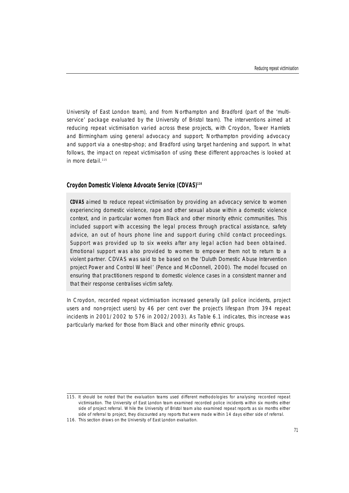University of East London team), and from Northampton and Bradford (part of the 'multiservice' package evaluated by the University of Bristol team). The interventions aimed at reducing repeat victimisation varied across these projects, with Croydon, Tower Hamlets and Birmingham using general advocacy and support; Northampton providing advocacy and support via a one-stop-shop; and Bradford using target hardening and support. In what follows, the impact on repeat victimisation of using these different approaches is looked at in more detail.<sup>115</sup>

#### **Croydon Domestic Violence Advocate Service (CDVAS)<sup>116</sup>**

**CDVAS** aimed to reduce repeat victimisation by providing an advocacy service to women experiencing domestic violence, rape and other sexual abuse within a domestic violence context, and in particular women from Black and other minority ethnic communities. This included support with accessing the legal process through practical assistance, safety advice, an out of hours phone line and support during child contact proceedings. Support was provided up to six weeks after any legal action had been obtained. Emotional support was also provided to women to empower them not to return to a violent partner. CDVAS was said to be based on the 'Duluth Domestic Abuse Intervention project Power and Control Wheel' (Pence and McDonnell, 2000). The model focused on ensuring that practitioners respond to domestic violence cases in a consistent manner and that their response centralises victim safety.

In Croydon, recorded repeat victimisation increased generally (all police incidents, project users and non-project users) by 46 per cent over the project's lifespan (from 394 repeat incidents in 2001/2002 to 576 in 2002/2003). As Table 6.1 indicates, this increase was particularly marked for those from Black and other minority ethnic groups.

<sup>115.</sup> It should be noted that the evaluation teams used different methodologies for analysing recorded repeat victimisation. The University of East London team examined recorded police incidents within six months either side of project referral. While the University of Bristol team also examined repeat reports as six months either side of referral to project, they discounted any reports that were made within 14 days either side of referral.

<sup>116.</sup> This section draws on the University of East London evaluation.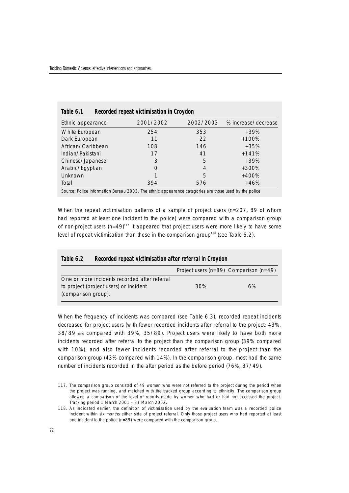| Table 6.1                                                                                             | Recorded repeat victimisation in Croydon |           |                     |
|-------------------------------------------------------------------------------------------------------|------------------------------------------|-----------|---------------------|
| Ethnic appearance                                                                                     | 2001/2002                                | 2002/2003 | % increase/decrease |
| White European                                                                                        | 254                                      | 353       | $+39%$              |
| Dark European                                                                                         | 11                                       | 22        | $+100%$             |
| African/Caribbean                                                                                     | 108                                      | 146       | $+35%$              |
| Indian/Pakistani                                                                                      | 17                                       | 41        | $+141%$             |
| Chinese/Japanese<br>3                                                                                 |                                          | 5         | $+39%$              |
| Arabic/Egyptian<br>$+300%$<br>O<br>4                                                                  |                                          |           |                     |
| <b>Unknown</b><br>5<br>$+400%$                                                                        |                                          |           |                     |
| Total<br>394<br>576<br>$+46%$                                                                         |                                          |           |                     |
| Source: Police Information Bureau 2003. The ethnic appearance categories are those used by the police |                                          |           |                     |

When the repeat victimisation patterns of a sample of project users (n=207, 89 of whom had reported at least one incident to the police) were compared with a comparison group of non-project users  $(n=49)^{117}$  it appeared that project users were more likely to have some level of repeat victimisation than those in the comparison group<sup>118</sup> (see Table  $6.2$ ).

| Table 6.2 |  |  | Recorded repeat victimisation after referral in Croydon |
|-----------|--|--|---------------------------------------------------------|
|-----------|--|--|---------------------------------------------------------|

|                                                                                                                | Project users ( $n=89$ ) Comparison ( $n=49$ ) |    |
|----------------------------------------------------------------------------------------------------------------|------------------------------------------------|----|
| One or more incidents recorded after referral<br>to project (project users) or incident<br>(comparison group). | 30%                                            | 6% |

When the frequency of incidents was compared (see Table 6.3), recorded repeat incidents decreased for project users (with fewer recorded incidents after referral to the project: 43%, 38/89 as compared with 39%, 35/89). Project users were likely to have both more incidents recorded after referral to the project than the comparison group (39% compared with 10%), and also fewer incidents recorded after referral to the project than the comparison group (43% compared with 14%). In the comparison group, most had the same number of incidents recorded in the after period as the before period (76%, 37/49).

<sup>117.</sup> The comparison group consisted of 49 women who were not referred to the project during the period when the project was running, and matched with the tracked group according to ethnicity. The comparison group allowed a comparison of the level of reports made by women who had or had not accessed the project. Tracking period 1 March 2001 – 31 March 2002.

<sup>118.</sup> As indicated earlier, the definition of victimisation used by the evaluation team was a recorded police incident within six months either side of project referral. Only those project users who had reported at least one incident to the police (n=89) were compared with the comparison group.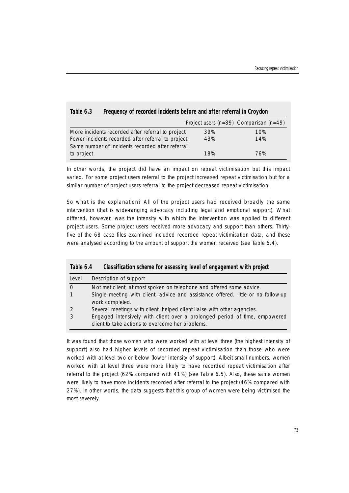|                                                    |     | Project users $(n=89)$ Comparison $(n=49)$ |
|----------------------------------------------------|-----|--------------------------------------------|
| More incidents recorded after referral to project  | 39% | 10%                                        |
| Fewer incidents recorded after referral to project | 43% | 14%                                        |
| Same number of incidents recorded after referral   |     |                                            |
| to project                                         | 18% | 76%                                        |

# **Table 6.3 Frequency of recorded incidents before and after referral in Croydon**

In other words, the project did have an impact on repeat victimisation but this impact varied. For some project users referral to the project increased repeat victimisation but for a similar number of project users referral to the project decreased repeat victimisation.

So what is the explanation? All of the project users had received broadly the same intervention (that is wide-ranging advocacy including legal and emotional support). What differed, however, was the intensity with which the intervention was applied to different project users. Some project users received more advocacy and support than others. Thirtyfive of the 68 case files examined included recorded repeat victimisation data, and these were analysed according to the amount of support the women received (see Table 6.4).

| Table 6.4     | Classification scheme for assessing level of engagement with project                                                           |
|---------------|--------------------------------------------------------------------------------------------------------------------------------|
| Level         | Description of support                                                                                                         |
| $\Omega$      | Not met client, at most spoken on telephone and offered some advice.                                                           |
|               | Single meeting with client, advice and assistance offered, little or no follow-up<br>work completed.                           |
| $\mathcal{P}$ | Several meetings with client, helped client liaise with other agencies.                                                        |
|               | Engaged intensively with client over a prolonged period of time, empowered<br>client to take actions to overcome her problems. |

It was found that those women who were worked with at level three (the highest intensity of support) also had higher levels of recorded repeat victimisation than those who were worked with at level two or below (lower intensity of support). Albeit small numbers, women worked with at level three were more likely to have recorded repeat victimisation after referral to the project (62% compared with 41%) (see Table 6.5). Also, these same women were likely to have more incidents recorded after referral to the project (46% compared with 27%). In other words, the data suggests that this group of women were being victimised the most severely.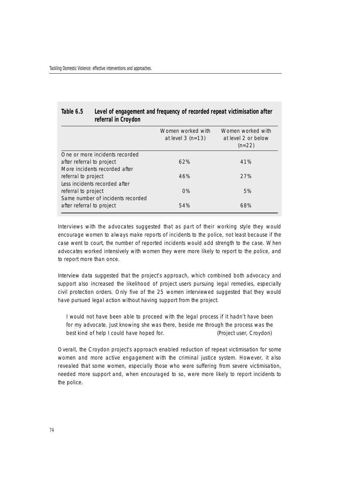| referral in Croydon               |                                         |                                                      |
|-----------------------------------|-----------------------------------------|------------------------------------------------------|
|                                   | Women worked with<br>at level $3(n=13)$ | Women worked with<br>at level 2 or below<br>$(n=22)$ |
| One or more incidents recorded    |                                         |                                                      |
| after referral to project         | 62%                                     | 41%                                                  |
| More incidents recorded after     |                                         |                                                      |
| referral to project               | 46%                                     | 27%                                                  |
| Less incidents recorded after     |                                         |                                                      |
| referral to project               | $O\%$                                   | 5%                                                   |
| Same number of incidents recorded |                                         |                                                      |
| after referral to project         | 54%                                     | 68%                                                  |

# **Table 6.5 Level of engagement and frequency of recorded repeat victimisation after referral in Croydon**

Interviews with the advocates suggested that as part of their working style they would encourage women to always make reports of incidents to the police, not least because if the case went to court, the number of reported incidents would add strength to the case. When advocates worked intensively with women they were more likely to report to the police, and to report more than once.

Interview data suggested that the project's approach, which combined both advocacy and support also increased the likelihood of project users pursuing legal remedies, especially civil protection orders. Only five of the 25 women interviewed suggested that they would have pursued legal action without having support from the project.

I would not have been able to proceed with the legal process if it hadn't have been for my advocate. Just knowing she was there, beside me through the process was the best kind of help I could have hoped for. (Project user, Croydon)

Overall, the Croydon project's approach enabled reduction of repeat victimisation for some women and more active engagement with the criminal justice system. However, it also revealed that some women, especially those who were suffering from severe victimisation, needed more support and, when encouraged to so, were more likely to report incidents to the police.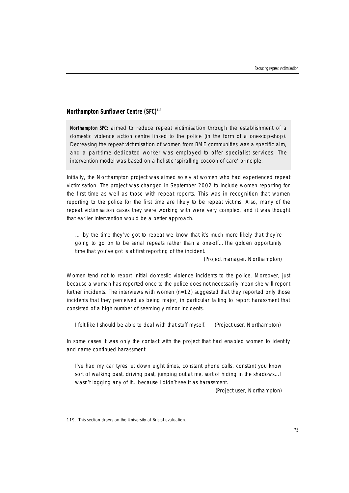# **Northampton Sunflower Centre (SFC)<sup>119</sup>**

**Northampton SFC:** aimed to reduce repeat victimisation through the establishment of a domestic violence action centre linked to the police (in the form of a one-stop-shop). Decreasing the repeat victimisation of women from BME communities was a specific aim, and a part-time dedicated worker was employed to offer specialist services. The intervention model was based on a holistic 'spiralling cocoon of care' principle.

Initially, the Northampton project was aimed solely at women who had experienced repeat victimisation. The project was changed in September 2002 to include women reporting for the first time as well as those with repeat reports. This was in recognition that women reporting to the police for the first time are likely to be repeat victims. Also, many of the repeat victimisation cases they were working with were very complex, and it was thought that earlier intervention would be a better approach.

… by the time they've got to repeat we know that it's much more likely that they're going to go on to be serial repeats rather than a one-off…The golden opportunity time that you've got is at first reporting of the incident.

(Project manager, Northampton)

Women tend not to report initial domestic violence incidents to the police. Moreover, just because a woman has reported once to the police does not necessarily mean she will report further incidents. The interviews with women  $(n=12)$  suggested that they reported only those incidents that they perceived as being major, in particular failing to report harassment that consisted of a high number of seemingly minor incidents.

I felt like I should be able to deal with that stuff myself. (Project user, Northampton)

In some cases it was only the contact with the project that had enabled women to identify and name continued harassment.

I've had my car tyres let down eight times, constant phone calls, constant you know sort of walking past, driving past, jumping out at me, sort of hiding in the shadows…I wasn't logging any of it...because I didn't see it as harassment.

(Project user, Northampton)

<sup>119.</sup> This section draws on the University of Bristol evaluation.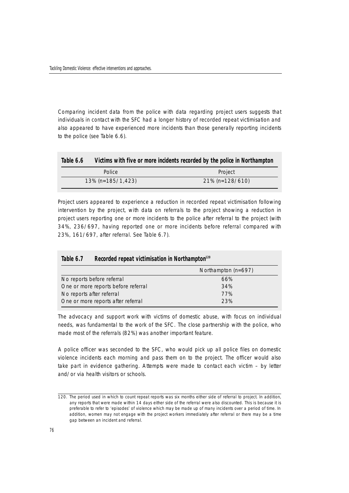Comparing incident data from the police with data regarding project users suggests that individuals in contact with the SFC had a longer history of recorded repeat victimisation and also appeared to have experienced more incidents than those generally reporting incidents to the police (see Table 6.6).

| Table 6.6 |                      | Victims with five or more incidents recorded by the police in Northampton |
|-----------|----------------------|---------------------------------------------------------------------------|
|           | Police               | Project                                                                   |
|           | $13\%$ (n=185/1.423) | $21\%$ (n=128/610)                                                        |

Project users appeared to experience a reduction in recorded repeat victimisation following intervention by the project, with data on referrals to the project showing a reduction in project users reporting one or more incidents to the police after referral to the project (with 34%, 236/697, having reported one or more incidents before referral compared with 23%, 161/697, after referral. See Table 6.7).

| Table 6.7 | Recorded repeat victimisation in Northampton <sup>120</sup> |  |  |
|-----------|-------------------------------------------------------------|--|--|
|-----------|-------------------------------------------------------------|--|--|

|                                     | Northampton $(n=697)$ |
|-------------------------------------|-----------------------|
| No reports before referral          | 66%                   |
| One or more reports before referral | 34%                   |
| No reports after referral           | 77%                   |
| One or more reports after referral  | 23%                   |

The advocacy and support work with victims of domestic abuse, with focus on individual needs, was fundamental to the work of the SFC. The close partnership with the police, who made most of the referrals (82%) was another important feature.

A police officer was seconded to the SFC, who would pick up all police files on domestic violence incidents each morning and pass them on to the project. The officer would also take part in evidence gathering. Attempts were made to contact each victim – by letter and/or via health visitors or schools.

<sup>120.</sup> The period used in which to count repeat reports was six months either side of referral to project. In addition, any reports that were made within 14 days either side of the referral were also discounted. This is because it is preferable to refer to 'episodes' of violence which may be made up of many incidents over a period of time. In addition, women may not engage with the project workers immediately after referral or there may be a time gap between an incident and referral.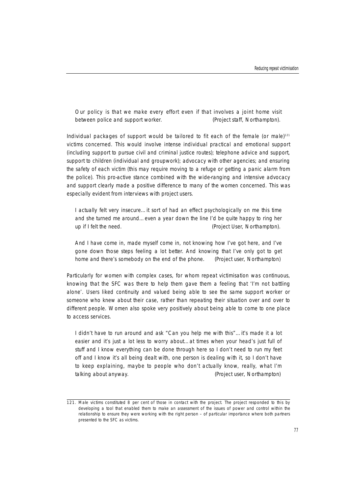Our policy is that we make every effort even if that involves a joint home visit between police and support worker. (Project staff, Northampton).

Individual packages of support would be tailored to fit each of the female (or male)<sup>121</sup> victims concerned. This would involve intense individual practical and emotional support (including support to pursue civil and criminal justice routes); telephone advice and support, support to children (individual and groupwork); advocacy with other agencies; and ensuring the safety of each victim (this may require moving to a refuge or getting a panic alarm from the police). This pro-active stance combined with the wide-ranging and intensive advocacy and support clearly made a positive difference to many of the women concerned. This was especially evident from interviews with project users.

I actually felt very insecure…it sort of had an effect psychologically on me this time and she turned me around…even a year down the line I'd be quite happy to ring her up if I felt the need. (Project User, Northampton).

And I have come in, made myself come in, not knowing how I've got here, and I've gone down those steps feeling a lot better. And knowing that I've only got to get home and there's somebody on the end of the phone. (Project user, Northampton)

Particularly for women with complex cases, for whom repeat victimisation was continuous, knowing that the SFC was there to help them gave them a feeling that 'I'm not battling alone'. Users liked continuity and valued being able to see the same support worker or someone who knew about their case, rather than repeating their situation over and over to different people. Women also spoke very positively about being able to come to one place to access services.

I didn't have to run around and ask "Can you help me with this"…it's made it a lot easier and it's just a lot less to worry about…at times when your head's just full of stuff and I know everything can be done through here so I don't need to run my feet off and I know it's all being dealt with, one person is dealing with it, so I don't have to keep explaining, maybe to people who don't actually know, really, what I'm talking about anyway. (Project user, Northampton)

<sup>121.</sup> Male victims constituted 8 per cent of those in contact with the project. The project responded to this by developing a tool that enabled them to make an assessment of the issues of power and control within the relationship to ensure they were working with the right person – of particular importance where both partners presented to the SFC as victims.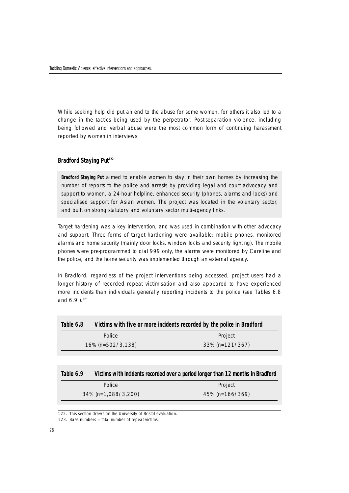While seeking help did put an end to the abuse for some women, for others it also led to a change in the tactics being used by the perpetrator. Post-separation violence, including being followed and verbal abuse were the most common form of continuing harassment reported by women in interviews.

#### **Bradford Staying Put<sup>122</sup>**

**Bradford Staying Put** aimed to enable women to stay in their own homes by increasing the number of reports to the police and arrests by providing legal and court advocacy and support to women, a 24-hour helpline, enhanced security (phones, alarms and locks) and specialised support for Asian women. The project was located in the voluntary sector, and built on strong statutory and voluntary sector multi-agency links.

Target hardening was a key intervention, and was used in combination with other advocacy and support. Three forms of target hardening were available: mobile phones, monitored alarms and home security (mainly door locks, window locks and security lighting). The mobile phones were pre-programmed to dial 999 only, the alarms were monitored by Careline and the police, and the home security was implemented through an external agency.

In Bradford, regardless of the project interventions being accessed, project users had a longer history of recorded repeat victimisation and also appeared to have experienced more incidents than individuals generally reporting incidents to the police (see Tables 6.8 and  $6.9$  ).<sup>123</sup>

| Table 6.8 |                      | Victims with five or more incidents recorded by the police in Bradford |
|-----------|----------------------|------------------------------------------------------------------------|
|           | Police               | Project                                                                |
|           | $16\%$ (n=502/3,138) | $33\%$ (n=121/367)                                                     |

| Police              | Project            |
|---------------------|--------------------|
| 34% (n=1,088/3,200) | $45\%$ (n=166/369) |

<sup>122.</sup> This section draws on the University of Bristol evaluation.

<sup>123.</sup> Base numbers = total number of repeat victims.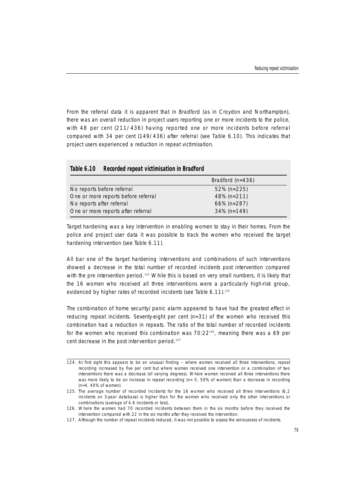From the referral data it is apparent that in Bradford (as in Croydon and Northampton), there was an overall reduction in project users reporting one or more incidents to the police, with 48 per cent  $(211/436)$  having reported one or more incidents before referral compared with 34 per cent (149/436) after referral (see Table 6.10). This indicates that project users experienced a reduction in repeat victimisation.

| Table 6.10 | Recorded repeat victimisation in Bradford |
|------------|-------------------------------------------|
|------------|-------------------------------------------|

|                                     | Bradford $(n=436)$ |
|-------------------------------------|--------------------|
| No reports before referral          | $52\%$ (n=225)     |
| One or more reports before referral | $48\%$ (n=211)     |
| No reports after referral           | $66\%$ (n=287)     |
| One or more reports after referral  | $34\%$ (n=149)     |

Target hardening was a key intervention in enabling women to stay in their homes. From the police and project user data it was possible to track the women who received the target hardening intervention (see Table 6.11).

All bar one of the target hardening interventions and combinations of such interventions showed a decrease in the total number of recorded incidents post intervention compared with the pre intervention period.<sup>124</sup> While this is based on very small numbers, it is likely that the 16 women who received all three interventions were a particularly high-risk group, evidenced by higher rates of recorded incidents (see Table 6.11).<sup>125</sup>

The combination of home security/panic alarm appeared to have had the greatest effect in reducing repeat incidents. Seventy-eight per cent (n=31) of the women who received this combination had a reduction in repeats. The ratio of the total number of recorded incidents for the women who received this combination was  $70:22^{126}$ , meaning there was a 69 per cent decrease in the post intervention period.<sup>127</sup>

<sup>124.</sup> At first sight this appears to be an unusual finding – where women received all three interventions, repeat recording increased by five per cent but where women received one intervention or a combination of two interventions there was a decrease (of varying degrees). Where women received all three interventions there was more likely to be an increase in repeat recording (n= 5, 50% of women) than a decrease in recording (n=4, 40% of women).

<sup>125.</sup> The average number of recorded incidents for the 16 women who received all three interventions (6.2) incidents on 3-year database) is higher than for the women who received only the other interventions or combinations (average of 4.6 incidents or less).

<sup>126.</sup> Where the women had 70 recorded incidents between them in the six months before they received the intervention compared with 22 in the six months after they received the intervention.

<sup>127.</sup> Although the number of repeat incidents reduced, it was not possible to assess the seriousness of incidents.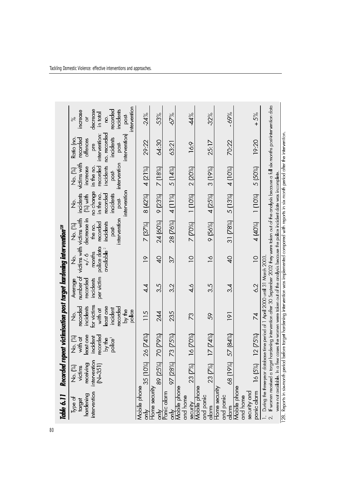| Table 6.11                                                                                                                                              | Recorded                                                                        | repeat victimisation post target hardening intervention <sup>128</sup>         |                                                                                                              |                                                             |                                                                     |                                                                                                                               |                                                                                                         |                                                                                                      |                                                                                                                                                                |                                                                                                         |
|---------------------------------------------------------------------------------------------------------------------------------------------------------|---------------------------------------------------------------------------------|--------------------------------------------------------------------------------|--------------------------------------------------------------------------------------------------------------|-------------------------------------------------------------|---------------------------------------------------------------------|-------------------------------------------------------------------------------------------------------------------------------|---------------------------------------------------------------------------------------------------------|------------------------------------------------------------------------------------------------------|----------------------------------------------------------------------------------------------------------------------------------------------------------------|---------------------------------------------------------------------------------------------------------|
| intervention<br>hardening<br>Type of<br>larget                                                                                                          | intervention<br>No. (%)<br>victims<br>receiving<br>$(N=351)$                    | east one<br>recorded<br>ි<br>2<br>2<br>incident<br>with at<br>by the<br>police | for victims<br>incidents<br>east one<br>recorded<br>recorded<br>incident<br>with at<br>by the<br>police<br>ż | number of<br>per victim<br>incidents<br>recorded<br>Average | police data<br>available<br>months<br>$-1/2$<br>$\dot{\mathcal{Z}}$ | victims with victims with<br>decrease in<br>intervention<br>incidents<br>recorded<br>ි<br>2<br>2<br>the no.<br>$\overline{8}$ | intervention<br>no change<br>incidents<br>recorded<br>incidents<br>in the no.<br>(%) with<br>post-<br>ż | victims with<br>ntervention<br>recorded<br>incidents<br>increase<br>in the no.<br>Se.<br>Po.<br>post | no. recorded<br>intervention:<br>intervention<br>recorded<br>incidents<br>Ratio (no.<br>ottences<br>post-<br>ore                                               | ntervention<br>decrease<br>recorded<br>incidents<br>increase<br>in total<br>post<br>ò<br>ġ<br>$\approx$ |
| Mobile phone<br>$\frac{1}{\sqrt{100}}$                                                                                                                  | 35 (10%)                                                                        | 26 [74%]                                                                       | 115                                                                                                          | य<br>प                                                      | $\circ$                                                             | 7 (37%)                                                                                                                       | 8 (42%)                                                                                                 | 4(21%)                                                                                               | 29:22                                                                                                                                                          | 24%                                                                                                     |
| Home security<br>$\frac{1}{2}$                                                                                                                          | 89 (25%)                                                                        | 70 (79%)                                                                       | 244                                                                                                          | 3.5                                                         | $\overline{Q}$                                                      | 24 (60%)                                                                                                                      | 9(23%)                                                                                                  | 7 (18%)                                                                                              | 64:30                                                                                                                                                          | 53%                                                                                                     |
| Panic alarm<br>$rac{1}{2}$                                                                                                                              | 97 (28%)                                                                        | 73 (75%)                                                                       | 235                                                                                                          | 32                                                          | 37                                                                  | 28 (76%)                                                                                                                      | 4(11%)                                                                                                  | 5(14%)                                                                                               | 63:21                                                                                                                                                          | 67%                                                                                                     |
| Mobile phone<br>and home<br>security                                                                                                                    | 23 (7%)                                                                         | 16(70%)                                                                        | 73                                                                                                           | $\frac{6}{4}$                                               | $\overline{C}$                                                      | 7 (70%)                                                                                                                       | 1(10%)                                                                                                  | 2 (20%)                                                                                              | 16.9                                                                                                                                                           | 44%                                                                                                     |
| Mobile phone<br>and panic<br>alarm                                                                                                                      | 23 (7%)                                                                         | $17 \, [74\%]$                                                                 | 59                                                                                                           | 3.5                                                         | $\frac{8}{1}$                                                       | 9(56%)                                                                                                                        | 4 (25%)                                                                                                 | 3 (19%)                                                                                              | 25:17                                                                                                                                                          | 32%                                                                                                     |
| Home security<br>and panic<br>$\frac{1}{\alpha}$                                                                                                        | 68 (19%)                                                                        | 57 (84%)                                                                       | $\overline{9}$                                                                                               | لہ<br>پ                                                     | $\overline{Q}$                                                      | 31 [78%]                                                                                                                      | 5 (13%)                                                                                                 | 4 (10%)                                                                                              | 70:22                                                                                                                                                          | -69%                                                                                                    |
| Mobile phone<br>security and<br>panic alarm<br>and home                                                                                                 | 16(5%)                                                                          | 12 (75%)                                                                       | $\overline{7}$                                                                                               | 6.2                                                         | $\overline{a}$                                                      | 4 (40%)                                                                                                                       | 1(10%)                                                                                                  | 5 (50%)                                                                                              | 19:20                                                                                                                                                          | $+5%$                                                                                                   |
|                                                                                                                                                         | During the three-year database time period of 1 April 2000 until 31 March 2003. |                                                                                |                                                                                                              |                                                             |                                                                     | were not available. In a few cases the women were taken out of the analysis because the police incident date was incomplete.  |                                                                                                         |                                                                                                      | If women received a target hardening intervention after 30 September 2002 they were taken out of the analysis because a full six months post-intervention data |                                                                                                         |
| 128. Reports in six-month period before target hardening intervention was implemented compared with reports in six month period after the intervention. |                                                                                 |                                                                                |                                                                                                              |                                                             |                                                                     |                                                                                                                               |                                                                                                         |                                                                                                      |                                                                                                                                                                |                                                                                                         |

80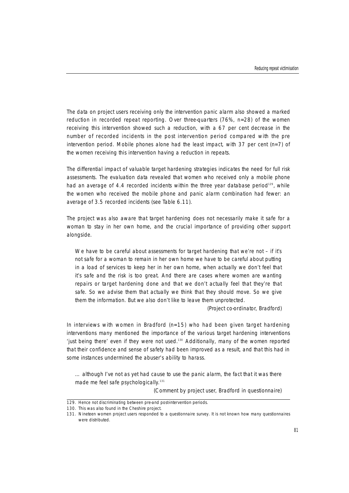The data on project users receiving only the intervention panic alarm also showed a marked reduction in recorded repeat reporting. Over three-quarters (76%,  $n=28$ ) of the women receiving this intervention showed such a reduction, with a 67 per cent decrease in the number of recorded incidents in the post intervention period compared with the pre intervention period. Mobile phones alone had the least impact, with 37 per cent ( $n=7$ ) of the women receiving this intervention having a reduction in repeats.

The differential impact of valuable target hardening strategies indicates the need for full risk assessments. The evaluation data revealed that women who received only a mobile phone had an average of 4.4 recorded incidents within the three year database period<sup>129</sup>, while the women who received the mobile phone and panic alarm combination had fewer: an average of 3.5 recorded incidents (see Table 6.11).

The project was also aware that target hardening does not necessarily make it safe for a woman to stay in her own home, and the crucial importance of providing other support alongside.

We have to be careful about assessments for target hardening that we're not – if it's not safe for a woman to remain in her own home we have to be careful about putting in a load of services to keep her in her own home, when actually we don't feel that it's safe and the risk is too great. And there are cases where women are wanting repairs or target hardening done and that we don't actually feel that they're that safe. So we advise them that actually we think that they should move. So we give them the information. But we also don't like to leave them unprotected.

(Project co-ordinator, Bradford)

In interviews with women in Bradford ( $n=15$ ) who had been given target hardening interventions many mentioned the importance of the various target hardening interventions 'just being there' even if they were not used.<sup>130</sup> Additionally, many of the women reported that their confidence and sense of safety had been improved as a result, and that this had in some instances undermined the abuser's ability to harass.

… although I've not as yet had cause to use the panic alarm, the fact that it was there made me feel safe psychologically.<sup>131</sup>

(Comment by project user, Bradford in questionnaire)

<sup>129.</sup> Hence not discriminating between pre-and post-intervention periods.

<sup>130.</sup> This was also found in the Cheshire project.

<sup>131.</sup> Nineteen women project users responded to a questionnaire survey. It is not known how many questionnaires were distributed.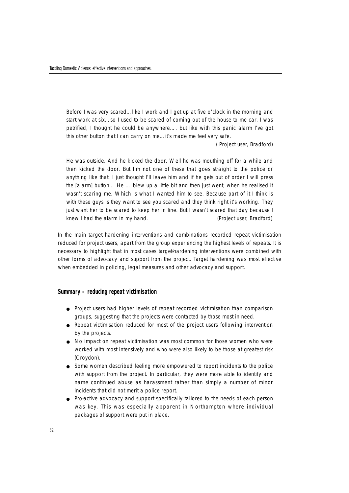Before I was very scared…like I work and I get up at five o'clock in the morning and start work at six…so I used to be scared of coming out of the house to me car. I was petrified, I thought he could be anywhere…. but like with this panic alarm I've got this other button that I can carry on me…it's made me feel very safe.

( Project user, Bradford)

He was outside. And he kicked the door. Well he was mouthing off for a while and then kicked the door. But I'm not one of these that goes straight to the police or anything like that. I just thought I'll leave him and if he gets out of order I will press the [alarm] button… He … blew up a little bit and then just went, when he realised it wasn't scaring me. Which is what I wanted him to see. Because part of it I think is with these guys is they want to see you scared and they think right it's working. They just want her to be scared to keep her in line. But I wasn't scared that day because I knew I had the alarm in my hand. (Project user, Bradford)

In the main target hardening interventions and combinations recorded repeat victimisation reduced for project users, apart from the group experiencing the highest levels of repeats. It is necessary to highlight that in most cases target-hardening interventions were combined with other forms of advocacy and support from the project. Target hardening was most effective when embedded in policing, legal measures and other advocacy and support.

#### **Summary – reducing repeat victimisation**

- Project users had higher levels of repeat recorded victimisation than comparison groups, suggesting that the projects were contacted by those most in need.
- Repeat victimisation reduced for most of the project users following intervention by the projects.
- No impact on repeat victimisation was most common for those women who were worked with most intensively and who were also likely to be those at greatest risk (Croydon).
- Some women described feeling more empowered to report incidents to the police with support from the project. In particular, they were more able to identify and name continued abuse as harassment rather than simply a number of minor incidents that did not merit a police report.
- Pro-active advocacy and support specifically tailored to the needs of each person was key. This was especially apparent in Northampton where individual packages of support were put in place.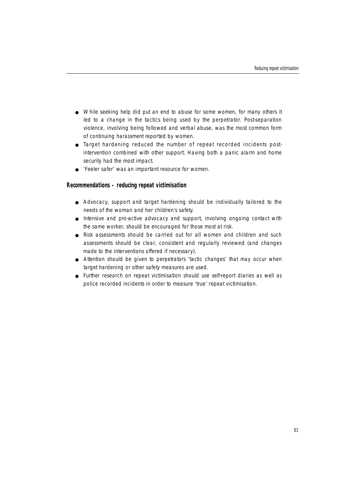- While seeking help did put an end to abuse for some women, for many others it led to a change in the tactics being used by the perpetrator. Post-separation violence, involving being followed and verbal abuse, was the most common form of continuing harassment reported by women.
- Target hardening reduced the number of repeat recorded incidents postintervention combined with other support. Having both a panic alarm and home security had the most impact.
- 'Feeler safer' was an important resource for women.

#### **Recommendations – reducing repeat victimisation**

- Advocacy, support and target hardening should be individually tailored to the needs of the woman and her children's safety.
- Intensive and pro-active advocacy and support, involving ongoing contact with the same worker, should be encouraged for those most at risk.
- Risk assessments should be carried out for all women and children and such assessments should be clear, consistent and regularly reviewed (and changes made to the interventions offered if necessary).
- Attention should be given to perpetrators 'tactic changes' that may occur when target hardening or other safety measures are used.
- Further research on repeat victimisation should use self-report diaries as well as police recorded incidents in order to measure 'true' repeat victimisation.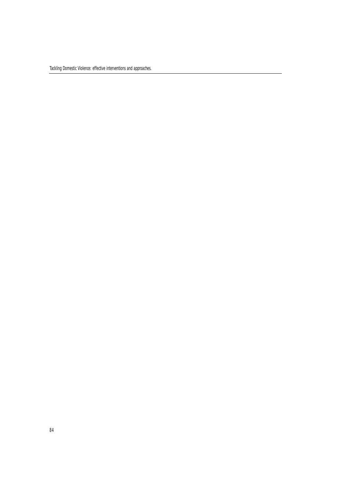Tackling Domestic Violence: effective interventions and approaches.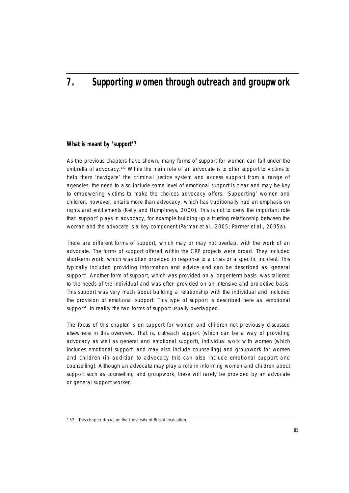# **7. Supporting women through outreach and groupwork**

# **What is meant by 'support'?**

As the previous chapters have shown, many forms of support for women can fall under the umbrella of advocacy.<sup>132</sup> While the main role of an advocate is to offer support to victims to help them 'navigate' the criminal justice system and access support from a range of agencies, the need to also include some level of emotional support is clear and may be key to empowering victims to make the choices advocacy offers. 'Supporting' women and children, however, entails more than advocacy, which has traditionally had an emphasis on rights and entitlements (Kelly and Humphreys, 2000). This is not to deny the important role that 'support' plays in advocacy, for example building up a trusting relationship between the woman and the advocate is a key component (Parmar et al., 2005; Parmer et al., 2005a).

There are different forms of support, which may or may not overlap, with the work of an advocate. The forms of support offered within the CRP projects were broad. They included short-term work, which was often provided in response to a crisis or a specific incident. This typically included providing information and advice and can be described as 'general support'. Another form of support, which was provided on a longer-term basis, was tailored to the needs of the individual and was often provided on an intensive and pro-active basis. This support was very much about building a relationship with the individual and included the provision of emotional support. This type of support is described here as 'emotional support'. In reality the two forms of support usually overlapped.

The focus of this chapter is on support for women and children not previously discussed elsewhere in this overview. That is, outreach support (which can be a way of providing advocacy as well as general and emotional support), individual work with women (which includes emotional support, and may also include counselling) and groupwork for women and children (in addition to advocacy this can also include emotional support and counselling). Although an advocate may play a role in informing women and children about support such as counselling and groupwork, these will rarely be provided by an advocate or general support worker.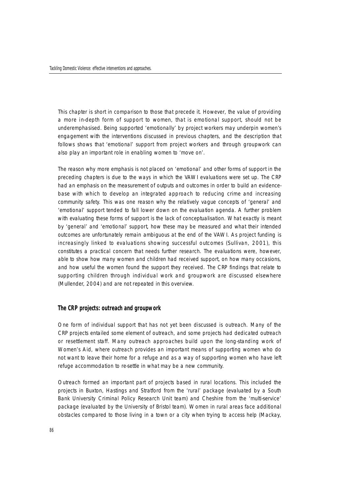This chapter is short in comparison to those that precede it. However, the value of providing a more in-depth form of support to women, that is emotional support, should not be underemphasised. Being supported 'emotionally' by project workers may underpin women's engagement with the interventions discussed in previous chapters, and the description that follows shows that 'emotional' support from project workers and through groupwork can also play an important role in enabling women to 'move on'.

The reason why more emphasis is not placed on 'emotional' and other forms of support in the p receding chapters is due to the ways in which the VAWI evaluations were set up. The CRP had an emphasis on the measurement of outputs and outcomes in order to build an evidencebase with which to develop an integrated approach to reducing crime and increasing community safety. This was one reason why the relatively vague concepts of 'general' and 'emotional' support tended to fall lower down on the evaluation agenda. A further problem with evaluating these forms of support is the lack of conceptualisation. What exactly is meant by 'general' and 'emotional' support, how these may be measured and what their intended outcomes are unfortunately remain ambiguous at the end of the VAWI. As project funding is increasingly linked to evaluations showing successful outcomes (Sullivan, 2001), this constitutes a practical concern that needs further research. The evaluations were, however, able to show how many women and children had received support, on how many occasions, and how useful the women found the support they received. The CRP findings that relate to supporting children through individual work and groupwork are discussed elsewhere (Mullender, 2004) and are not repeated in this overview.

#### **The CRP projects: outreach and groupwork**

One form of individual support that has not yet been discussed is outreach. Many of the CRP projects entailed some element of outreach, and some projects had dedicated outreach or resettlement staff. Many outreach approaches build upon the long-standing work of Women's Aid, where outreach provides an important means of supporting women who do not want to leave their home for a refuge and as a way of supporting women who have left refuge accommodation to re-settle in what may be a new community.

Outreach formed an important part of projects based in rural locations. This included the projects in Buxton, Hastings and Stratford from the 'rural' package (evaluated by a South Bank University Criminal Policy Research Unit team) and Cheshire from the 'multi-service' package (evaluated by the University of Bristol team). Women in rural areas face additional obstacles compared to those living in a town or a city when trying to access help (Mackay,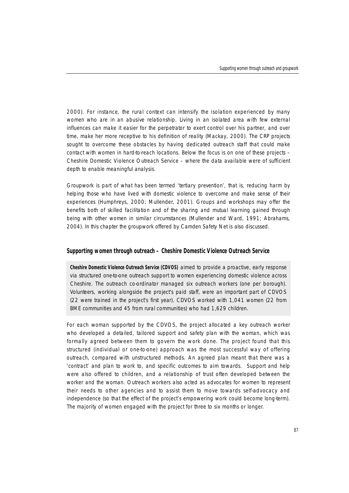2000). For instance, the rural context can intensify the isolation experienced by many women who are in an abusive relationship. Living in an isolated area with few external influences can make it easier for the perpetrator to exert control over his partner, and over time, make her more receptive to his definition of reality (Mackay, 2000). The CRP projects sought to overcome these obstacles by having dedicated outreach staff that could make contact with women in hard-to-reach locations. Below the focus is on one of these projects – Cheshire Domestic Violence Outreach Service – where the data available were of sufficient depth to enable meaningful analysis.

Groupwork is part of what has been termed 'tertiary prevention', that is, reducing harm by helping those who have lived with domestic violence to overcome and make sense of their experiences (Humphreys, 2000; Mullender, 2001). Groups and workshops may offer the benefits both of skilled facilitation and of the sharing and mutual learning gained through being with other women in similar circumstances (Mullender and Ward, 1991; Abrahams, 2004). In this chapter the groupwork offered by Camden Safety Net is also discussed.

#### **Supporting women through outreach – Cheshire Domestic Violence Outreach Service**

**Cheshire Domestic Violence Outreach Service (CDVOS)** aimed to provide a proactive, early response via structured one-to-one outreach support to women experiencing domestic violence across Cheshire. The outreach co-ordinator managed six outreach workers (one per borough). Volunteers, working alongside the project's paid staff, were an important part of CDVOS (22 were trained in the project's first year). CDVOS worked with 1,041 women (22 from BME communities and 45 from rural communities) who had 1,629 children.

For each woman supported by the CDVOS, the project allocated a key outreach worker who developed a detailed, tailored support and safety plan with the woman, which was formally agreed between them to govern the work done. The project found that this structured (individual or one-to-one) approach was the most successful way of offering outreach, compared with unstructured methods. An agreed plan meant that there was a 'contract' and plan to work to, and specific outcomes to aim towards. Support and help were also offered to children, and a relationship of trust often developed between the worker and the woman. Outreach workers also acted as advocates for women to represent their needs to other agencies and to assist them to move towards self-advocacy and independence (so that the effect of the project's empowering work could become long-term). The majority of women engaged with the project for three to six months or longer.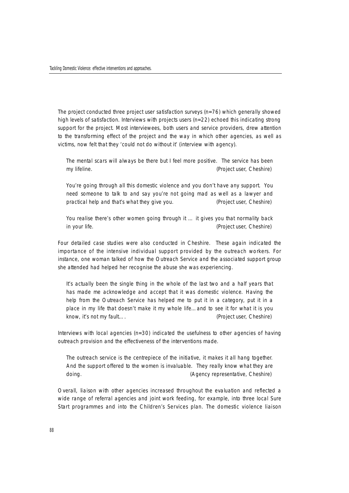The project conducted three project user satisfaction surveys (n=76) which generally showed high levels of satisfaction. Interviews with projects users (n=22) echoed this indicating strong support for the project. Most interviewees, both users and service providers, drew attention to the transforming effect of the project and the way in which other agencies, as well as victims, now felt that they 'could not do without it' (interview with agency).

The mental scars will always be there but I feel more positive. The service has been my lifeline. (Project user, Cheshire)

You're going through all this domestic violence and you don't have any support. You need someone to talk to and say you're not going mad as well as a lawyer and practical help and that's what they give you. (Project user, Cheshire)

You realise there's other women going through it … it gives you that normality back in your life. (Project user, Cheshire)

Four detailed case studies were also conducted in Cheshire. These again indicated the importance of the intensive individual support provided by the outreach workers. For instance, one woman talked of how the Outreach Service and the associated support group she attended had helped her recognise the abuse she was experiencing.

It's actually been the single thing in the whole of the last two and a half years that has made me acknowledge and accept that it was domestic violence. Having the help from the Outreach Service has helped me to put it in a category, put it in a place in my life that doesn't make it my whole life…and to see it for what it is you know, it's not my fault…. (Project user, Cheshire)

Interviews with local agencies  $(n=30)$  indicated the usefulness to other agencies of having outreach provision and the effectiveness of the interventions made.

The outreach service is the centrepiece of the initiative, it makes it all hang together. And the support offered to the women is invaluable. They really know what they are doing. (Agency representative, Cheshire)

Overall, liaison with other agencies increased throughout the evaluation and reflected a wide range of referral agencies and joint work feeding, for example, into three local Sure Start programmes and into the Children's Services plan. The domestic violence liaison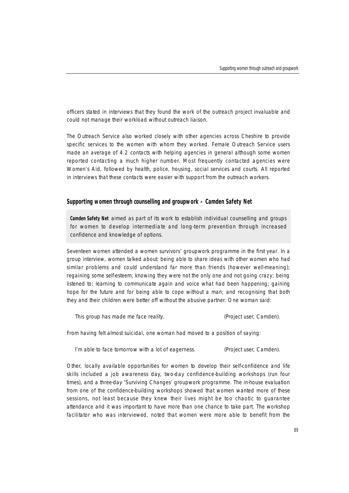officers stated in interviews that they found the work of the outreach project invaluable and could not manage their workload without outreach liaison.

The Outreach Service also worked closely with other agencies across Cheshire to provide specific services to the women with whom they worked. Female Outreach Service users made an average of 4.2 contacts with helping agencies in general although some women reported contacting a much higher number. Most frequently contacted agencies were Women's Aid, followed by health, police, housing, social services and courts. All reported in interviews that these contacts were easier with support from the outreach workers.

### **Supporting women through counselling and groupwork – Camden Safety Net**

**Camden Safety Net** aimed as part of its work to establish individual counselling and groups for women to develop intermediate and long-term prevention through increased confidence and knowledge of options.

Seventeen women attended a women survivors' groupwork programme in the first year. In a group interview, women talked about: being able to share ideas with other women who had similar problems and could understand far more than friends (however well-meaning); regaining some self-esteem; knowing they were not the only one and not going crazy; being listened to; learning to communicate again and voice what had been happening; gaining hope for the future and for being able to cope without a man; and recognising that both they and their children were better off without the abusive partner. One woman said:

This group has made me face reality. (Project user, Camden).

From having felt almost suicidal, one woman had moved to a position of saying:

I'm able to face tomorrow with a lot of eagerness. (Project user, Camden).

Other, locally available opportunities for women to develop their self-confidence and life skills included a job awareness day, two-day confidence-building workshops (run four times), and a three-day 'Surviving Changes' groupwork programme. The in-house evaluation from one of the confidence-building workshops showed that women wanted more of these sessions, not least because they knew their lives might be too chaotic to guarantee attendance and it was important to have more than one chance to take part. The workshop facilitator who was interviewed, noted that women were more able to benefit from the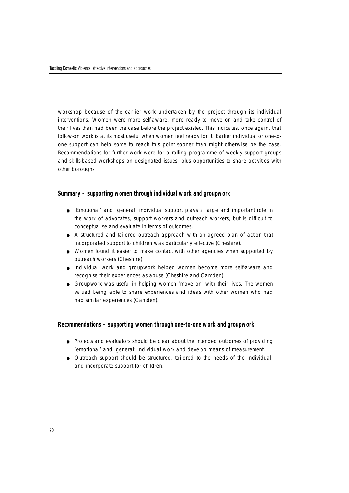workshop because of the earlier work undertaken by the project through its individual interventions. Women were more self-aware, more ready to move on and take control of their lives than had been the case before the project existed. This indicates, once again, that follow-on work is at its most useful when women feel ready for it. Earlier individual or one-toone support can help some to reach this point sooner than might otherwise be the case. Recommendations for further work were for a rolling programme of weekly support groups and skills-based workshops on designated issues, plus opportunities to share activities with other boroughs.

#### **Summary – supporting women through individual work and groupwork**

- 'Emotional' and 'general' individual support plays a large and important role in the work of advocates, support workers and outreach workers, but is difficult to conceptualise and evaluate in terms of outcomes.
- A structured and tailored outreach approach with an agreed plan of action that incorporated support to children was particularly effective (Cheshire).
- Women found it easier to make contact with other agencies when supported by outreach workers (Cheshire).
- Individual work and groupwork helped women become more self-aware and recognise their experiences as abuse (Cheshire and Camden).
- Groupwork was useful in helping women 'move on' with their lives. The women valued being able to share experiences and ideas with other women who had had similar experiences (Camden).

#### **Recommendations – supporting women through one-to-one work and groupwork**

- Projects and evaluators should be clear about the intended outcomes of providing 'emotional' and 'general' individual work and develop means of measurement.
- Outreach support should be structured, tailored to the needs of the individual, and incorporate support for children.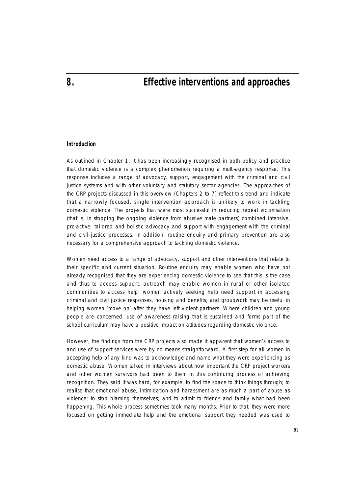#### **Introduction**

As outlined in Chapter 1, it has been increasingly recognised in both policy and practice that domestic violence is a complex phenomenon requiring a multi-agency response. This response includes a range of advocacy, support, engagement with the criminal and civil justice systems and with other voluntary and statutory sector agencies. The approaches of the CRP projects discussed in this overview (Chapters 2 to 7) reflect this trend and indicate that a narrowly focused, single intervention approach is unlikely to work in tackling domestic violence. The projects that were most successful in reducing repeat victimisation (that is, in stopping the ongoing violence from abusive male partners) combined intensive, pro-active, tailored and holistic advocacy and support with engagement with the criminal and civil justice processes. In addition, routine enquiry and primary prevention are also necessary for a comprehensive approach to tackling domestic violence.

Women need access to a range of advocacy, support and other interventions that relate to their specific and current situation. Routine enquiry may enable women who have not already recognised that they are experiencing domestic violence to see that this is the case and thus to access support; outreach may enable women in rural or other isolated communities to access help; women actively seeking help need support in accessing criminal and civil justice responses, housing and benefits; and groupwork may be useful in helping women 'move on' after they have left violent partners. Where children and young people are concerned, use of awareness raising that is sustained and forms part of the school curriculum may have a positive impact on attitudes regarding domestic violence.

However, the findings from the CRP projects also made it apparent that women's access to and use of support services were by no means straightforward. A first step for all women in accepting help of any kind was to acknowledge and name what they were experiencing as domestic abuse. Women talked in interviews about how important the CRP project workers and other women survivors had been to them in this continuing process of achieving recognition. They said it was hard, for example, to find the space to think things through; to realise that emotional abuse, intimidation and harassment are as much a part of abuse as violence; to stop blaming themselves; and to admit to friends and family what had been happening. This whole process sometimes took many months. Prior to that, they were more focused on getting immediate help and the emotional support they needed was used to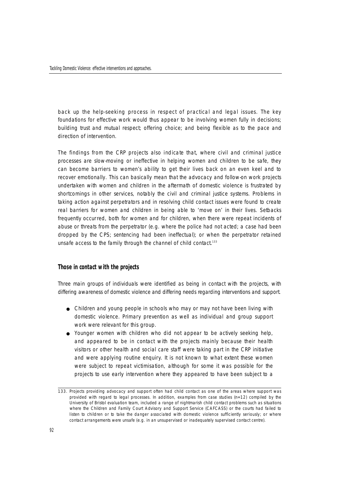back up the help-seeking process in respect of practical and legal issues. The key foundations for effective work would thus appear to be involving women fully in decisions; building trust and mutual respect; offering choice; and being flexible as to the pace and direction of intervention.

The findings from the CRP projects also indicate that, where civil and criminal justice processes are slow-moving or ineffective in helping women and children to be safe, they can become barriers to women's ability to get their lives back on an even keel and to recover emotionally. This can basically mean that the advocacy and follow-on work projects undertaken with women and children in the aftermath of domestic violence is frustrated by shortcomings in other services, notably the civil and criminal justice systems. Problems in taking action against perpetrators and in resolving child contact issues were found to create real barriers for women and children in being able to 'move on' in their lives. Setbacks frequently occurred, both for women and for children, when there were repeat incidents of abuse or threats from the perpetrator (e.g. where the police had not acted; a case had been dropped by the CPS; sentencing had been ineffectual); or when the perpetrator retained unsafe access to the family through the channel of child contact.<sup>133</sup>

#### **Those in contact with the projects**

Three main groups of individuals were identified as being in contact with the projects, with differing awareness of domestic violence and differing needs regarding interventions and support.

- Children and young people in schools who may or may not have been living with domestic violence. Primary prevention as well as individual and group support work were relevant for this group.
- Younger women with children who did not appear to be actively seeking help, and appeared to be in contact with the projects mainly because their health visitors or other health and social care staff were taking part in the CRP initiative and were applying routine enquiry. It is not known to what extent these women were subject to repeat victimisation, although for some it was possible for the projects to use early intervention where they appeared to have been subject to a

<sup>133.</sup> Projects providing advocacy and support often had child contact as one of the areas where support was provided with regard to legal processes. In addition, examples from case studies  $(n=12)$  compiled by the University of Bristol evaluation team, included a range of nightmarish child contact problems such as situations where the Children and Family Court Advisory and Support Service (CAFCASS) or the courts had failed to listen to children or to take the danger associated with domestic violence sufficiently seriously; or where contact arrangements were unsafe (e.g. in an unsupervised or inadequately supervised contact centre).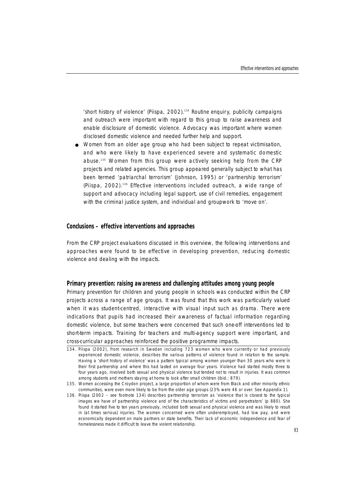'short history of violence' (Piispa, 2002).<sup>134</sup> Routine enquiry, publicity campaigns and outreach were important with regard to this group to raise awareness and enable disclosure of domestic violence. Advocacy was important where women disclosed domestic violence and needed further help and support.

Women from an older age group who had been subject to repeat victimisation, and who were likely to have experienced severe and systematic domestic abuse.<sup>135</sup> Women from this group were actively seeking help from the CRP projects and related agencies. This group appeared generally subject to what has been termed 'patriarchal terrorism' (Johnson, 1995) or 'partnership terrorism' (Piispa, 2002).<sup>136</sup> Effective interventions included outreach, a wide range of support and advocacy including legal support, use of civil remedies, engagement with the criminal justice system, and individual and groupwork to 'move on'.

#### **Conclusions – effective interventions and approaches**

From the CRP project evaluations discussed in this overview, the following interventions and approaches were found to be effective in developing prevention, reducing domestic violence and dealing with the impacts.

#### **Primary prevention: raising awareness and challenging attitudes among young people**

Primary prevention for children and young people in schools was conducted within the CRP projects across a range of age groups. It was found that this work was particularly valued when it was student-centred, interactive with visual input such as drama. There were indications that pupils had increased their awareness of factual information regarding domestic violence, but some teachers were concerned that such one-off interventions led to short term impacts. Training for teachers and multi-agency support were important, and cross-curricular approaches reinforced the positive programme impacts.

<sup>134.</sup> Piispa (2002), from research in Sweden including 723 women who were currently or had previously experienced domestic violence, describes the various patterns of violence found in relation to the sample. Having a 'short history of violence' was a pattern typical among women younger than 30 years who were in their first partnership and where this had lasted on average four years. Violence had started mostly three to four years ago, involved both sexual and physical violence but tended not to result in injuries. It was common among students and mothers staying at home to look after small children (ibid.: 879).

<sup>135.</sup> Women accessing the Croydon project, a large proportion of whom were from Black and other minority ethnic communities, were even more likely to be from the older age groups (23% were 46 or over. See Appendix 1).

<sup>136.</sup> Piispa (2002 – see footnote 134) describes partnership terrorism as 'violence that is closest to the typical images we have of partnership violence and of the characteristics of victims and perpetrators' (p 880). She found it started five to ten years previously, included both sexual and physical violence and was likely to result in (at times serious) injuries. The women concerned were often underemployed, had low pay, and were economically dependent on male partners or state benefits. Their lack of economic independence and fear of homelessness made it difficult to leave the violent relationship.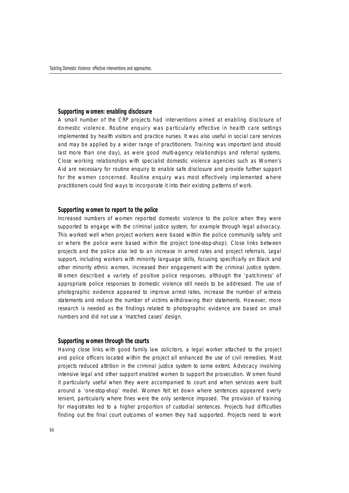#### **Supporting women: enabling disclosure**

A small number of the CRP projects had interventions aimed at enabling disclosure of domestic violence. Routine enquiry was particularly effective in health care settings implemented by health visitors and practice nurses. It was also useful in social care services and may be applied by a wider range of practitioners. Training was important (and should last more than one day), as were good multi-agency relationships and referral systems. Close working relationships with specialist domestic violence agencies such as Women's Aid are necessary for routine enquiry to enable safe disclosure and provide further support for the women concerned. Routine enquiry was most effectively implemented where practitioners could find ways to incorporate it into their existing patterns of work.

#### **Supporting women to report to the police**

Increased numbers of women reported domestic violence to the police when they were supported to engage with the criminal justice system, for example through legal advocacy. This worked well when project workers were based within the police community safety unit or where the police were based within the project (one-stop-shop). Close links between projects and the police also led to an increase in arrest rates and project referrals. Legal support, including workers with minority language skills, focusing specifically on Black and other minority ethnic women, increased their engagement with the criminal justice system. Women described a variety of positive police responses, although the 'patchiness' of appropriate police responses to domestic violence still needs to be addressed. The use of photographic evidence appeared to improve arrest rates, increase the number of witness statements and reduce the number of victims withdrawing their statements. However, more research is needed as the findings related to photographic evidence are based on small numbers and did not use a 'matched cases' design.

#### **Supporting women through the courts**

Having close links with good family law solicitors, a legal worker attached to the project and police officers located within the project all enhanced the use of civil remedies. Most projects reduced attrition in the criminal justice system to some extent. Advocacy involving intensive legal and other support enabled women to support the prosecution. Women found it particularly useful when they were accompanied to court and when services were built a round a 'one-stop-shop' model. Women felt let down where sentences appeared overly lenient, particularly where fines were the only sentence imposed. The provision of training for magistrates led to a higher proportion of custodial sentences. Projects had difficulties finding out the final court outcomes of women they had supported. Projects need to work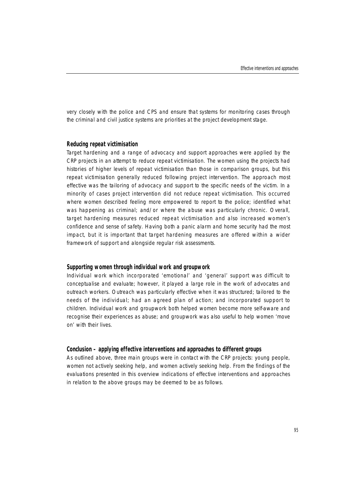very closely with the police and CPS and ensure that systems for monitoring cases through the criminal and civil justice systems are priorities at the project development stage.

#### **Reducing repeat victimisation**

Target hardening and a range of advocacy and support approaches were applied by the CRP projects in an attempt to reduce repeat victimisation. The women using the projects had histories of higher levels of repeat victimisation than those in comparison groups, but this repeat victimisation generally reduced following project intervention. The approach most effective was the tailoring of advocacy and support to the specific needs of the victim. In a minority of cases project intervention did not reduce repeat victimisation. This occurred where women described feeling more empowered to report to the police; identified what was happening as criminal; and/or where the abuse was particularly chronic. Overall, target hardening measures reduced repeat victimisation and also increased women's confidence and sense of safety. Having both a panic alarm and home security had the most impact, but it is important that target hardening measures are offered within a wider framework of support and alongside regular risk assessments.

#### **Supporting women through individual work and groupwork**

Individual work which incorporated 'emotional' and 'general' support was difficult to conceptualise and evaluate; however, it played a large role in the work of advocates and outreach workers. Outreach was particularly effective when it was structured; tailored to the needs of the individual; had an agreed plan of action; and incorporated support to children. Individual work and groupwork both helped women become more self-aware and recognise their experiences as abuse; and groupwork was also useful to help women 'move on' with their lives.

#### **Conclusion – applying effective interventions and approaches to different groups**

As outlined above, three main groups were in contact with the CRP projects: young people, women not actively seeking help, and women actively seeking help. From the findings of the evaluations presented in this overview indications of effective interventions and approaches in relation to the above groups may be deemed to be as follows.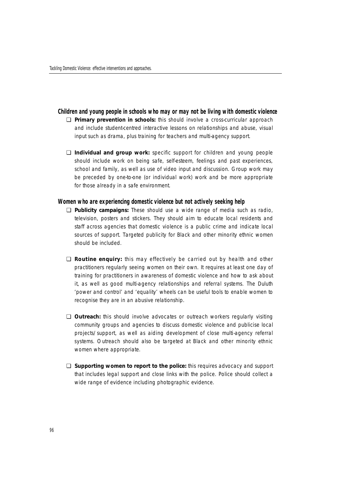#### **Children and young people in schools who may or may not be living with domestic violence**

- ❏ *Primary prevention in schools:* this should involve a cross-curricular approach and include student-centred interactive lessons on relationships and abuse, visual input such as drama, plus training for teachers and multi-agency support.
- ❏ *Individual and group work:* specific support for children and young people should include work on being safe, self-esteem, feelings and past experiences, school and family, as well as use of video input and discussion. Group work may be preceded by one-to-one (or individual work) work and be more appropriate for those already in a safe environment.

#### **Women who are experiencing domestic violence but not actively seeking help**

- ❏ *Publicity campaigns:* These should use a wide range of media such as radio, television, posters and stickers. They should aim to educate local residents and staff across agencies that domestic violence is a public crime and indicate local sources of support. Targeted publicity for Black and other minority ethnic women should be included.
- ❏ *Routine enquiry :* this may effectively be carried out by health and other practitioners regularly seeing women on their own. It requires at least one day of training for practitioners in awareness of domestic violence and how to ask about it, as well as good multi-agency relationships and referral systems. The Duluth 'power and control' and 'equality' wheels can be useful tools to enable women to recognise they are in an abusive relationship.
- ❏ *O u t re a c h :* this should involve advocates or outreach workers regularly visiting community groups and agencies to discuss domestic violence and publicise local projects/support, as well as aiding development of close multi-agency referral systems. Outreach should also be targeted at Black and other minority ethnic women where appropriate.
- ❏ *Supporting women to report to the police:* this requires advocacy and support that includes legal support and close links with the police. Police should collect a wide range of evidence including photographic evidence.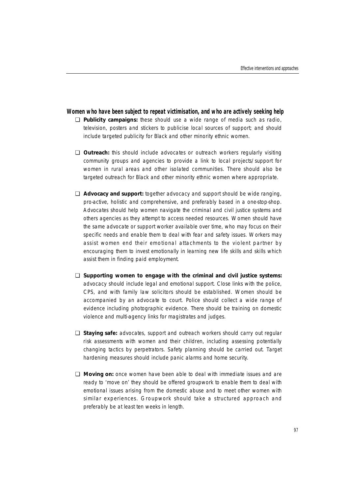#### **Women who have been subject to repeat victimisation, and who are actively seeking help**

- ❏ *Publicity campaigns:* these should use a wide range of media such as radio, television, posters and stickers to publicise local sources of support; and should include targeted publicity for Black and other minority ethnic women.
- ❏ *O u t re a c h :* this should include advocates or outreach workers regularly visiting community groups and agencies to provide a link to local projects/support for women in rural areas and other isolated communities. There should also be targeted outreach for Black and other minority ethnic women where appropriate.
- ❏ *Advocacy and support:* together advocacy and support should be wide ranging, pro-active, holistic and comprehensive, and preferably based in a one-stop-shop. Advocates should help women navigate the criminal and civil justice systems and others agencies as they attempt to access needed resources. Women should have the same advocate or support worker available over time, who may focus on their specific needs and enable them to deal with fear and safety issues. Workers may assist women end their emotional attachments to the violent partner by encouraging them to invest emotionally in learning new life skills and skills which assist them in finding paid employment.
- □ Supporting women to engage with the criminal and civil justice systems: advocacy should include legal and emotional support. Close links with the police, CPS, and with family law solicitors should be established. Women should be accompanied by an advocate to court. Police should collect a wide range of evidence including photographic evidence. There should be training on domestic violence and multi-agency links for magistrates and judges.
- ❏ *Staying safe:* advocates, support and outreach workers should carry out regular risk assessments with women and their children, including assessing potentially changing tactics by perpetrators. Safety planning should be carried out. Target hardening measures should include panic alarms and home security.
- ❏ *Moving on:* once women have been able to deal with immediate issues and are ready to 'move on' they should be offered groupwork to enable them to deal with emotional issues arising from the domestic abuse and to meet other women with similar experiences. Groupwork should take a structured approach and preferably be at least ten weeks in length.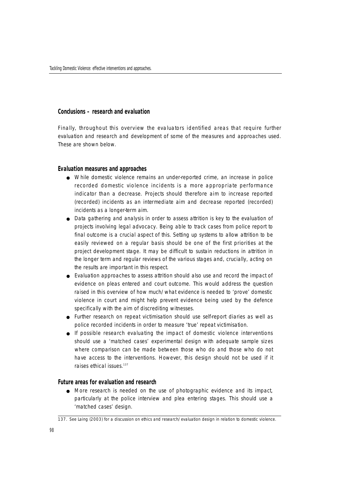#### **Conclusions – research and evaluation**

Finally, throughout this overview the evaluators identified areas that require further evaluation and research and development of some of the measures and approaches used. These are shown below.

#### **Evaluation measures and approaches**

- While domestic violence remains an under-reported crime, an increase in police recorded domestic violence incidents is a more appropriate performance indicator than a decrease. Projects should therefore aim to increase reported (recorded) incidents as an intermediate aim and decrease reported (recorded) incidents as a longer-term aim.
- Data gathering and analysis in order to assess attrition is key to the evaluation of projects involving legal advocacy. Being able to track cases from police report to final outcome is a crucial aspect of this. Setting up systems to allow attrition to be easily reviewed on a regular basis should be one of the first priorities at the project development stage. It may be difficult to sustain reductions in attrition in the longer term and regular reviews of the various stages and, crucially, acting on the results are important in this respect.
- Evaluation approaches to assess attrition should also use and record the impact of evidence on pleas entered and court outcome. This would address the question raised in this overview of how much/what evidence is needed to 'prove' domestic violence in court and might help prevent evidence being used by the defence specifically with the aim of discrediting witnesses.
- Further research on repeat victimisation should use self-report diaries as well as police recorded incidents in order to measure 'true' repeat victimisation.
- If possible research evaluating the impact of domestic violence interventions should use a 'matched cases' experimental design with adequate sample sizes where comparison can be made between those who do and those who do not have access to the interventions. However, this design should not be used if it raises ethical issues.<sup>137</sup>

#### **Future areas for evaluation and research**

• More research is needed on the use of photographic evidence and its impact, particularly at the police interview and plea entering stages. This should use a 'matched cases' design.

<sup>137.</sup> See Laing (2003) for a discussion on ethics and research/evaluation design in relation to domestic violence.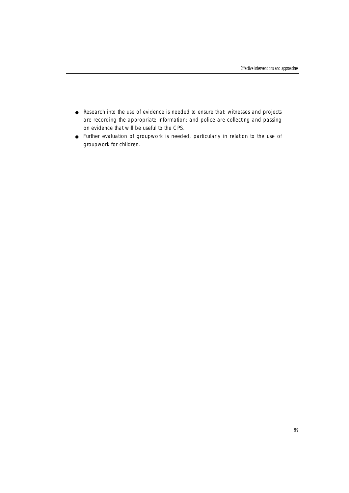- Research into the use of evidence is needed to ensure that: witnesses and projects are recording the appropriate information; and police are collecting and passing on evidence that will be useful to the CPS.
- Further evaluation of groupwork is needed, particularly in relation to the use of groupwork for children.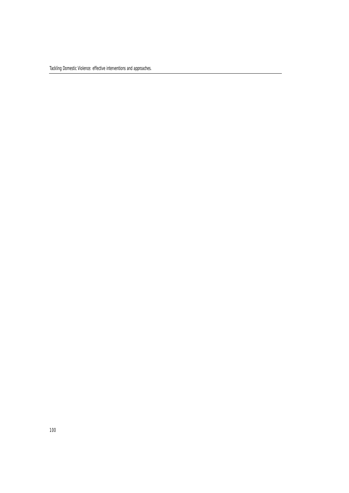Tackling Domestic Violence: effective interventions and approaches.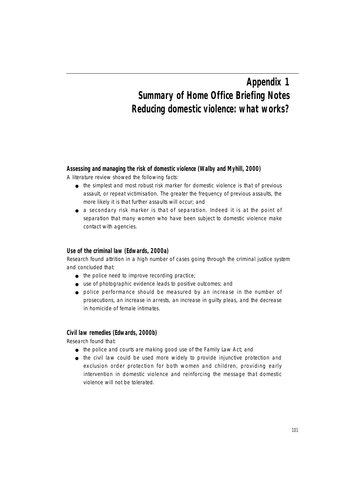## **Appendix 1 Summary of Home Office Briefing Notes Reducing domestic violence: what works?**

#### **Assessing and managing the risk of domestic violence (Walby and Myhill, 2000)**

A literature review showed the following facts:

- the simplest and most robust risk marker for domestic violence is that of previous assault, or repeat victimisation. The greater the frequency of previous assaults, the more likely it is that further assaults will occur; and
- a secondary risk marker is that of separation. Indeed it is at the point of separation that many women who have been subject to domestic violence make contact with agencies.

#### **Use of the criminal law (Edwards, 2000a)**

Research found attrition in a high number of cases going through the criminal justice system and concluded that:

- $\bullet$  the police need to improve recording practice;
- use of photographic evidence leads to positive outcomes; and
- police performance should be measured by an increase in the number of prosecutions, an increase in arrests, an increase in guilty pleas, and the decrease in homicide of female intimates.

#### **Civil law remedies (Edwards, 2000b)**

Research found that:

- the police and courts are making good use of the Family Law Act; and
- the civil law could be used more widely to provide injunctive protection and exclusion order protection for both women and children, providing early intervention in domestic violence and reinforcing the message that domestic violence will not be tolerated.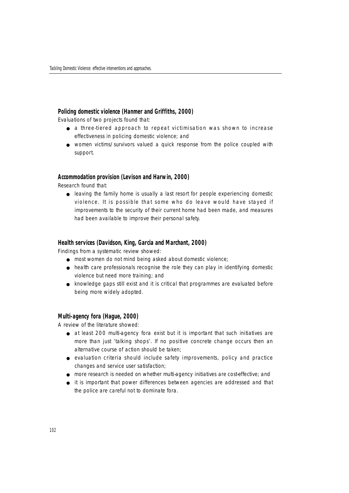#### **Policing domestic violence (Hanmer and Griffiths, 2000)**

Evaluations of two projects found that:

- $\bullet$  a three-tiered approach to repeat victimisation was shown to increase effectiveness in policing domestic violence; and
- women victims/survivors valued a quick response from the police coupled with support.

#### **Accommodation provision (Levison and Harwin, 2000)**

Research found that:

● leaving the family home is usually a last resort for people experiencing domestic violence. It is possible that some who do leave would have stayed if improvements to the security of their current home had been made, and measures had been available to improve their personal safety.

#### **Health services (Davidson, King, Garcia and Marchant, 2000)**

Findings from a systematic review showed:

- most women do not mind being asked about domestic violence;
- health care professionals recognise the role they can play in identifying domestic violence but need more training; and
- knowledge gaps still exist and it is critical that programmes are evaluated before being more widely adopted.

#### **Multi-agency fora (Hague, 2000)**

A review of the literature showed:

- at least 200 multi-agency fora exist but it is important that such initiatives are more than just 'talking shops'. If no positive concrete change occurs then an alternative course of action should be taken;
- evaluation criteria should include safety improvements, policy and practice changes and service user satisfaction;
- more research is needed on whether multi-agency initiatives are cost-effective; and
- it is important that power differences between agencies are addressed and that the police are careful not to dominate fora.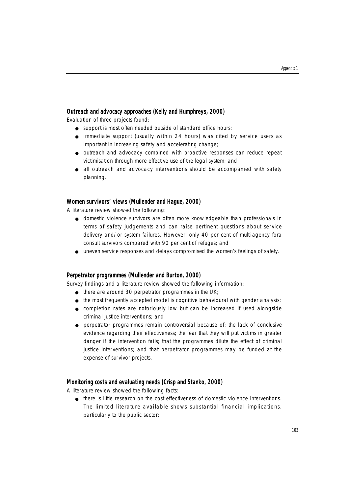#### **Outreach and advocacy approaches (Kelly and Humphreys, 2000)**

Evaluation of three projects found:

- support is most often needed outside of standard office hours;
- immediate support (usually within 24 hours) was cited by service users as important in increasing safety and accelerating change;
- $\bullet$  outreach and advocacy combined with proactive responses can reduce repeat victimisation through more effective use of the legal system; and
- all outreach and advocacy interventions should be accompanied with safety planning.

#### **Women survivors' views (Mullender and Hague, 2000)**

A literature review showed the following:

- domestic violence survivors are often more knowledgeable than professionals in terms of safety judgements and can raise pertinent questions about service delivery and/or system failures. However, only 40 per cent of multi-agency fora consult survivors compared with 90 per cent of refuges; and
- uneven service responses and delays compromised the women's feelings of safety.

#### **Perpetrator programmes (Mullender and Burton, 2000)**

Survey findings and a literature review showed the following information:

- $\bullet$  there are around 30 perpetrator programmes in the UK;
- the most frequently accepted model is cognitive behavioural with gender analysis;
- completion rates are notoriously low but can be increased if used alongside criminal justice interventions; and
- perpetrator programmes remain controversial because of: the lack of conclusive evidence regarding their effectiveness; the fear that they will put victims in greater danger if the intervention fails; that the programmes dilute the effect of criminal justice interventions; and that perpetrator programmes may be funded at the expense of survivor projects.

#### **Monitoring costs and evaluating needs (Crisp and Stanko, 2000)**

A literature review showed the following facts:

● there is little research on the cost effectiveness of domestic violence interventions. The limited literature available shows substantial financial implications, particularly to the public sector;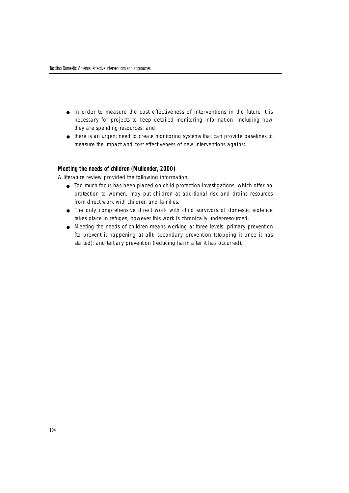- in order to measure the cost effectiveness of interventions in the future it is necessary for projects to keep detailed monitoring information, including how they are spending resources; and
- there is an urgent need to create monitoring systems that can provide baselines to measure the impact and cost effectiveness of new interventions against.

#### **Meeting the needs of children (Mullender, 2000)**

A literature review provided the following information.

- Too much focus has been placed on child protection investigations, which offer no protection to women, may put children at additional risk and drains resources from direct work with children and families.
- The only comprehensive direct work with child survivors of domestic violence takes place in refuges, however this work is chronically under-resourced.
- Meeting the needs of children means working at three levels: primary prevention (to prevent it happening at all); secondary prevention (stopping it once it has started); and tertiary prevention (reducing harm after it has occurred).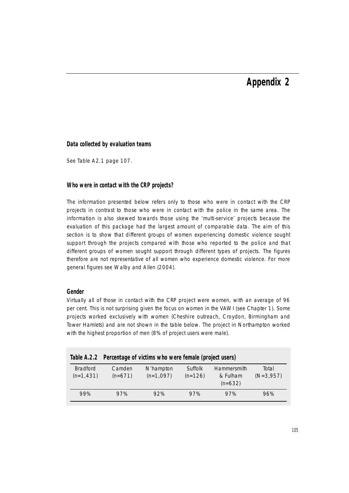## **Appendix 2**

#### **Data collected by evaluation teams**

See Table A2.1 page 107.

#### **Who were in contact with the CRP projects?**

The information presented below refers only to those who were in contact with the CRP p rojects in contrast to those who were in contact with the police in the same area. The information is also skewed towards those using the 'multi-service' projects because the evaluation of this package had the largest amount of comparable data. The aim of this section is to show that different groups of women experiencing domestic violence sought support through the projects compared with those who reported to the police and that different groups of women sought support through different types of projects. The figures therefore are not representative of all women who experience domestic violence. For more general figures see Walby and Allen (2004).

#### **Gender**

Virtually all of those in contact with the CRP project were women, with an average of 96 per cent. This is not surprising given the focus on women in the VAWI (see Chapter 1). Some p rojects worked exclusively with women (Cheshire outreach, Croydon, Birmingham and Tower Hamlets) and are not shown in the table below. The project in Northampton worked with the highest proportion of men (8% of project users were male).

|                                 |                     | Table A.2.2 Percentage of victims who were female (project users) |                      |                                      |                      |
|---------------------------------|---------------------|-------------------------------------------------------------------|----------------------|--------------------------------------|----------------------|
| <b>Bradford</b><br>$(n=1, 431)$ | Camden<br>$(n=671)$ | N'hampton<br>$(n=1,097)$                                          | Suffolk<br>$(n=126)$ | Hammersmith<br>& Fulham<br>$(n=632)$ | Total<br>$(N=3,957)$ |
| 99%                             | 97%                 | 92%                                                               | 97%                  | 97%                                  | 96%                  |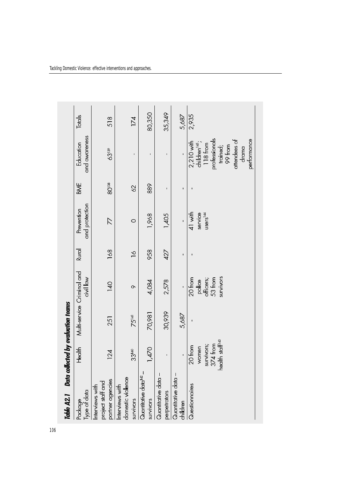| Table A2.1 Data collected by evaluation teams            |                                                                           |                            |                                                        |                |                                           |                   |                                                                                                                                       |        |
|----------------------------------------------------------|---------------------------------------------------------------------------|----------------------------|--------------------------------------------------------|----------------|-------------------------------------------|-------------------|---------------------------------------------------------------------------------------------------------------------------------------|--------|
| Type of data<br>Package                                  | Health                                                                    | Multi-service Criminal and | civil law                                              | <b>Rural</b>   | and protection<br>Prevention              | BME               | and awareness<br>Education                                                                                                            | Totals |
| partner agencies<br>project staff and<br>Interviews with | 124                                                                       | 251                        | 140                                                    | 168            | $\triangledown$                           | 80 <sup>138</sup> | 63139                                                                                                                                 | 518    |
| domestic violence<br>Interviews with<br>survivors        | 33140                                                                     | 75141                      | $\circ$                                                | $\frac{8}{10}$ | $\circ$                                   | $\delta$          | ï                                                                                                                                     | 174    |
| Quantitative data <sup>142</sup><br>survivors            | 1,470                                                                     | 70,981                     | 4,084                                                  | 958            | 1,968                                     | 889               |                                                                                                                                       | 80,350 |
| Quantitative data -<br>perpetrators                      | í,                                                                        | 30,939                     | 2,578                                                  | 427            | 1,405                                     | ï                 | ï                                                                                                                                     | 35,349 |
| Quantitative data -<br>children                          |                                                                           | 5,687                      |                                                        |                |                                           |                   |                                                                                                                                       | 5,687  |
| Questionnaires                                           | health staff <sup>143</sup><br>survivors;<br>374 from<br>20 from<br>women |                            | survivors<br>police<br>officers;<br>53 from<br>20 from |                | 41 with<br>service<br>use's <sup>14</sup> |                   | children <sup>145</sup> ;<br>118 from<br>professionals<br>pertormance<br>trained;<br>99 from<br>attendees of<br>drama<br>$2,210$ with | 2,935  |

Tackling Domestic Violence: effective interventions and approaches.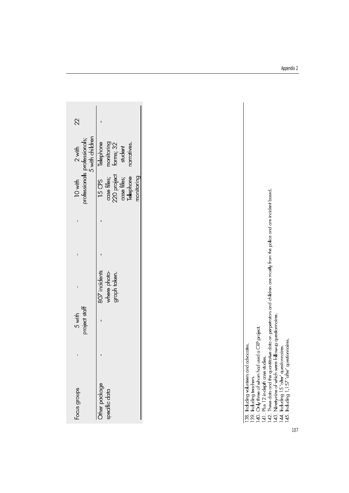| cocus groups                   | project staff<br>5 with | 10 with                    | vrofessionals professionals;<br>$2$ with | 22 |
|--------------------------------|-------------------------|----------------------------|------------------------------------------|----|
|                                |                         |                            | 5 with children                          |    |
| Other package<br>specific data | 307 incidents           | 15 CPS                     | <b>Telephone</b>                         |    |
|                                | where photo             | case files;                |                                          |    |
|                                | jraph taken.            | 220 project<br>case files; | monitoring<br>forms; 32                  |    |
|                                |                         |                            | student                                  |    |
|                                |                         | <b>lelephone</b>           | narratives.                              |    |
|                                |                         | nonitoring                 |                                          |    |

<sup>138.</sup> Including volunteers and advocates.<br>139. Including teachers<br>140. Only three of whom had used a CRP project.<br>141. Plus 12 indepth case studies.<br>142. These data and the quantitative data on perpetrators and children are

<sup>107</sup>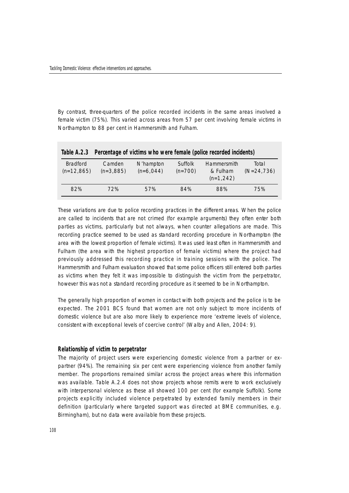By contrast, three-quarters of the police recorded incidents in the same areas involved a female victim (75%). This varied across areas from 57 per cent involving female victims in Northampton to 88 per cent in Hammersmith and Fulham.

|                                 |                       |                          |                      | Table A.2.3 Percentage of victims who were female (police recorded incidents) |                        |
|---------------------------------|-----------------------|--------------------------|----------------------|-------------------------------------------------------------------------------|------------------------|
| <b>Bradford</b><br>$(n=12,865)$ | Camden<br>$(n=3.885)$ | N'hampton<br>$(n=6.044)$ | Suffolk<br>$(n=700)$ | <b>Hammersmith</b><br>& Fulham<br>$(n=1,242)$                                 | Total<br>$(N=24, 736)$ |
| 82%                             | 72%                   | 57%                      | 84%                  | 88%                                                                           | 75%                    |

These variations are due to police recording practices in the different areas. When the police are called to incidents that are not crimed (for example arguments) they often enter both parties as victims, particularly but not always, when counter allegations are made. This recording practice seemed to be used as standard recording procedure in Northampton (the area with the lowest proportion of female victims). It was used least often in Hammersmith and Fulham (the area with the highest proportion of female victims) where the project had previously addressed this recording practice in training sessions with the police. The Hammersmith and Fulham evaluation showed that some police officers still entered both parties as victims when they felt it was impossible to distinguish the victim from the perpetrator, however this was not a standard recording procedure as it seemed to be in Northampton.

The generally high proportion of women in contact with both projects and the police is to be expected. The 2001 BCS found that women are not only subject to more incidents of domestic violence but are also more likely to experience more 'extreme levels of violence, consistent with exceptional levels of coercive control' (Walby and Allen, 2004: 9).

#### **Relationship of victim to perpetrator**

The majority of project users were experiencing domestic violence from a partner or expartner (94%). The remaining six per cent were experiencing violence from another family member. The proportions remained similar across the project areas where this information was available. Table A.2.4 does not show projects whose remits were to work exclusively with interpersonal violence as these all showed 100 per cent (for example Suffolk). Some projects explicitly included violence perpetrated by extended family members in their definition (particularly where targeted support was directed at BME communities, e.g. Birmingham), but no data were available from these projects.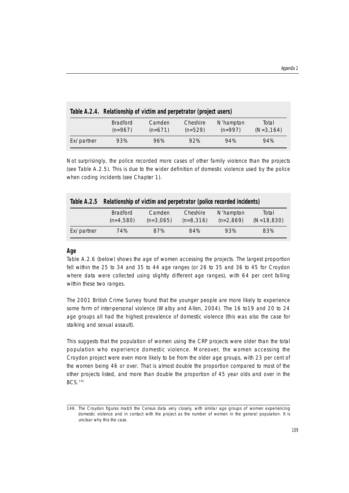|            | Table A.2.4. Relationship of victim and perpetrator (project users) |                     |                       |                        |                       |
|------------|---------------------------------------------------------------------|---------------------|-----------------------|------------------------|-----------------------|
|            | <b>Bradford</b><br>$(n=967)$                                        | Camden<br>$(n=671)$ | Cheshire<br>$(n=529)$ | N'hampton<br>$(n=997)$ | Total<br>$(N=3, 164)$ |
| Ex/partner | 93%                                                                 | 96%                 | 92%                   | 94%                    | 94%                   |

Not surprisingly, the police recorded more cases of other family violence than the projects (see Table A.2.5). This is due to the wider definition of domestic violence used by the police when coding incidents (see Chapter 1).

| Table A.2.5 | Relationship of victim and perpetrator (police recorded incidents) |                       |                         |                          |                       |
|-------------|--------------------------------------------------------------------|-----------------------|-------------------------|--------------------------|-----------------------|
|             | <b>Bradford</b><br>$(n=4.580)$                                     | Camden<br>$(n=3.065)$ | Cheshire<br>$(n=8.316)$ | N'hampton<br>$(n=2.869)$ | Total<br>$(N=18,830)$ |
| Ex/partner  | 74%                                                                | 87%                   | 84%                     | 93%                      | 83%                   |

#### **Age**

Table A.2.6 (below) shows the age of women accessing the projects. The largest proportion fell within the 25 to 34 and 35 to 44 age ranges (or 26 to 35 and 36 to 45 for Croydon where data were collected using slightly different age ranges), with 64 per cent falling within these two ranges.

The 2001 British Crime Survey found that the younger people are more likely to experience some form of inter-personal violence (Walby and Allen, 2004). The 16 to19 and 20 to 24 age groups all had the highest prevalence of domestic violence (this was also the case for stalking and sexual assault).

This suggests that the population of women using the CRP projects were older than the total population who experience domestic violence. Moreover, the women accessing the Croydon project were even more likely to be from the older age groups, with 23 per cent of the women being 46 or over. That is almost double the proportion compared to most of the other projects listed, and more than double the proportion of 45 year olds and over in the BCS.<sup>146</sup>

<sup>146.</sup> The Croydon figures match the Census data very closely, with similar age groups of women experiencing domestic violence and in contact with the project as the number of women in the general population. It is unclear why this the case.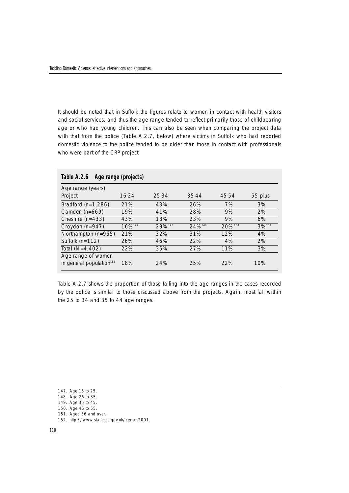It should be noted that in Suffolk the figures relate to women in contact with health visitors and social services, and thus the age range tended to reflect primarily those of childbearing age or who had young children. This can also be seen when comparing the project data with that from the police (Table A.2.7, below) where victims in Suffolk who had reported domestic violence to the police tended to be older than those in contact with professionals who were part of the CRP project.

| Table A.2.6                                                | Age range (projects) |         |                    |         |         |
|------------------------------------------------------------|----------------------|---------|--------------------|---------|---------|
| Age range (years)                                          |                      |         |                    |         |         |
| Project                                                    | $16 - 24$            | 25-34   | 35-44              | 45-54   | 55 plus |
| Bradford $(n=1,286)$                                       | 21%                  | 43%     | 26%                | 7%      | 3%      |
| Camden (n=669)                                             | 19%                  | 41%     | 28%                | 9%      | 2%      |
| Cheshire $(n=433)$                                         | 43%                  | 18%     | 23%                | 9%      | 6%      |
| Croydon (n=947)                                            | 16% <sup>147</sup>   | 29% 148 | 24% <sup>149</sup> | 20% 150 | 3% 151  |
| Northampton (n=955)                                        | 21%                  | 32%     | 31%                | 12%     | 4%      |
| Suffolk $(n=112)$                                          | 26%                  | 46%     | 22%                | 4%      | 2%      |
| Total $(N=4,402)$                                          | 22%                  | 35%     | 27%                | 11%     | 3%      |
| Age range of women<br>in general population <sup>152</sup> | 18%                  | 24%     | 25%                | 22%     | 10%     |

Table A.2.7 shows the proportion of those falling into the age ranges in the cases recorded by the police is similar to those discussed above from the projects. Again, most fall within the 25 to 34 and 35 to 44 age ranges.

<sup>147.</sup> Age 16 to 25.

<sup>148.</sup> Age 26 to 35.

<sup>149.</sup> Age 36 to 45.

<sup>150.</sup> Age 46 to 55.

<sup>151.</sup> Aged 56 and over.

<sup>152.</sup> http://www.statistics.gov.uk/census2001.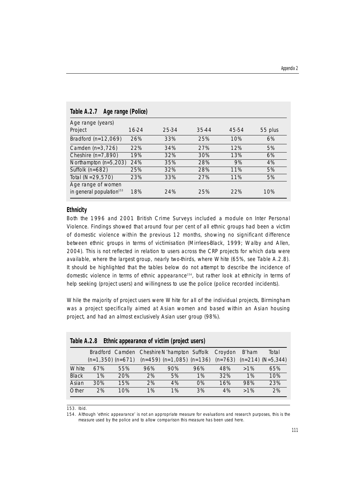| <b>IQUITE H.Z.I</b><br><b>Aye Tallye (PUILE)</b> |       |       |       |       |         |
|--------------------------------------------------|-------|-------|-------|-------|---------|
| Age range (years)                                |       |       |       |       |         |
| Project                                          | 16-24 | 25-34 | 35-44 | 45-54 | 55 plus |
| Bradford $(n=12,069)$                            | 26%   | 33%   | 25%   | 10%   | 6%      |
| Camden $(n=3,726)$                               | 22%   | 34%   | 27%   | 12%   | 5%      |
| Cheshire $(n=7,890)$                             | 19%   | 32%   | 30%   | 13%   | 6%      |
| Northampton (n=5,203)                            | 24%   | 35%   | 28%   | 9%    | 4%      |
| Suffolk $(n=682)$                                | 25%   | 32%   | 28%   | 11%   | 5%      |
| Total (N=29,570)                                 | 23%   | 33%   | 27%   | 11%   | 5%      |
| Age range of women                               |       |       |       |       |         |
| in general population <sup>153</sup>             | 18%   | 24%   | 25%   | 22%   | 10%     |

**Table A.2.7 Age range (Police)** 

#### **Ethnicity**

Both the 1996 and 2001 British Crime Surveys included a module on Inter Personal Violence. Findings showed that around four per cent of all ethnic groups had been a victim of domestic violence within the previous 12 months, showing no significant difference between ethnic groups in terms of victimisation (Mirrlees-Black, 1999; Walby and Allen, 2004). This is not reflected in relation to users across the CRP projects for which data were available, where the largest group, nearly two-thirds, where White (65%, see Table A.2.8). It should be highlighted that the tables below do not attempt to describe the incidence of domestic violence in terms of ethnic appearance<sup>154</sup>, but rather look at ethnicity in terms of help seeking (project users) and willingness to use the police (police recorded incidents).

While the majority of project users were White for all of the individual projects, Birmingham was a project specifically aimed at Asian women and based within an Asian housing project, and had an almost exclusively Asian user group (98%).

| Table A.2.8  |     | Ethnic appearance of victim (project users)                                           |     |     |       |         |        |       |
|--------------|-----|---------------------------------------------------------------------------------------|-----|-----|-------|---------|--------|-------|
|              |     | Bradford Camden Cheshire N'hampton Suffolk                                            |     |     |       | Croydon | B'ham  | Total |
|              |     | $(n=1,350)$ $(n=671)$ $(n=459)$ $(n=1,085)$ $(n=136)$ $(n=763)$ $(n=214)$ $(N=5,344)$ |     |     |       |         |        |       |
| White        | 67% | 55%                                                                                   | 96% | 90% | 96%   | 48%     | $>1\%$ | 65%   |
| <b>Black</b> | 1%  | 20%                                                                                   | 2%  | 5%  | 1%    | 32%     | 1%     | 10%   |
| Asian        | 30% | 15%                                                                                   | 2%  | 4%  | $O\%$ | 16%     | 98%    | 23%   |
| Other        | 2%  | 10%                                                                                   | 1%  | 1%  | 3%    | 4%      | $>1\%$ | 2%    |

153. Ibid.

154. Although 'ethnic appearance' is not an appropriate measure for evaluations and research purposes, this is the measure used by the police and to allow comparison this measure has been used here.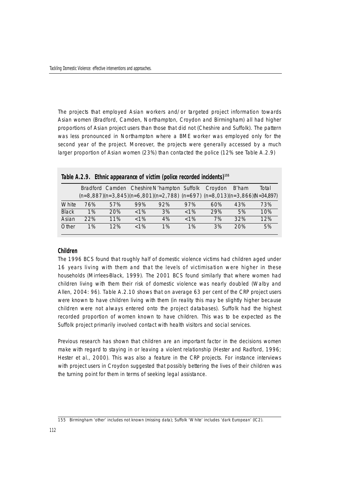The projects that employed Asian workers and/or targeted project information towards Asian women (Bradford, Camden, Northampton, Croydon and Birmingham) all had higher proportions of Asian project users than those that did not (Cheshire and Suffolk). The pattern was less pronounced in Northampton where a BME worker was employed only for the second year of the project. Moreover, the projects were generally accessed by a much larger proportion of Asian women (23%) than contacted the police (12% see Table A.2.9)

|              |     |     |         | Bradford Camden Cheshire N'hampton Suffolk Croydon                           |         |     | B'ham | Total |
|--------------|-----|-----|---------|------------------------------------------------------------------------------|---------|-----|-------|-------|
|              |     |     |         | $(n=8,887)(n=3,845)(n=6,801)(n=2,788)$ $(n=697)(n=8,013)(n=3,866)(N=34,897)$ |         |     |       |       |
| White        | 76% | 57% | 99%     | 92%                                                                          | 97%     | 60% | 43%   | 73%   |
| <b>Black</b> | 1%  | 20% | $< 1\%$ | 3%                                                                           | $< 1\%$ | 29% | 5%    | 10%   |
| Asian        | 22% | 11% | $< 1\%$ | 4%                                                                           | $< 1\%$ | 7%  | 32%   | 12%   |
| Other        | 1%  | 12% | $< 1\%$ | 1%                                                                           | 1%      | 3%  | 20%   | 5%    |

|  | Table A.2.9. Ethnic appearance of victim (police recorded incidents) <sup>155</sup> |  |  |  |
|--|-------------------------------------------------------------------------------------|--|--|--|
|--|-------------------------------------------------------------------------------------|--|--|--|

#### **Children**

The 1996 BCS found that roughly half of domestic violence victims had children aged under 16 years living with them and that the levels of victimisation were higher in these households (Mirrlees-Black, 1999). The 2001 BCS found similarly that where women had children living with them their risk of domestic violence was nearly doubled (Walby and Allen, 2004: 96). Table A.2.10 shows that on average 63 per cent of the CRP project users were known to have children living with them (in reality this may be slightly higher because children were not always entered onto the project databases). Suffolk had the highest recorded proportion of women known to have children. This was to be expected as the Suffolk project primarily involved contact with health visitors and social services.

Previous research has shown that children are an important factor in the decisions women make with regard to staying in or leaving a violent relationship (Hester and Radford, 1996; Hester et al., 2000). This was also a feature in the CRP projects. For instance interviews with project users in Croydon suggested that possibly bettering the lives of their children was the turning point for them in terms of seeking legal assistance.

<sup>155</sup> Birmingham 'other' includes not known (missing data); Suffolk 'White' includes 'dark European' (IC2).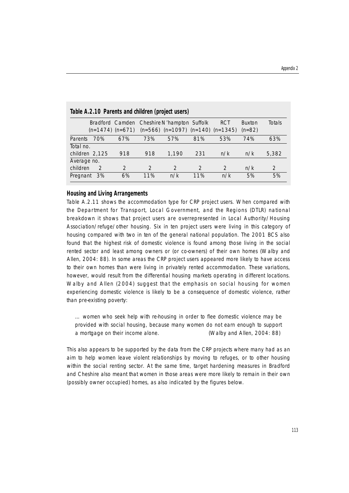|             |                      |               |               | Bradford Camden Cheshire N'hampton Suffolk |               | <b>RCT</b>    | <b>Buxton</b> | <b>Totals</b> |
|-------------|----------------------|---------------|---------------|--------------------------------------------|---------------|---------------|---------------|---------------|
|             | $(n=1474)$ $(n=671)$ |               |               | $(n=566)$ $(n=1097)$ $(n=140)$ $(n=1345)$  |               |               | $(n=82)$      |               |
| Parents     | 70%                  | 67%           | 73%           | 57%                                        | 81%           | 53%           | 74%           | 63%           |
| Total no.   |                      |               |               |                                            |               |               |               |               |
|             | children 2,125       | 918           | 918           | 1.190                                      | 231           | n/k           | n/k           | 5,382         |
| Average no. |                      |               |               |                                            |               |               |               |               |
| children    | $\mathcal{P}$        | $\mathcal{P}$ | $\mathcal{P}$ | $\mathcal{P}$                              | $\mathcal{L}$ | $\mathcal{L}$ | n/k           | $\mathcal{P}$ |
| Pregnant    | 3%                   | 6%            | 11%           | n/k                                        | 11%           | n/k           | 5%            | 5%            |

#### **Table A.2.10 Parents and children (project users)**

#### **Housing and Living Arrangements**

Table A.2.11 shows the accommodation type for CRP project users. When compared with the Department for Transport, Local Government, and the Regions (DTLR) national breakdown it shows that project users are overrepresented in Local Authority/Housing Association/refuge/other housing. Six in ten project users were living in this category of housing compared with two in ten of the general national population. The 2001 BCS also found that the highest risk of domestic violence is found among those living in the social rented sector and least among owners or (or co-owners) of their own homes (Walby and Allen, 2004: 88). In some areas the CRP project users appeared more likely to have access to their own homes than were living in privately rented accommodation. These variations, however, would result from the differential housing markets operating in different locations. Walby and Allen (2004) suggest that the emphasis on social housing for women experiencing domestic violence is likely to be a consequence of domestic violence, rather than pre-existing poverty:

… women who seek help with re-housing in order to flee domestic violence may be provided with social housing, because many women do not earn enough to support a mortgage on their income alone. (Walby and Allen, 2004: 88)

This also appears to be supported by the data from the CRP projects where many had as an aim to help women leave violent relationships by moving to refuges, or to other housing within the social renting sector. At the same time, target hardening measures in Bradford and Cheshire also meant that women in those areas were more likely to remain in their own (possibly owner occupied) homes, as also indicated by the figures below.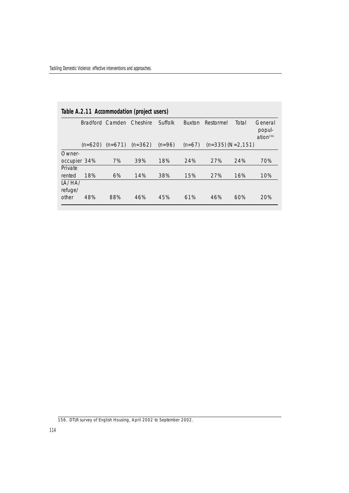|                   | Table A.2.11 Accommodation (project users) |                 |           |          |               |                        |       |                                           |
|-------------------|--------------------------------------------|-----------------|-----------|----------|---------------|------------------------|-------|-------------------------------------------|
|                   |                                            | Bradford Camden | Cheshire  | Suffolk  | <b>Buxton</b> | Restormel              | Total | General<br>popul-<br>ation <sup>156</sup> |
|                   | $(n=620)$                                  | $(n=671)$       | $(n=362)$ | $(n=96)$ | $(n=67)$      | $(n=335)$ $(N=2, 151)$ |       |                                           |
| Owner-            |                                            |                 |           |          |               |                        |       |                                           |
| occupier 34%      |                                            | 7%              | 39%       | 18%      | 24%           | 27%                    | 24%   | 70%                                       |
| Private           |                                            |                 |           |          |               |                        |       |                                           |
| rented            | 18%                                        | 6%              | 14%       | 38%      | 15%           | 27%                    | 16%   | 10%                                       |
| LA/HA/<br>refuge/ |                                            |                 |           |          |               |                        |       |                                           |
| other             | 48%                                        | 88%             | 46%       | 45%      | 61%           | 46%                    | 60%   | 20%                                       |

156. DTLR survey of English Housing, April 2002 to September 2002.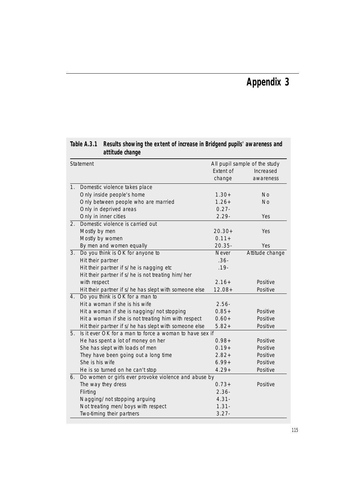# **Appendix 3**

|                  | attitude change                                         |           |                               |
|------------------|---------------------------------------------------------|-----------|-------------------------------|
|                  | Statement                                               |           | All pupil sample of the study |
|                  |                                                         | Extent of | Increased                     |
|                  |                                                         | change    | awareness                     |
| 1.               | Domestic violence takes place                           |           |                               |
|                  | Only inside people's home                               | $1.30+$   | <b>No</b>                     |
|                  | Only between people who are married                     | $1.26+$   | No                            |
|                  | Only in deprived areas                                  | $0.27 -$  |                               |
|                  | Only in inner cities                                    | $2.29 -$  | Yes                           |
| $\overline{2}$ . | Domestic violence is carried out                        |           |                               |
|                  | Mostly by men                                           | $20.30+$  | Yes                           |
|                  | Mostly by women                                         | $0.11 +$  |                               |
|                  | By men and women equally                                | 20.35-    | Yes                           |
| $\overline{3}$ . | Do you think is OK for anyone to                        | Never     | Attitude change               |
|                  | Hit their partner                                       | $.36 -$   |                               |
|                  | Hit their partner if s/he is nagging etc                | $.19 -$   |                               |
|                  | Hit their partner if s/he is not treating him/her       |           |                               |
|                  | with respect                                            | $2.16+$   | Positive                      |
|                  | Hit their partner if s/he has slept with someone else   | $12.08 +$ | Positive                      |
| 4.               | Do you think is OK for a man to                         |           |                               |
|                  | Hit a woman if she is his wife                          | $2.56 -$  |                               |
|                  | Hit a woman if she is nagging/not stopping              | $0.85+$   | Positive                      |
|                  | Hit a woman if she is not treating him with respect     | $0.60+$   | Positive                      |
|                  | Hit their partner if s/he has slept with someone else   | $5.82+$   | Positive                      |
| 5.               | Is it ever OK for a man to force a woman to have sex if |           |                               |
|                  | He has spent a lot of money on her                      | $0.98 +$  | Positive                      |
|                  | She has slept with loads of men                         | $0.19+$   | Positive                      |
|                  | They have been going out a long time                    | $2.82+$   | Positive                      |
|                  | She is his wife                                         | $6.99 +$  | Positive                      |
|                  | He is so turned on he can't stop                        | $4.29+$   | Positive                      |
| 6.               | Do women or girls ever provoke violence and abuse by    |           |                               |
|                  | The way they dress                                      | $0.73+$   | Positive                      |
|                  | Flirting                                                | $2.36 -$  |                               |
|                  | Nagging/not stopping arguing                            | $4.31 -$  |                               |
|                  | Not treating men/boys with respect                      | $1.31 -$  |                               |
|                  | Two-timing their partners                               | $3.27 -$  |                               |

# **Table A.3.1 Results showing the extent of increase in Bridgend pupils' awareness and**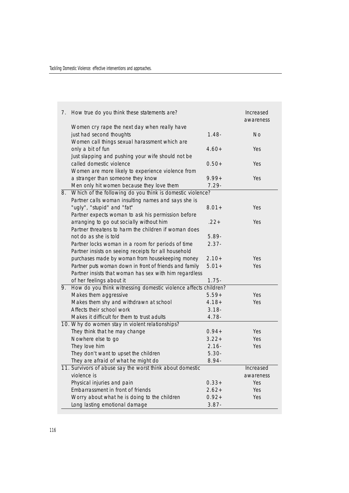| 7. | How true do you think these statements are?                     |          | Increased<br>awareness |
|----|-----------------------------------------------------------------|----------|------------------------|
|    | Women cry rape the next day when really have                    |          |                        |
|    | just had second thoughts                                        | $1.48 -$ | No                     |
|    | Women call things sexual harassment which are                   |          |                        |
|    | only a bit of fun                                               | $4.60+$  | Yes                    |
|    | Just slapping and pushing your wife should not be               |          |                        |
|    | called domestic violence                                        | $0.50+$  | Yes                    |
|    | Women are more likely to experience violence from               |          |                        |
|    | a stranger than someone they know                               | $9.99 +$ | Yes                    |
|    | Men only hit women because they love them                       | $7.29 -$ |                        |
| 8. | Which of the following do you think is domestic violence?       |          |                        |
|    | Partner calls woman insulting names and says she is             |          |                        |
|    | "ugly", "stupid" and "fat"                                      | $8.01 +$ | Yes                    |
|    | Partner expects woman to ask his permission before              |          |                        |
|    | arranging to go out socially without him                        | $.22+$   | Yes                    |
|    | Partner threatens to harm the children if woman does            |          |                        |
|    | not do as she is told                                           | 5.89-    |                        |
|    | Partner locks woman in a room for periods of time               | $2.37 -$ |                        |
|    | Partner insists on seeing receipts for all household            |          |                        |
|    | purchases made by woman from housekeeping money                 | $2.10+$  | Yes                    |
|    | Partner puts woman down in front of friends and family          | $5.01+$  | Yes                    |
|    | Partner insists that woman has sex with him regardless          |          |                        |
|    | of her feelings about it                                        | $1.75 -$ |                        |
| 9. | How do you think witnessing domestic violence affects children? |          |                        |
|    | Makes them aggressive                                           | $5.59+$  | Yes                    |
|    | Makes them shy and withdrawn at school                          | $4.18+$  | Yes                    |
|    | Affects their school work                                       | $3.18 -$ |                        |
|    | Makes it difficult for them to trust adults                     | 4.78-    |                        |
|    | 10. Why do women stay in violent relationships?                 |          |                        |
|    | They think that he may change                                   | $0.94 +$ | Yes                    |
|    | Nowhere else to go                                              | $3.22+$  | Yes                    |
|    | They love him                                                   | $2.16 -$ | Yes                    |
|    | They don't want to upset the children                           | $5.30 -$ |                        |
|    | They are afraid of what he might do                             | $8.94 -$ |                        |
|    | 11. Survivors of abuse say the worst think about domestic       |          | Increased              |
|    | violence is                                                     |          | awareness              |
|    | Physical injuries and pain                                      | $0.33+$  | Yes                    |
|    | Embarrassment in front of friends                               | $2.62+$  | Yes                    |
|    | Worry about what he is doing to the children                    | $0.92 +$ | Yes                    |
|    | Long lasting emotional damage                                   | $3.87 -$ |                        |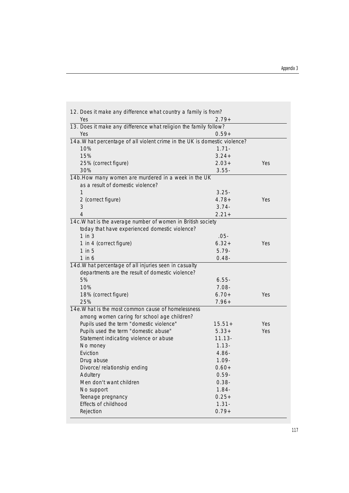| 12. Does it make any difference what country a family is from?            |           |     |  |  |
|---------------------------------------------------------------------------|-----------|-----|--|--|
| Yes<br>$2.79+$                                                            |           |     |  |  |
| 13. Does it make any difference what religion the family follow?          |           |     |  |  |
| Yes                                                                       | $0.59+$   |     |  |  |
| 14a. What percentage of all violent crime in the UK is domestic violence? |           |     |  |  |
| 10%                                                                       | $1.71 -$  |     |  |  |
| 15%                                                                       | $3.24 +$  |     |  |  |
| 25% (correct figure)                                                      | $2.03+$   | Yes |  |  |
| 30%                                                                       | $3.55 -$  |     |  |  |
| 14b. How many women are murdered in a week in the UK                      |           |     |  |  |
| as a result of domestic violence?                                         |           |     |  |  |
| 1                                                                         | $3.25 -$  |     |  |  |
| 2 (correct figure)                                                        | $4.78 +$  | Yes |  |  |
| 3                                                                         | $3.74-$   |     |  |  |
| 4                                                                         | $2.21 +$  |     |  |  |
| 14c. What is the average number of women in British society               |           |     |  |  |
| today that have experienced domestic violence?                            |           |     |  |  |
| $1$ in $3$                                                                | $.05 -$   |     |  |  |
| 1 in 4 (correct figure)                                                   | $6.32+$   | Yes |  |  |
| $1$ in $5$                                                                | 5.79-     |     |  |  |
| $1$ in 6                                                                  | $0.48 -$  |     |  |  |
| 14d. What percentage of all injuries seen in casualty                     |           |     |  |  |
| departments are the result of domestic violence?                          |           |     |  |  |
| 5%                                                                        | $6.55 -$  |     |  |  |
| 10%                                                                       | $7.08 -$  |     |  |  |
| 18% (correct figure)                                                      | $6.70+$   | Yes |  |  |
| 25%                                                                       | $7.96+$   |     |  |  |
| 14e. What is the most common cause of homelessness                        |           |     |  |  |
| among women caring for school age children?                               |           |     |  |  |
| Pupils used the term "domestic violence"                                  | $15.51+$  | Yes |  |  |
| Pupils used the term "domestic abuse"                                     | $5.33+$   | Yes |  |  |
| Statement indicating violence or abuse                                    | $11.13 -$ |     |  |  |
| No money                                                                  | $1.13 -$  |     |  |  |
| Eviction                                                                  | $4.86 -$  |     |  |  |
| Drug abuse                                                                | 1.09-     |     |  |  |
| Divorce/relationship ending                                               | $0.60+$   |     |  |  |
| Adultery                                                                  | $0.59 -$  |     |  |  |
| Men don't want children                                                   | $0.38 -$  |     |  |  |
| No support                                                                | $1.84 -$  |     |  |  |
| Teenage pregnancy                                                         | $0.25+$   |     |  |  |
| Effects of childhood                                                      | $1.31 -$  |     |  |  |
| Rejection                                                                 | $0.79+$   |     |  |  |
|                                                                           |           |     |  |  |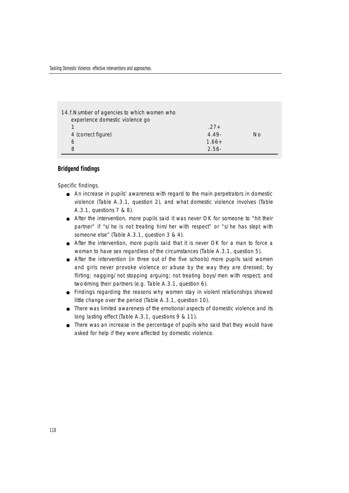| 14.f. Number of agencies to which women who<br>experience domestic violence go |          |    |
|--------------------------------------------------------------------------------|----------|----|
|                                                                                | $.27 +$  |    |
| 4 (correct figure)                                                             | 4.49-    | No |
| 6                                                                              | $1.66+$  |    |
| 8                                                                              | $2.56 -$ |    |

#### **Bridgend findings**

Specific findings.

- An increase in pupils' awareness with regard to the main perpetrators in domestic violence (Table A.3.1, question 2), and what domestic violence involves (Table A.3.1, questions 7 & 8).
- After the intervention, more pupils said it was never OK for someone to "hit their partner" if "s/he is not treating him/her with respect" or "s/he has slept with someone else" (Table A.3.1, question 3 & 4).
- After the intervention, more pupils said that it is never OK for a man to force a woman to have sex regardless of the circumstances (Table A.3.1, question 5).
- After the intervention (in three out of the five schools) more pupils said women and girls never provoke violence or abuse by the way they are dressed; by flirting; nagging/not stopping arguing; not treating boys/men with respect; and two-timing their partners (e.g. Table A.3.1, question 6).
- Findings regarding the reasons why women stay in violent relationships showed little change over the period (Table A.3.1, question 10).
- There was limited awareness of the emotional aspects of domestic violence and its long lasting effect (Table A.3.1, questions 9 & 11).
- There was an increase in the percentage of pupils who said that they would have asked for help if they were affected by domestic violence.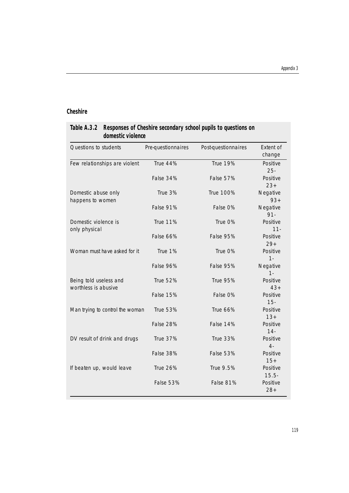### **Cheshire**

| domestic violence                              |                    |                     |                      |
|------------------------------------------------|--------------------|---------------------|----------------------|
| Questions to students                          | Pre-questionnaires | Post-questionnaires | Extent of<br>change  |
| Few relationships are violent                  | <b>True 44%</b>    | <b>True 19%</b>     | Positive<br>$25 -$   |
|                                                | False 34%          | False 57%           | Positive<br>$23+$    |
| Domestic abuse only<br>happens to women        | True 3%            | True 100%           | Negative<br>$93+$    |
|                                                | False 91%          | False 0%            | Negative<br>91-      |
| Domestic violence is<br>only physical          | <b>True 11%</b>    | True 0%             | Positive<br>$11 -$   |
|                                                | False 66%          | False 95%           | Positive<br>$29+$    |
| Woman must have asked for it                   | True 1%            | True 0%             | Positive<br>$1 -$    |
|                                                | False 96%          | False 95%           | Negative<br>$1 -$    |
| Being told useless and<br>worthless is abusive | <b>True 52%</b>    | <b>True 95%</b>     | Positive<br>$43+$    |
|                                                | False 15%          | False 0%            | Positive<br>$15 -$   |
| Man trying to control the woman                | <b>True 53%</b>    | <b>True 66%</b>     | Positive<br>$13+$    |
|                                                | False 28%          | False 14%           | Positive<br>$14 -$   |
| DV result of drink and drugs                   | <b>True 37%</b>    | <b>True 33%</b>     | Positive<br>$4-$     |
|                                                | False 38%          | False 53%           | Positive<br>$15+$    |
| If beaten up, would leave                      | <b>True 26%</b>    | True 9.5%           | Positive<br>$15.5 -$ |
|                                                | False 53%          | False 81%           | Positive<br>$28+$    |

### **Table A.3.2 Responses of Cheshire secondary school pupils to questions on domestic violence**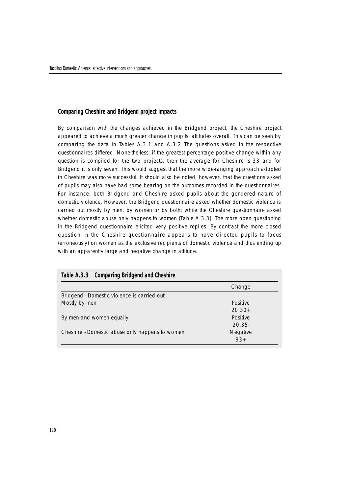#### **Comparing Cheshire and Bridgend project impacts**

By comparison with the changes achieved in the Bridgend project, the Cheshire project appeared to achieve a much greater change in pupils' attitudes overall. This can be seen by comparing the data in Tables A.3.1 and A.3.2 The questions asked in the respective questionnaires differed. None-the-less, if the greatest percentage positive change within any question is compiled for the two projects, then the average for Cheshire is 33 and for Bridgend it is only seven. This would suggest that the more wide-ranging approach adopted in Cheshire was more successful. It should also be noted, however, that the questions asked of pupils may also have had some bearing on the outcomes recorded in the questionnaires. For instance, both Bridgend and Cheshire asked pupils about the gendered nature of domestic violence. However, the Bridgend questionnaire asked whether domestic violence is carried out mostly by men, by women or by both; while the Cheshire questionnaire asked whether domestic abuse only happens to women (Table A.3.3). The more open questioning in the Bridgend questionnaire elicited very positive replies. By contrast the more closed question in the Cheshire questionnaire appears to have directed pupils to focus (erroneously) on women as the exclusive recipients of domestic violence and thus ending up with an apparently large and negative change in attitude.

|                                                | Change          |
|------------------------------------------------|-----------------|
| Bridgend -Domestic violence is carried out     |                 |
| Mostly by men                                  | Positive        |
|                                                | $20.30+$        |
| By men and women equally                       | Positive        |
|                                                | $20.35 -$       |
| Cheshire –Domestic abuse only happens to women | <b>Negative</b> |
|                                                | $93+$           |

| Table A.3.3 Comparing Bridgend and Cheshire |  |
|---------------------------------------------|--|
|---------------------------------------------|--|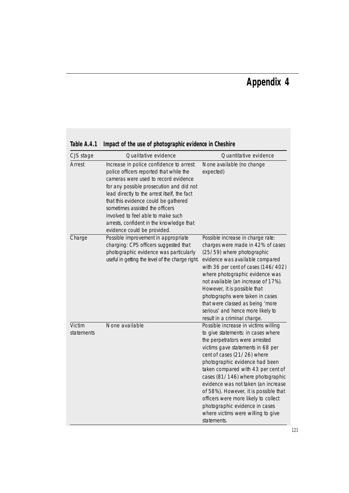# **Appendix 4**

| CJS stage            | Qualitative evidence                                                                                                                                                                                                                                                                                                                                                                                                | Quantitative evidence                                                                                                                                                                                                                                                                                                                                                                                                                                                                                        |
|----------------------|---------------------------------------------------------------------------------------------------------------------------------------------------------------------------------------------------------------------------------------------------------------------------------------------------------------------------------------------------------------------------------------------------------------------|--------------------------------------------------------------------------------------------------------------------------------------------------------------------------------------------------------------------------------------------------------------------------------------------------------------------------------------------------------------------------------------------------------------------------------------------------------------------------------------------------------------|
| Arrest               | Increase in police confidence to arrest:<br>police officers reported that while the<br>cameras were used to record evidence<br>for any possible prosecution and did not<br>lead directly to the arrest itself, the fact<br>that this evidence could be gathered<br>sometimes assisted the officers<br>involved to feel able to make such<br>arrests, confident in the knowledge that<br>evidence could be provided. | None available (no change<br>expected)                                                                                                                                                                                                                                                                                                                                                                                                                                                                       |
| Charge               | Possible improvement in appropriate<br>charging: CPS officers suggested that<br>photographic evidence was particularly<br>useful in getting the level of the charge right.                                                                                                                                                                                                                                          | Possible increase in charge rate:<br>charges were made in 42% of cases<br>(25/59) where photographic<br>evidence was available compared<br>with 36 per cent of cases (146/402)<br>where photographic evidence was<br>not available (an increase of 17%).<br>However, it is possible that<br>photographs were taken in cases<br>that were classed as being 'more<br>serious' and hence more likely to<br>result in a criminal charge.                                                                         |
| Victim<br>statements | None available                                                                                                                                                                                                                                                                                                                                                                                                      | Possible increase in victims willing<br>to give statements: in cases where<br>the perpetrators were arrested<br>victims gave statements in 68 per<br>cent of cases (21/26) where<br>photographic evidence had been<br>taken compared with 43 per cent of<br>cases (81/146) where photographic<br>evidence was not taken (an increase<br>of 58%). However, it is possible that<br>officers were more likely to collect<br>photographic evidence in cases<br>where victims were willing to give<br>statements. |

#### **Table A.4.1 Impact of the use of photographic evidence in Cheshire**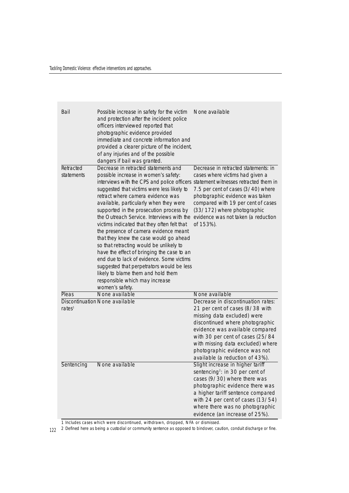| Bail                    | Possible increase in safety for the victim<br>and protection after the incident: police<br>officers interviewed reported that<br>photographic evidence provided<br>immediate and concrete information and<br>provided a clearer picture of the incident,<br>of any injuries and of the possible<br>dangers if bail was granted.                                                                                                                                                                                                                                                                                                                                                                                                                                                                        | None available                                                                                                                                                                                                                                                                                    |
|-------------------------|--------------------------------------------------------------------------------------------------------------------------------------------------------------------------------------------------------------------------------------------------------------------------------------------------------------------------------------------------------------------------------------------------------------------------------------------------------------------------------------------------------------------------------------------------------------------------------------------------------------------------------------------------------------------------------------------------------------------------------------------------------------------------------------------------------|---------------------------------------------------------------------------------------------------------------------------------------------------------------------------------------------------------------------------------------------------------------------------------------------------|
| Retracted<br>statements | Decrease in retracted statements and<br>possible increase in women's safety:<br>interviews with the CPS and police officers statement witnesses retracted them in<br>suggested that victims were less likely to<br>retract where camera evidence was<br>available, particularly when they were<br>supported in the prosecution process by<br>the Outreach Service. Interviews with the<br>victims indicated that they often felt that<br>the presence of camera evidence meant<br>that they knew the case would go ahead<br>so that retracting would be unlikely to<br>have the effect of bringing the case to an<br>end due to lack of evidence. Some victims<br>suggested that perpetrators would be less<br>likely to blame them and hold them<br>responsible which may increase<br>women's safety. | Decrease in retracted statements: in<br>cases where victims had given a<br>7.5 per cent of cases (3/40) where<br>photographic evidence was taken<br>compared with 19 per cent of cases<br>(33/172) where photographic<br>evidence was not taken (a reduction<br>of 153%).                         |
| Pleas                   | None available                                                                                                                                                                                                                                                                                                                                                                                                                                                                                                                                                                                                                                                                                                                                                                                         | None available                                                                                                                                                                                                                                                                                    |
|                         | Discontinuation None available                                                                                                                                                                                                                                                                                                                                                                                                                                                                                                                                                                                                                                                                                                                                                                         | Decrease in discontinuation rates:                                                                                                                                                                                                                                                                |
| rates <sup>1</sup>      |                                                                                                                                                                                                                                                                                                                                                                                                                                                                                                                                                                                                                                                                                                                                                                                                        | 21 per cent of cases (8/38 with<br>missing data excluded) were<br>discontinued where photographic<br>evidence was available compared<br>with 30 per cent of cases (25/84<br>with missing data excluded) where<br>photographic evidence was not<br>available (a reduction of 43%).                 |
| Sentencing              | None available                                                                                                                                                                                                                                                                                                                                                                                                                                                                                                                                                                                                                                                                                                                                                                                         | Slight increase in higher tariff<br>sentencing <sup>2</sup> : in 30 per cent of<br>cases (9/30) where there was<br>photographic evidence there was<br>a higher tariff sentence compared<br>with 24 per cent of cases (13/54)<br>where there was no photographic<br>evidence (an increase of 25%). |

1 Includes cases which were discontinued, withdrawn, dropped, NFA or dismissed.

122 2 Defined here as being a custodial or community sentence as opposed to bindover, caution, conduit discharge or fine.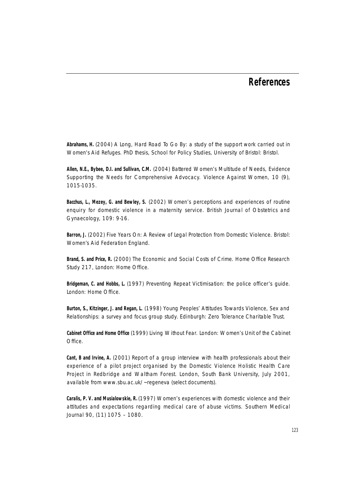### **References**

**Abrahams, H.** (2004) A Long, Hard Road To Go By: a study of the support work carried out in Women's Aid Refuges. PhD thesis, School for Policy Studies, University of Bristol: Bristol.

**Allen, N.E., Bybee, D.I. and Sullivan, C.M.** (2004) Battered Women's Multitude of Needs, Evidence Supporting the Needs for Comprehensive Advocacy. Violence Against Women, 10 (9), 1015-1035.

**Bacchus, L., Mezey, G. and Bewley, S.** (2002) Women's perceptions and experiences of routine enquiry for domestic violence in a maternity service. British Journal of Obstetrics and Gynaecology, 109: 9-16.

**Barron, J.** (2002) Five Years On: A Review of Legal Protection from Domestic Violence. Bristol: Women's Aid Federation England.

**Brand, S. and Price, R.** (2000) The Economic and Social Costs of Crime. Home Office Research Study 217, London: Home Office.

**Bridgeman, C. and Hobbs, L.** (1997) Preventing Repeat Victimisation: the police officer's guide. London: Home Office.

**Burton, S., Kitzinger, J. and Regan, L.** (1998) Young Peoples' Attitudes Towards Violence, Sex and Relationships: a survey and focus group study. Edinburgh: Zero Tolerance Charitable Trust.

**Cabinet Office and Home Office** (1999) Living Without Fear. London: Women's Unit of the Cabinet Office.

**Cant, B and Irvine, A.** (2001) Report of a group interview with health professionals about their experience of a pilot project organised by the Domestic Violence Holistic Health Care Project in Redbridge and Waltham Forest. London, South Bank University, July 2001, available from www.sbu.ac.uk/~regeneva (select documents).

**Caralis, P. V. and Musialowskie, R.** (1997) Women's experiences with domestic violence and their attitudes and expectations regarding medical care of abuse victims. Southern Medical Journal 90, (11) 1075 – 1080.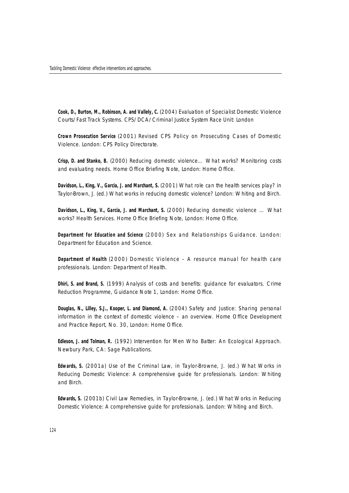Cook, D., Burton, M., Robinson, A. and Vallely, C. (2004) Evaluation of Specialist Domestic Violence Courts/Fast Track Systems. CPS/DCA/Criminal Justice System Race Unit: London

**C rown Prosecution Service** (2001) Revised CPS Policy on Prosecuting Cases of Domestic Violence. London: CPS Policy Directorate.

**Crisp, D. and Stanko, B.** (2000) Reducing domestic violence… What works? Monitoring costs and evaluating needs. Home Office Briefing Note, London: Home Office.

**Davidson, L., King, V., Garcia, J. and Marchant, S. (2001) What role can the health services play? in** Taylor-Brown, J. (ed.) What works in reducing domestic violence? London: Whiting and Birch.

**Davidson, L., King, V., Garcia, J. and Marchant, S.** (2000) Reducing domestic violence … What works? Health Services. Home Office Briefing Note, London: Home Office.

**Department for Education and Science** (2000) Sex and Relationships Guidance. London: Department for Education and Science.

Department of Health (2000) Domestic Violence - A resource manual for health care professionals. London: Department of Health.

**Dhiri, S. and Brand, S.** (1999) Analysis of costs and benefits: guidance for evaluators. Crime Reduction Programme, Guidance Note 1, London: Home Office.

**Douglas, N., Lilley, S.J., Kooper, L. and Diamond, A.** (2004) Safety and Justice: Sharing personal information in the context of domestic violence – an overview. Home Office Development and Practice Report, No. 30, London: Home Office.

**Edleson, J. and Tolman, R.** (1992) Intervention for Men Who Batter: An Ecological Approach. Newbury Park, CA: Sage Publications.

**Edwards, S.** (2001a) Use of the Criminal Law, in Taylor-Browne, J. (ed.) What Works in Reducing Domestic Violence: A comprehensive guide for professionals. London: Whiting and Birch.

**Edwards, S.** (2001b) Civil Law Remedies, in Taylor-Browne, J. (ed.) What Works in Reducing Domestic Violence: A comprehensive guide for professionals. London: Whiting and Birch.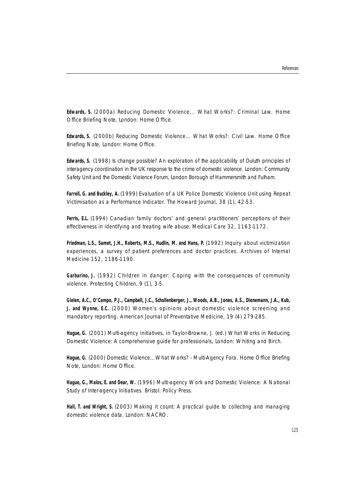Edwards, S. (2000a) Reducing Domestic Violence... What Works?: Criminal Law. Home Office Briefing Note, London: Home Office.

**Edwards, S.** (2000b) Reducing Domestic Violence... What Works?: Civil Law. Home Office Briefing Note, London: Home Office.

**Edwards, S.** (1998) Is change possible? An exploration of the applicability of Duluth principles of interagency coordination in the UK response to the crime of domestic violence. London: Community Safety Unit and the Domestic Violence Forum, London Borough of Hammersmith and Fulham.

**Farrell, G. and Buckley, A.** (1999) Evaluation of a UK Police Domestic Violence Unit using Repeat Victimisation as a Performance Indicator. The Howard Journal, 38 (1), 42-53.

**Ferris, E.L.** (1994) Canadian family doctors' and general practitioners' perceptions of their effectiveness in identifying and treating wife abuse. Medical Care 32, 1163-1172.

**Friedman, L.S., Samet, J.H., Roberts, M.S., Hudlin, M. and Hans, P.** (1992) Inquiry about victimization experiences, a survey of patient preferences and doctor practices. Archives of Internal Medicine 152, 1186-1190.

**Garbarino, J.** (1992) Children in danger: Coping with the consequences of community violence. Protecting Children, 9 (1), 3-5.

**Gielen, A.C., O'Campo, P.J., Campbell, J.C., Schollenberger, J., Woods, A.B., Jones, A.S., Dienemann, J.A., Kub, J. and Wynne, E.C.** (2000) Women's opinions about domestic violence screening and mandatory reporting. American Journal of Preventative Medicine, 19 (4) 279-285.

**Hague, G.** (2001) Multi-agency initiatives, in Taylor-Browne, J. (ed.) What Works in Reducing Domestic Violence: A comprehensive guide for professionals, London: Whiting and Birch.

**Hague, G.** (2000) Domestic Violence…What Works? - Multi-Agency Fora. Home Office Briefing Note, London: Home Office.

**Hague, G., Malos, E. and Dear, W.** (1996) Multi-agency Work and Domestic Violence: A National Study of Inter-agency Initiatives. Bristol: Policy Press.

**Hall, T. and Wright, S.** (2003) Making it count: A practical guide to collecting and managing domestic violence data. London: NACRO.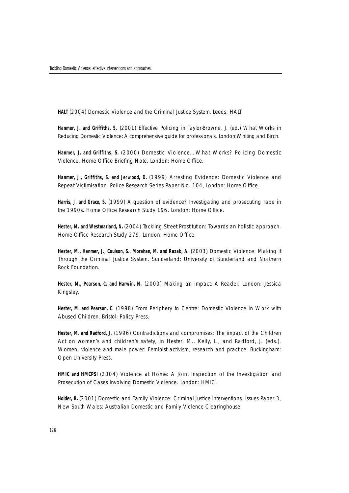**HALT** (2004) Domestic Violence and the Criminal Justice System. Leeds: HALT.

**Hanmer, J. and Griffiths, S.** (2001) Effective Policing in Taylor-Browne, J. (ed.) What Works in Reducing Domestic Violence: A comprehensive guide for professionals. London: Whiting and Birch.

Hanmer, J. and Griffiths, S. (2000) Domestic Violence... What Works? Policing Domestic Violence. Home Office Briefing Note, London: Home Office.

Hanmer, J., Griffiths, S. and Jerwood, D. (1999) Arresting Evidence: Domestic Violence and Repeat Victimisation. Police Research Series Paper No. 104, London: Home Office.

**Harris, J. and Grace, S.** (1999) A question of evidence? Investigating and prosecuting rape in the 1990s. Home Office Research Study 196, London: Home Office.

Hester, M. and Westmarland, N. (2004) Tackling Street Prostitution: Towards an holistic approach. Home Office Research Study 279, London: Home Office.

**Hester, M., Hanmer, J., Coulson, S., Morahan, M. and Razak, A.** (2003) Domestic Violence: Making it Through the Criminal Justice System. Sunderland: University of Sunderland and Northern Rock Foundation.

Hester, M., Pearson, C. and Harwin, N. (2000) Making an Impact: A Reader, London: Jessica Kingsley.

**Hester, M. and Pearson, C.** (1998) From Periphery to Centre: Domestic Violence in Work with Abused Children. Bristol: Policy Press.

**Hester, M. and Radford, J.** (1996) Contradictions and compromises: The impact of the Children Act on women's and children's safety, in Hester, M., Kelly, L., and Radford, J. (eds.). Women, violence and male power: Feminist activism, research and practice. Buckingham: Open University Press.

**HMIC and HMCPSI** (2004) Violence at Home: A Joint Inspection of the Investigation and Prosecution of Cases Involving Domestic Violence. London: HMIC.

**Holder, R.** (2001) Domestic and Family Violence: Criminal Justice Interventions. Issues Paper 3, New South Wales: Australian Domestic and Family Violence Clearinghouse.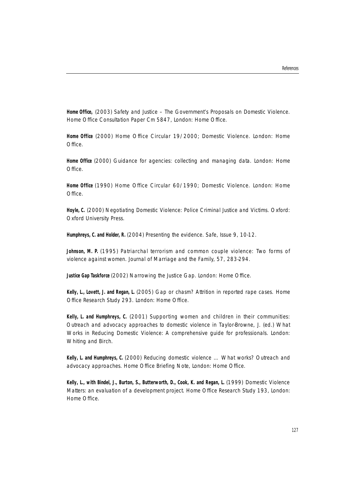**Home Office,** (2003) Safety and Justice – The Government's Proposals on Domestic Violence. Home Office Consultation Paper Cm 5847, London: Home Office.

Home Office (2000) Home Office Circular 19/2000; Domestic Violence. London: Home Office.

**Home Office** (2000) Guidance for agencies: collecting and managing data. London: Home Office.

Home Office (1990) Home Office Circular 60/1990; Domestic Violence. London: Home Office.

**Hoyle, C.** (2000) Negotiating Domestic Violence: Police Criminal Justice and Victims. Oxford: Oxford University Press.

**Humphreys, C. and Holder, R.** (2004) Presenting the evidence. Safe, Issue 9, 10-12.

**Johnson, M. P.** (1995) Patriarchal terrorism and common couple violence: Two forms of violence against women. Journal of Marriage and the Family, 57, 283-294.

**Justice Gap Taskforce** (2002) Narrowing the Justice Gap. London: Home Office.

**Kelly, L., Lovett, J. and Regan, L.** (2005) Gap or chasm? Attrition in reported rape cases. Home Office Research Study 293. London: Home Office.

Kelly, L. and Humphreys, C. (2001) Supporting women and children in their communities: Outreach and advocacy approaches to domestic violence in Taylor-Browne, J. (ed.) What Works in Reducing Domestic Violence: A comprehensive guide for professionals. London: Whiting and Birch.

**Kelly, L. and Humphreys, C.** (2000) Reducing domestic violence … What works? Outreach and advocacy approaches. Home Office Briefing Note, London: Home Office.

Kelly, L., with Bindel, J., Burton, S., Butterworth, D., Cook, K. and Regan, L. (1999) Domestic Violence Matters: an evaluation of a development project. Home Office Research Study 193, London: Home Office.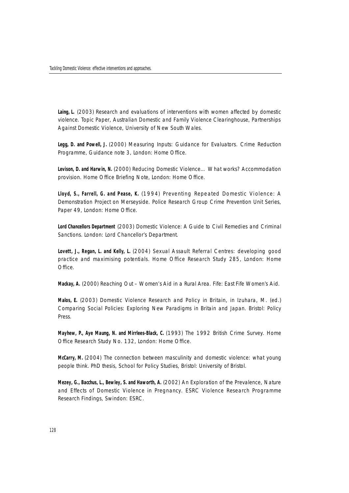Laing, L. (2003) Research and evaluations of interventions with women affected by domestic violence. Topic Paper, Australian Domestic and Family Violence Clearinghouse, Partnerships Against Domestic Violence, University of New South Wales.

**Legg, D. and Powell, J.** (2000) Measuring Inputs: Guidance for Evaluators. Crime Reduction Programme, Guidance note 3, London: Home Office.

**Levison, D. and Harwin, N.** (2000) Reducing Domestic Violence… What works? Accommodation provision. Home Office Briefing Note, London: Home Office.

**Lloyd, S., Farrell, G. and Pease, K.** (1994) Preventing Repeated Domestic Violence: A Demonstration Project on Merseyside. Police Research Group Crime Prevention Unit Series, Paper 49, London: Home Office.

**Lord Chancellors Department** (2003) Domestic Violence: A Guide to Civil Remedies and Criminal Sanctions. London: Lord Chancellor's Department.

**Lovett, J., Regan, L. and Kelly, L.** (2004) Sexual Assault Referral Centres: developing good practice and maximising potentials. Home Office Research Study 285, London: Home Office.

Mackay, A. (2000) Reaching Out - Women's Aid in a Rural Area. Fife: East Fife Women's Aid.

**Malos, E.** (2003) Domestic Violence Research and Policy in Britain, in Izuhara, M. (ed.) Comparing Social Policies: Exploring New Paradigms in Britain and Japan. Bristol: Policy Press.

Mayhew, P., Aye Maung, N. and Mirrlees-Black, C. (1993) The 1992 British Crime Survey. Home Office Research Study No. 132, London: Home Office.

**McCarry, M.** (2004) The connection between masculinity and domestic violence: what young people think. PhD thesis, School for Policy Studies, Bristol: University of Bristol.

**Mezey, G., Bacchus, L., Bewley, S. and Haworth, A.** (2002) An Exploration of the Prevalence, Nature and Effects of Domestic Violence in Pregnancy. ESRC Violence Research Programme Research Findings, Swindon: ESRC.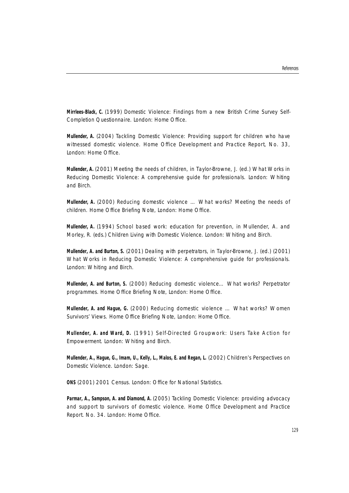**Mirrlees-Black, C.** (1999) Domestic Violence: Findings from a new British Crime Survey Self-Completion Questionnaire. London: Home Office.

**Mullender, A.** (2004) Tackling Domestic Violence: Providing support for children who have witnessed domestic violence. Home Office Development and Practice Report, No. 33, London: Home Office.

**Mullender, A.** (2001) Meeting the needs of children, in Taylor-Browne, J. (ed.) What Works in Reducing Domestic Violence: A comprehensive guide for professionals. London: Whiting and Birch.

**Mullender, A.** (2000) Reducing domestic violence ... What works? Meeting the needs of children. Home Office Briefing Note, London: Home Office.

Mullender, A. (1994) School based work: education for prevention, in Mullender, A. and Morley, R. (eds.) Children Living with Domestic Violence. London: Whiting and Birch.

**Mullender, A. and Burton, S.** (2001) Dealing with perpetrators, in Taylor-Browne, J. (ed.) (2001) What Works in Reducing Domestic Violence: A comprehensive guide for professionals. London: Whiting and Birch.

Mullender, A. and Burton, S. (2000) Reducing domestic violence... What works? Perpetrator programmes. Home Office Briefing Note, London: Home Office.

**Mullender, A. and Hague, G.** (2000) Reducing domestic violence ... What works? Women Survivors' Views. Home Office Briefing Note, London: Home Office.

**Mullender, A. and Ward, D.** (1991) Self-Directed Groupwork: Users Take Action for Empowerment. London: Whiting and Birch.

**Mullender, A., Hague, G., Imam, U., Kelly, L., Malos, E. and Regan, L.** (2002) Children's Perspectives on Domestic Violence. London: Sage.

**ONS** (2001) 2001 Census. London: Office for National Statistics.

Parmar, A., Sampson, A. and Diamond, A. (2005) Tackling Domestic Violence: providing advocacy and support to survivors of domestic violence. Home Office Development and Practice Report. No. 34. London: Home Office.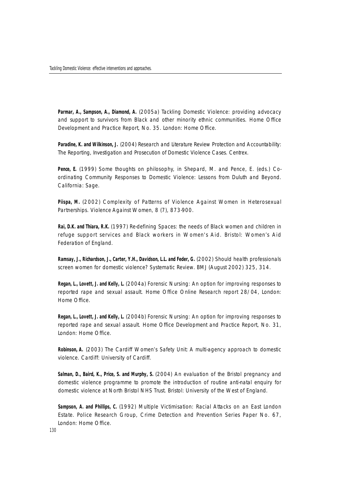**Parmar, A., Sampson, A., Diamond, A.** (2005a) Tackling Domestic Violence: providing advocacy and support to survivors from Black and other minority ethnic communities. Home Office Development and Practice Report, No. 35. London: Home Office.

Paradine, K. and Wilkinson, J. (2004) Research and Literature Review Protection and Accountability: The Reporting, Investigation and Prosecution of Domestic Violence Cases. Centrex.

Pence, E. (1999) Some thoughts on philosophy, in Shepard, M. and Pence, E. (eds.) Coordinating Community Responses to Domestic Violence: Lessons from Duluth and Beyond. California: Sage.

Piispa, M. (2002) Complexity of Patterns of Violence Against Women in Heterosexual Partnerships. Violence Against Women, 8 (7), 873-900.

**Rai, D.K. and Thiara, R.K.** (1997) Re-defining Spaces: the needs of Black women and children in refuge support services and Black workers in Women's Aid. Bristol: Women's Aid Federation of England.

**Ramsay, J., Richardson, J., Carter, Y.H., Davidson, L.L. and Feder, G.** (2002) Should health professionals screen women for domestic violence? Systematic Review. BMJ (August 2002) 325, 314.

**Regan, L., Lovett, J. and Kelly, L.** (2004a) Forensic Nursing: An option for improving responses to reported rape and sexual assault. Home Office Online Research report 28/04, London: Home Office.

**Regan, L., Lovett, J. and Kelly, L.** (2004b) Forensic Nursing: An option for improving responses to reported rape and sexual assault. Home Office Development and Practice Report, No. 31, London: Home Office.

**Robinson, A.** (2003) The Cardiff Women's Safety Unit: A multi-agency approach to domestic violence. Cardiff: University of Cardiff.

Salman, D., Baird, K., Price, S. and Murphy, S. (2004) An evaluation of the Bristol pregnancy and domestic violence programme to promote the introduction of routine anti-natal enquiry for domestic violence at North Bristol NHS Trust. Bristol: University of the West of England.

**Sampson, A. and Phillips, C.** (1992) Multiple Victimisation: Racial Attacks on an East London Estate. Police Research Group, Crime Detection and Prevention Series Paper No. 67, London: Home Office.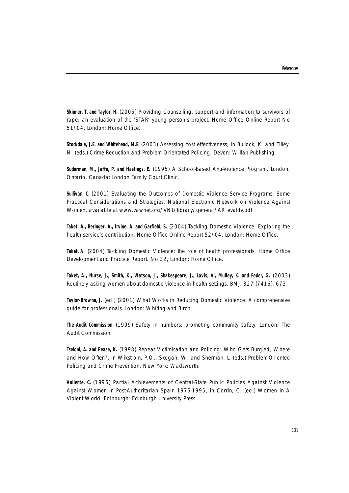**Skinner, T. and Taylor, H.** (2005) Providing Counselling, support and information to survivors of rape: an evaluation of the 'STAR' young person's project, Home Office Online Report No 51/04, London: Home Office.

**Stockdale, J.E. and Whitehead, M.E.** (2003) Assessing cost effectiveness, in Bullock, K. and Tilley, N. (eds.) Crime Reduction and Problem Orientated Policing. Devon: Willan Publishing.

**Suderman, M., Jaffe, P. and Hastings, E.** (1995) A School-Based Anti-Violence Program. London, Ontario, Canada: London Family Court Clinic.

**Sullivan, C.** (2001) Evaluating the Outcomes of Domestic Violence Service Programs: Some Practical Considerations and Strategies. National Electronic Network on Violence Against Women, available at www.vawnet.org/VNL/library/general/AR\_evaldv.pdf

**Taket, A., Beringer, A., Irvine, A. and Garfield, S.** (2004) Tackling Domestic Violence: Exploring the health service's contribution. Home Office Online Report 52/04, London: Home Office.

**Taket, A.** (2004) Tackling Domestic Violence: the role of health professionals, Home Office Development and Practice Report. No 32, London: Home Office.

Taket, A., Nurse, J., Smith, K., Watson, J., Shakespeare, J., Lavis, V., Mulley, K. and Feder, G. (2003) Routinely asking women about domestic violence in health settings. BMJ, 327 (7416), 673.

**Taylor-Browne, J.** (ed.) (2001) What Works in Reducing Domestic Violence: A comprehensive guide for professionals. London: Whiting and Birch.

**The Audit Commission.** (1999) Safety in numbers: promoting community safety. London: The Audit Commission.

**Tseloni, A. and Pease, K.** (1998) Repeat Victimisation and Policing: Who Gets Burgled, Where and How Often?, in Wikstrom, P,O., Skogan, W. and Sherman, L. (eds.) Problem-Oriented Policing and Crime Prevention. New York: Wadsworth.

**Valiente, C.** (1996) Partial Achievements of Central-State Public Policies Against Violence Against Women in Post-Authoritarian Spain 1975-1995, in Corrin, C. (ed.) Women in A Violent World. Edinburgh: Edinburgh University Press.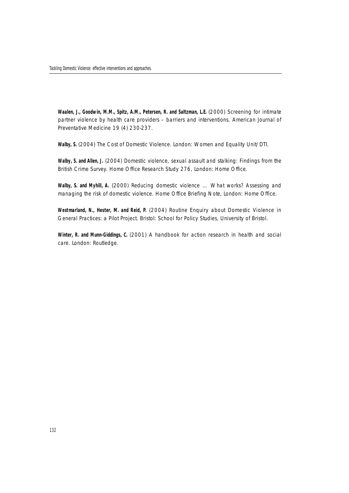Waalen, J., Goodwin, M.M., Spitz, A.M., Petersen, R. and Saltzman, L.E. (2000) Screening for intimate partner violence by health care providers – barriers and interventions. American Journal of Preventative Medicine 19 (4) 230-237.

Walby, S. (2004) The Cost of Domestic Violence. London: Women and Equality Unit/DTI.

**Walby, S. and Allen, J.** (2004) Domestic violence, sexual assault and stalking: Findings from the British Crime Survey. Home Office Research Study 276, London: Home Office.

Walby, S. and Myhill, A. (2000) Reducing domestic violence ... What works? Assessing and managing the risk of domestic violence. Home Office Briefing Note, London: Home Office.

**Westmarland, N., Hester, M. and Reid, P.** (2004) Routine Enquiry about Domestic Violence in General Practices: a Pilot Project. Bristol: School for Policy Studies, University of Bristol.

Winter, R. and Munn-Giddings, C. (2001) A handbook for action research in health and social care. London: Routledge.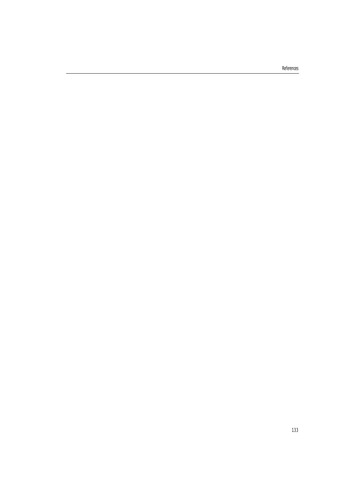References